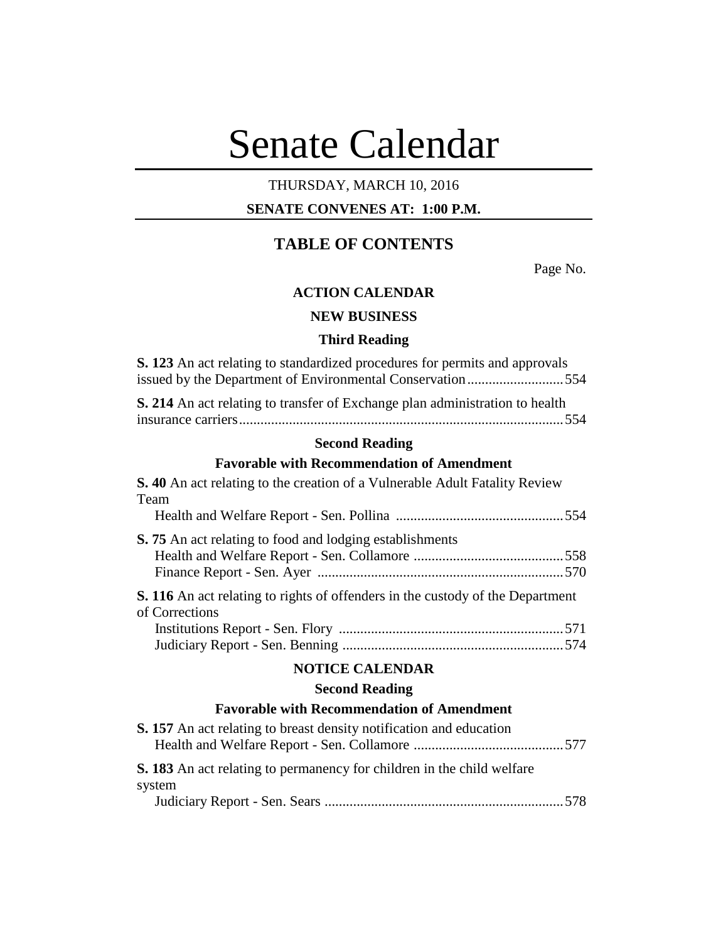# Senate Calendar

# THURSDAY, MARCH 10, 2016

# **SENATE CONVENES AT: 1:00 P.M.**

# **TABLE OF CONTENTS**

Page No.

## **ACTION CALENDAR**

# **NEW BUSINESS**

#### **Third Reading**

| <b>Second Reading</b>                                                               |  |  |
|-------------------------------------------------------------------------------------|--|--|
| <b>S. 214</b> An act relating to transfer of Exchange plan administration to health |  |  |
| issued by the Department of Environmental Conservation554                           |  |  |
| <b>S. 123</b> An act relating to standardized procedures for permits and approvals  |  |  |

# **Favorable with Recommendation of Amendment**

| <b>S. 40</b> An act relating to the creation of a Vulnerable Adult Fatality Review<br>Team              |
|---------------------------------------------------------------------------------------------------------|
|                                                                                                         |
| S. 75 An act relating to food and lodging establishments                                                |
| <b>S. 116</b> An act relating to rights of offenders in the custody of the Department<br>of Corrections |
|                                                                                                         |
|                                                                                                         |
| <b>NOTICE CALENDAR</b>                                                                                  |
| <b>Second Reading</b>                                                                                   |
| <b>Favorable with Recommendation of Amendment</b>                                                       |
| <b>S. 157</b> An act relating to breast density notification and education                              |
| <b>S. 183</b> An act relating to permanency for children in the child welfare<br>system                 |
|                                                                                                         |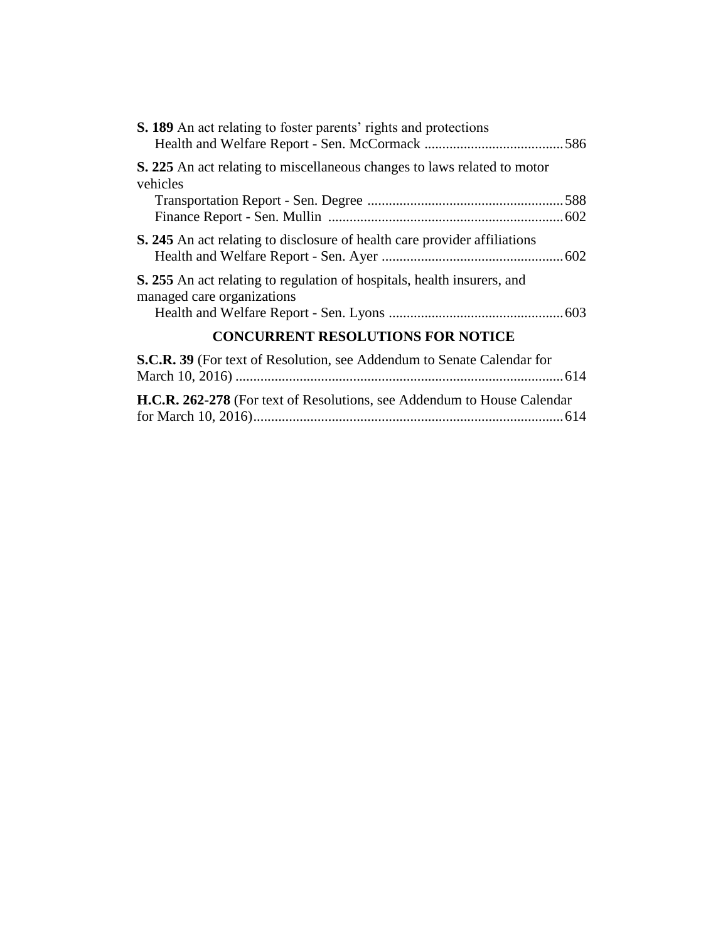| S. 189 An act relating to foster parents' rights and protections                                             |
|--------------------------------------------------------------------------------------------------------------|
| <b>S. 225</b> An act relating to miscellaneous changes to laws related to motor<br>vehicles                  |
| <b>S. 245</b> An act relating to disclosure of health care provider affiliations                             |
| <b>S.</b> 255 An act relating to regulation of hospitals, health insurers, and<br>managed care organizations |
| <b>CONCURRENT RESOLUTIONS FOR NOTICE</b>                                                                     |
| <b>S.C.R. 39</b> (For text of Resolution, see Addendum to Senate Calendar for                                |

| H.C.R. 262-278 (For text of Resolutions, see Addendum to House Calendar |  |
|-------------------------------------------------------------------------|--|
|                                                                         |  |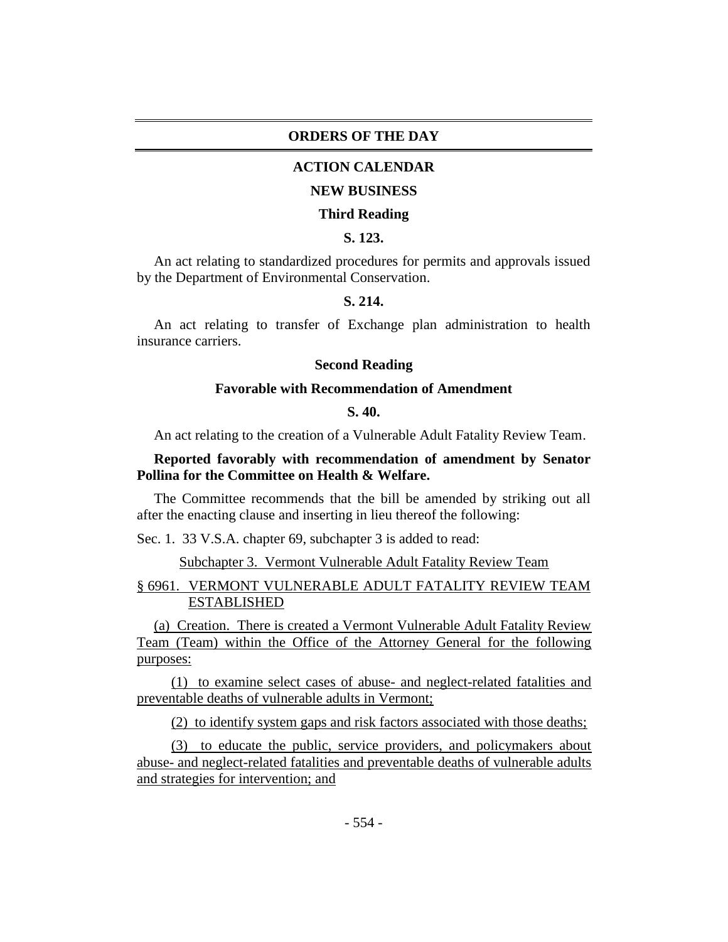## **ORDERS OF THE DAY**

## **ACTION CALENDAR**

#### **NEW BUSINESS**

#### **Third Reading**

# **S. 123.**

An act relating to standardized procedures for permits and approvals issued by the Department of Environmental Conservation.

# **S. 214.**

An act relating to transfer of Exchange plan administration to health insurance carriers.

## **Second Reading**

#### **Favorable with Recommendation of Amendment**

# **S. 40.**

An act relating to the creation of a Vulnerable Adult Fatality Review Team.

## **Reported favorably with recommendation of amendment by Senator Pollina for the Committee on Health & Welfare.**

The Committee recommends that the bill be amended by striking out all after the enacting clause and inserting in lieu thereof the following:

Sec. 1. 33 V.S.A. chapter 69, subchapter 3 is added to read:

Subchapter 3. Vermont Vulnerable Adult Fatality Review Team

# § 6961. VERMONT VULNERABLE ADULT FATALITY REVIEW TEAM ESTABLISHED

(a) Creation. There is created a Vermont Vulnerable Adult Fatality Review Team (Team) within the Office of the Attorney General for the following purposes:

(1) to examine select cases of abuse- and neglect-related fatalities and preventable deaths of vulnerable adults in Vermont;

(2) to identify system gaps and risk factors associated with those deaths;

(3) to educate the public, service providers, and policymakers about abuse- and neglect-related fatalities and preventable deaths of vulnerable adults and strategies for intervention; and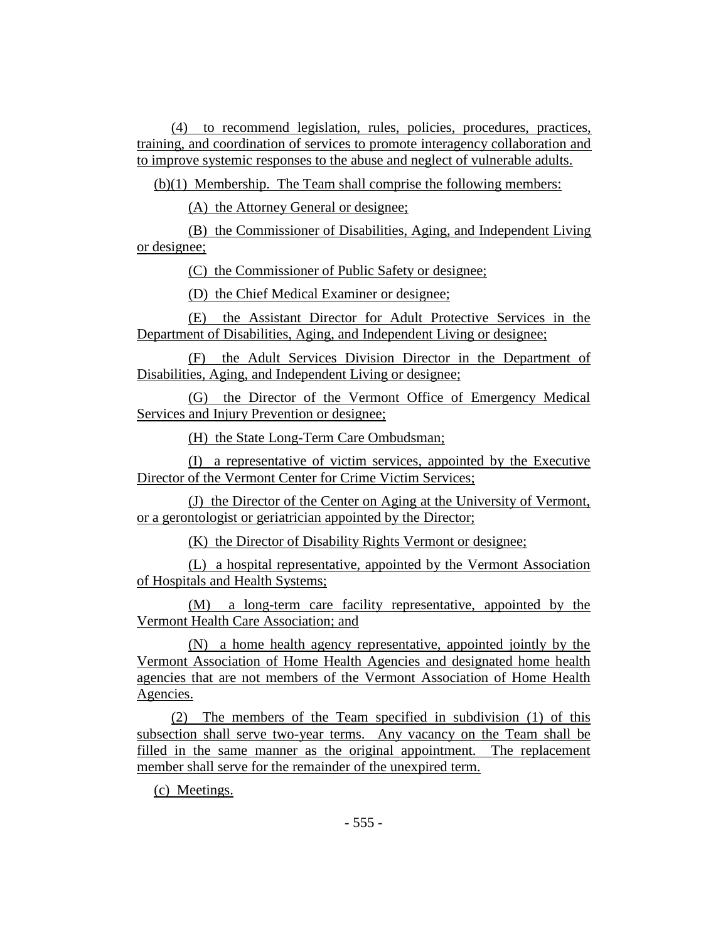(4) to recommend legislation, rules, policies, procedures, practices, training, and coordination of services to promote interagency collaboration and to improve systemic responses to the abuse and neglect of vulnerable adults.

(b)(1) Membership. The Team shall comprise the following members:

(A) the Attorney General or designee;

(B) the Commissioner of Disabilities, Aging, and Independent Living or designee;

(C) the Commissioner of Public Safety or designee;

(D) the Chief Medical Examiner or designee;

(E) the Assistant Director for Adult Protective Services in the Department of Disabilities, Aging, and Independent Living or designee;

(F) the Adult Services Division Director in the Department of Disabilities, Aging, and Independent Living or designee;

(G) the Director of the Vermont Office of Emergency Medical Services and Injury Prevention or designee;

(H) the State Long-Term Care Ombudsman;

(I) a representative of victim services, appointed by the Executive Director of the Vermont Center for Crime Victim Services;

(J) the Director of the Center on Aging at the University of Vermont, or a gerontologist or geriatrician appointed by the Director;

(K) the Director of Disability Rights Vermont or designee;

(L) a hospital representative, appointed by the Vermont Association of Hospitals and Health Systems;

(M) a long-term care facility representative, appointed by the Vermont Health Care Association; and

(N) a home health agency representative, appointed jointly by the Vermont Association of Home Health Agencies and designated home health agencies that are not members of the Vermont Association of Home Health Agencies.

(2) The members of the Team specified in subdivision (1) of this subsection shall serve two-year terms. Any vacancy on the Team shall be filled in the same manner as the original appointment. The replacement member shall serve for the remainder of the unexpired term.

(c) Meetings.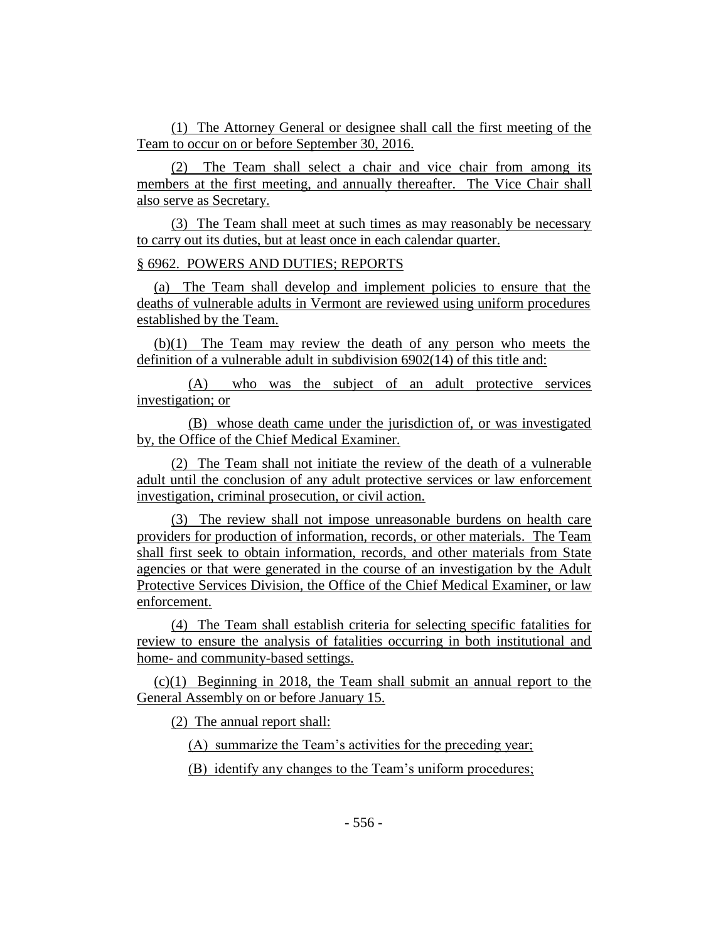(1) The Attorney General or designee shall call the first meeting of the Team to occur on or before September 30, 2016.

(2) The Team shall select a chair and vice chair from among its members at the first meeting, and annually thereafter. The Vice Chair shall also serve as Secretary.

(3) The Team shall meet at such times as may reasonably be necessary to carry out its duties, but at least once in each calendar quarter.

§ 6962. POWERS AND DUTIES; REPORTS

(a) The Team shall develop and implement policies to ensure that the deaths of vulnerable adults in Vermont are reviewed using uniform procedures established by the Team.

(b)(1) The Team may review the death of any person who meets the definition of a vulnerable adult in subdivision 6902(14) of this title and:

(A) who was the subject of an adult protective services investigation; or

(B) whose death came under the jurisdiction of, or was investigated by, the Office of the Chief Medical Examiner.

(2) The Team shall not initiate the review of the death of a vulnerable adult until the conclusion of any adult protective services or law enforcement investigation, criminal prosecution, or civil action.

(3) The review shall not impose unreasonable burdens on health care providers for production of information, records, or other materials. The Team shall first seek to obtain information, records, and other materials from State agencies or that were generated in the course of an investigation by the Adult Protective Services Division, the Office of the Chief Medical Examiner, or law enforcement.

(4) The Team shall establish criteria for selecting specific fatalities for review to ensure the analysis of fatalities occurring in both institutional and home- and community-based settings.

(c)(1) Beginning in 2018, the Team shall submit an annual report to the General Assembly on or before January 15.

(2) The annual report shall:

(A) summarize the Team's activities for the preceding year;

(B) identify any changes to the Team's uniform procedures;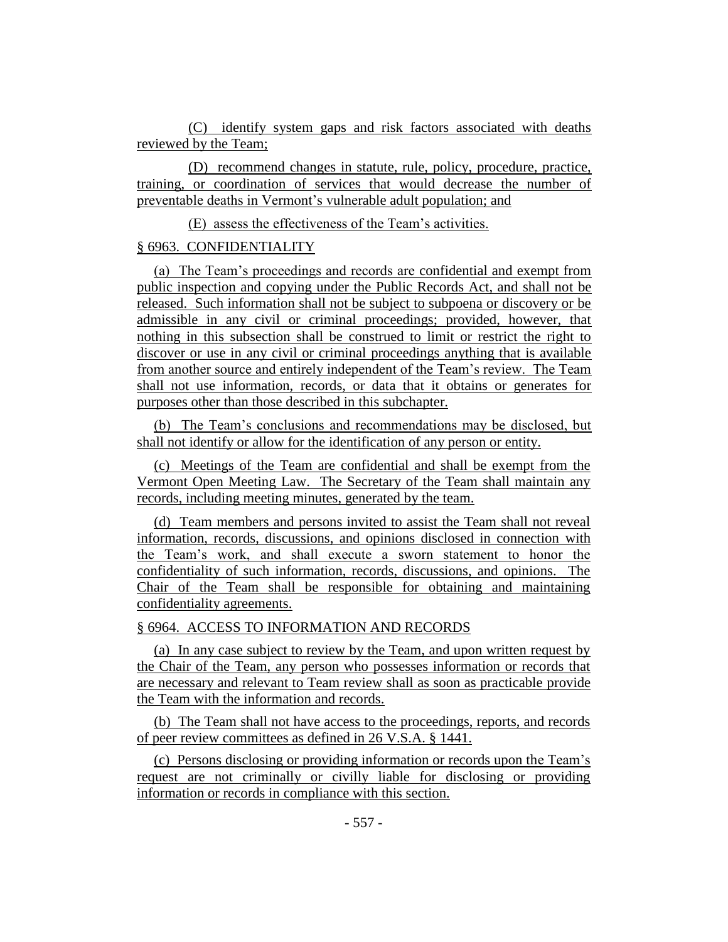(C) identify system gaps and risk factors associated with deaths reviewed by the Team;

(D) recommend changes in statute, rule, policy, procedure, practice, training, or coordination of services that would decrease the number of preventable deaths in Vermont's vulnerable adult population; and

(E) assess the effectiveness of the Team's activities.

# § 6963. CONFIDENTIALITY

(a) The Team's proceedings and records are confidential and exempt from public inspection and copying under the Public Records Act, and shall not be released. Such information shall not be subject to subpoena or discovery or be admissible in any civil or criminal proceedings; provided, however, that nothing in this subsection shall be construed to limit or restrict the right to discover or use in any civil or criminal proceedings anything that is available from another source and entirely independent of the Team's review. The Team shall not use information, records, or data that it obtains or generates for purposes other than those described in this subchapter.

(b) The Team's conclusions and recommendations may be disclosed, but shall not identify or allow for the identification of any person or entity.

(c) Meetings of the Team are confidential and shall be exempt from the Vermont Open Meeting Law. The Secretary of the Team shall maintain any records, including meeting minutes, generated by the team.

(d) Team members and persons invited to assist the Team shall not reveal information, records, discussions, and opinions disclosed in connection with the Team's work, and shall execute a sworn statement to honor the confidentiality of such information, records, discussions, and opinions. The Chair of the Team shall be responsible for obtaining and maintaining confidentiality agreements.

# § 6964. ACCESS TO INFORMATION AND RECORDS

(a) In any case subject to review by the Team, and upon written request by the Chair of the Team, any person who possesses information or records that are necessary and relevant to Team review shall as soon as practicable provide the Team with the information and records.

(b) The Team shall not have access to the proceedings, reports, and records of peer review committees as defined in 26 V.S.A. § 1441.

(c) Persons disclosing or providing information or records upon the Team's request are not criminally or civilly liable for disclosing or providing information or records in compliance with this section.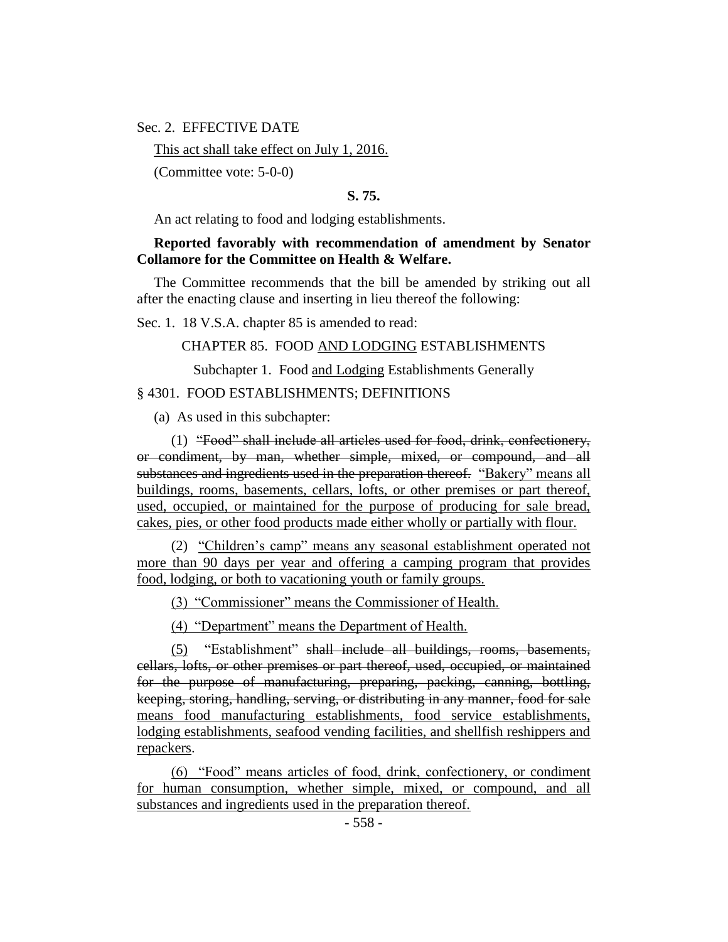Sec. 2. EFFECTIVE DATE

This act shall take effect on July 1, 2016.

(Committee vote: 5-0-0)

#### **S. 75.**

An act relating to food and lodging establishments.

## **Reported favorably with recommendation of amendment by Senator Collamore for the Committee on Health & Welfare.**

The Committee recommends that the bill be amended by striking out all after the enacting clause and inserting in lieu thereof the following:

Sec. 1. 18 V.S.A. chapter 85 is amended to read:

CHAPTER 85. FOOD AND LODGING ESTABLISHMENTS

Subchapter 1. Food and Lodging Establishments Generally

## § 4301. FOOD ESTABLISHMENTS; DEFINITIONS

(a) As used in this subchapter:

(1) "Food" shall include all articles used for food, drink, confectionery, or condiment, by man, whether simple, mixed, or compound, and all substances and ingredients used in the preparation thereof. "Bakery" means all buildings, rooms, basements, cellars, lofts, or other premises or part thereof, used, occupied, or maintained for the purpose of producing for sale bread, cakes, pies, or other food products made either wholly or partially with flour.

(2) "Children's camp" means any seasonal establishment operated not more than 90 days per year and offering a camping program that provides food, lodging, or both to vacationing youth or family groups.

(3) "Commissioner" means the Commissioner of Health.

(4) "Department" means the Department of Health.

(5) "Establishment" shall include all buildings, rooms, basements, cellars, lofts, or other premises or part thereof, used, occupied, or maintained for the purpose of manufacturing, preparing, packing, canning, bottling, keeping, storing, handling, serving, or distributing in any manner, food for sale means food manufacturing establishments, food service establishments, lodging establishments, seafood vending facilities, and shellfish reshippers and repackers.

(6) "Food" means articles of food, drink, confectionery, or condiment for human consumption, whether simple, mixed, or compound, and all substances and ingredients used in the preparation thereof.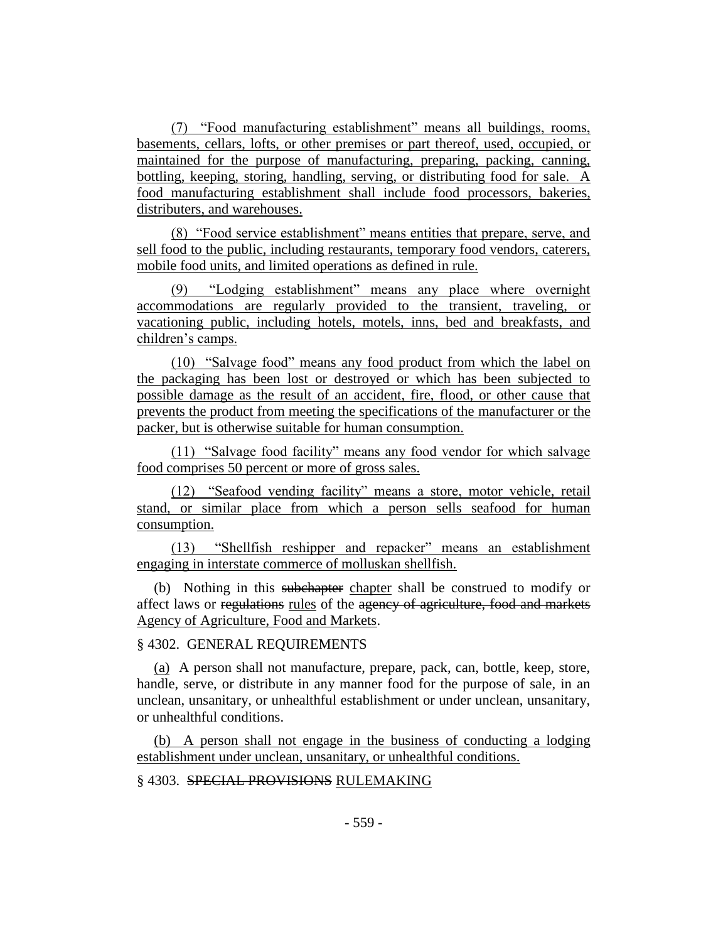(7) "Food manufacturing establishment" means all buildings, rooms, basements, cellars, lofts, or other premises or part thereof, used, occupied, or maintained for the purpose of manufacturing, preparing, packing, canning, bottling, keeping, storing, handling, serving, or distributing food for sale. A food manufacturing establishment shall include food processors, bakeries, distributers, and warehouses.

(8) "Food service establishment" means entities that prepare, serve, and sell food to the public, including restaurants, temporary food vendors, caterers, mobile food units, and limited operations as defined in rule.

(9) "Lodging establishment" means any place where overnight accommodations are regularly provided to the transient, traveling, or vacationing public, including hotels, motels, inns, bed and breakfasts, and children's camps.

(10) "Salvage food" means any food product from which the label on the packaging has been lost or destroyed or which has been subjected to possible damage as the result of an accident, fire, flood, or other cause that prevents the product from meeting the specifications of the manufacturer or the packer, but is otherwise suitable for human consumption.

(11) "Salvage food facility" means any food vendor for which salvage food comprises 50 percent or more of gross sales.

(12) "Seafood vending facility" means a store, motor vehicle, retail stand, or similar place from which a person sells seafood for human consumption.

(13) "Shellfish reshipper and repacker" means an establishment engaging in interstate commerce of molluskan shellfish.

(b) Nothing in this subchapter chapter shall be construed to modify or affect laws or regulations rules of the agency of agriculture, food and markets Agency of Agriculture, Food and Markets.

## § 4302. GENERAL REQUIREMENTS

(a) A person shall not manufacture, prepare, pack, can, bottle, keep, store, handle, serve, or distribute in any manner food for the purpose of sale, in an unclean, unsanitary, or unhealthful establishment or under unclean, unsanitary, or unhealthful conditions.

(b) A person shall not engage in the business of conducting a lodging establishment under unclean, unsanitary, or unhealthful conditions.

# § 4303. SPECIAL PROVISIONS RULEMAKING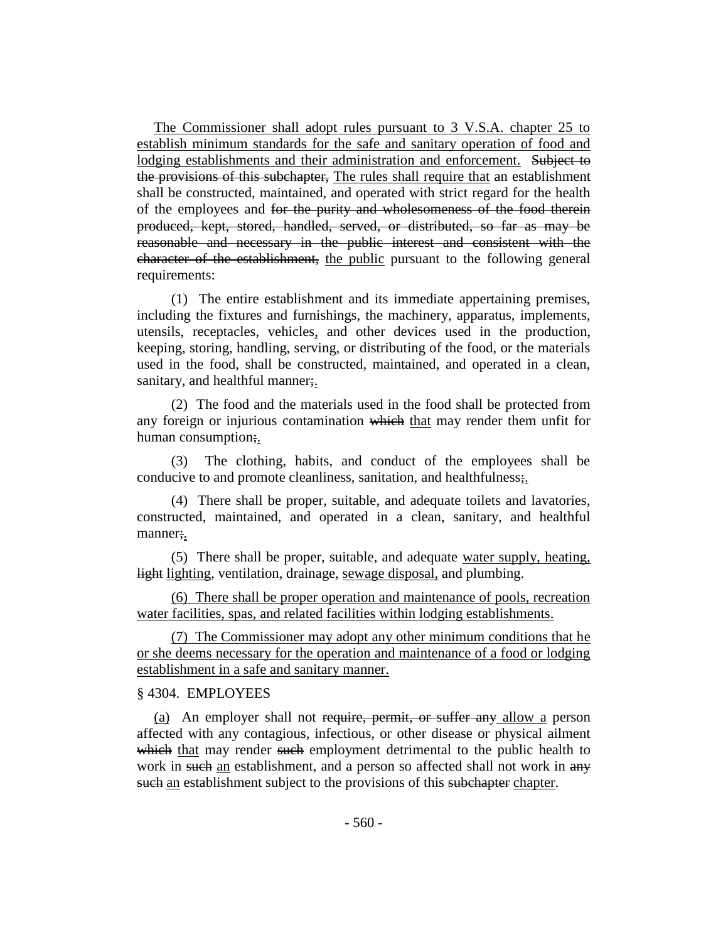The Commissioner shall adopt rules pursuant to 3 V.S.A. chapter 25 to establish minimum standards for the safe and sanitary operation of food and lodging establishments and their administration and enforcement. Subject to the provisions of this subchapter, The rules shall require that an establishment shall be constructed, maintained, and operated with strict regard for the health of the employees and for the purity and wholesomeness of the food therein produced, kept, stored, handled, served, or distributed, so far as may be reasonable and necessary in the public interest and consistent with the character of the establishment, the public pursuant to the following general requirements:

(1) The entire establishment and its immediate appertaining premises, including the fixtures and furnishings, the machinery, apparatus, implements, utensils, receptacles, vehicles, and other devices used in the production, keeping, storing, handling, serving, or distributing of the food, or the materials used in the food, shall be constructed, maintained, and operated in a clean, sanitary, and healthful manner;

(2) The food and the materials used in the food shall be protected from any foreign or injurious contamination which that may render them unfit for human consumption;.

(3) The clothing, habits, and conduct of the employees shall be conducive to and promote cleanliness, sanitation, and healthfulness;

(4) There shall be proper, suitable, and adequate toilets and lavatories, constructed, maintained, and operated in a clean, sanitary, and healthful manner;.

(5) There shall be proper, suitable, and adequate water supply, heating, light lighting, ventilation, drainage, sewage disposal, and plumbing.

(6) There shall be proper operation and maintenance of pools, recreation water facilities, spas, and related facilities within lodging establishments.

(7) The Commissioner may adopt any other minimum conditions that he or she deems necessary for the operation and maintenance of a food or lodging establishment in a safe and sanitary manner.

## § 4304. EMPLOYEES

(a) An employer shall not require, permit, or suffer any allow a person affected with any contagious, infectious, or other disease or physical ailment which that may render such employment detrimental to the public health to work in such an establishment, and a person so affected shall not work in any such an establishment subject to the provisions of this subchapter chapter.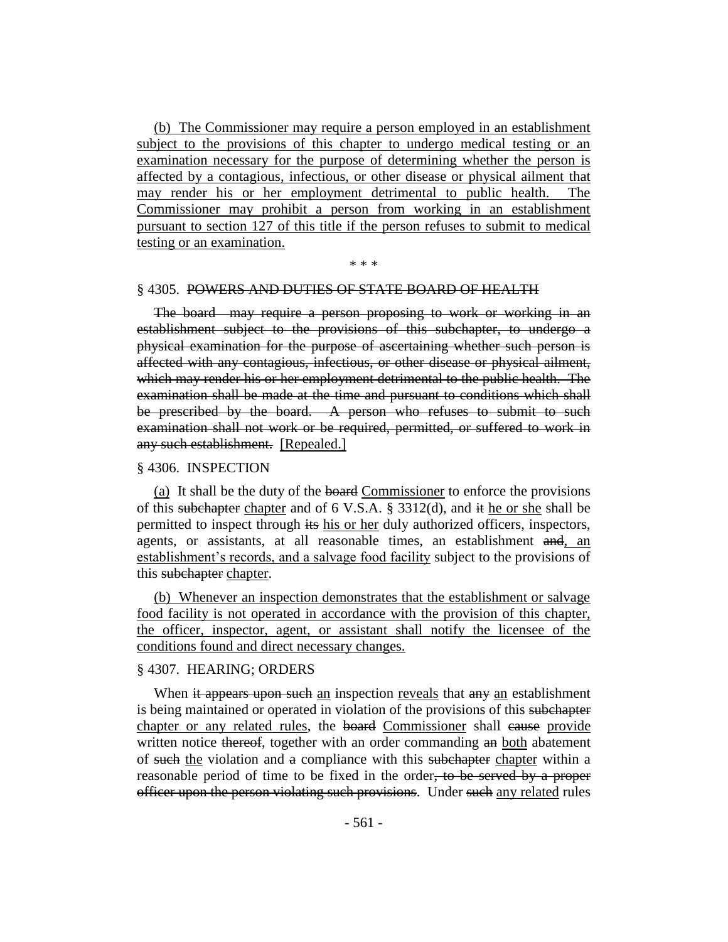(b) The Commissioner may require a person employed in an establishment subject to the provisions of this chapter to undergo medical testing or an examination necessary for the purpose of determining whether the person is affected by a contagious, infectious, or other disease or physical ailment that may render his or her employment detrimental to public health. The Commissioner may prohibit a person from working in an establishment pursuant to section 127 of this title if the person refuses to submit to medical testing or an examination.

#### \* \* \*

#### § 4305. POWERS AND DUTIES OF STATE BOARD OF HEALTH

The board may require a person proposing to work or working in an establishment subject to the provisions of this subchapter, to undergo a physical examination for the purpose of ascertaining whether such person is affected with any contagious, infectious, or other disease or physical ailment, which may render his or her employment detrimental to the public health. The examination shall be made at the time and pursuant to conditions which shall be prescribed by the board. A person who refuses to submit to such examination shall not work or be required, permitted, or suffered to work in any such establishment. [Repealed.]

#### § 4306. INSPECTION

(a) It shall be the duty of the board Commissioner to enforce the provisions of this subchapter chapter and of 6 V.S.A. § 3312(d), and  $\ddot{a}$  the or she shall be permitted to inspect through its his or her duly authorized officers, inspectors, agents, or assistants, at all reasonable times, an establishment and, an establishment's records, and a salvage food facility subject to the provisions of this subchapter chapter.

(b) Whenever an inspection demonstrates that the establishment or salvage food facility is not operated in accordance with the provision of this chapter, the officer, inspector, agent, or assistant shall notify the licensee of the conditions found and direct necessary changes.

#### § 4307. HEARING; ORDERS

When it appears upon such an inspection reveals that any an establishment is being maintained or operated in violation of the provisions of this subchapter chapter or any related rules, the board Commissioner shall cause provide written notice thereof, together with an order commanding an both abatement of such the violation and a compliance with this subchapter chapter within a reasonable period of time to be fixed in the order, to be served by a proper officer upon the person violating such provisions. Under such any related rules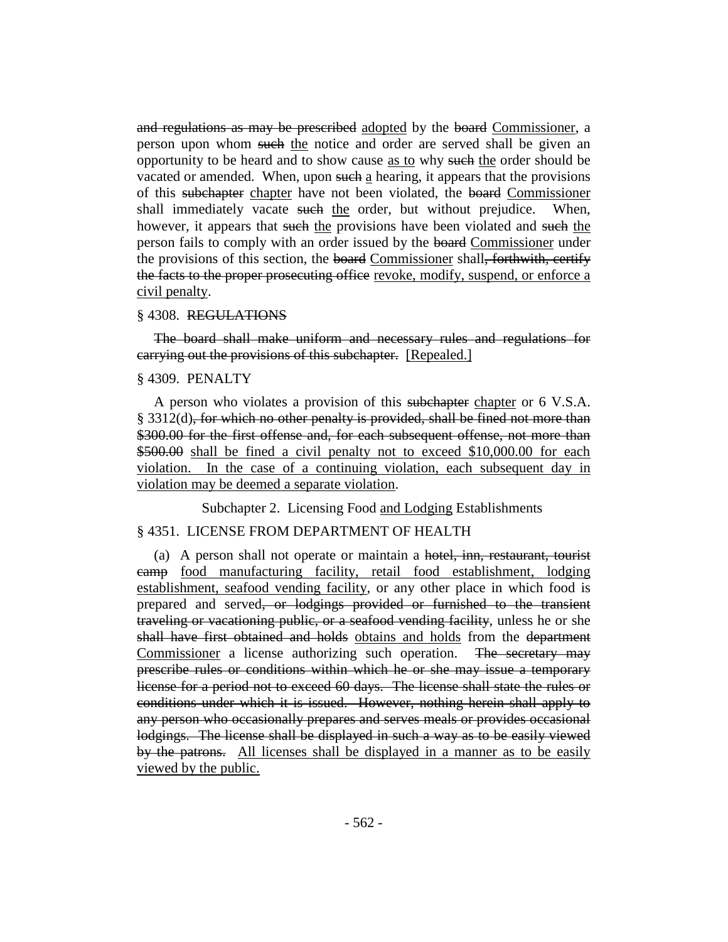and regulations as may be prescribed adopted by the board Commissioner, a person upon whom such the notice and order are served shall be given an opportunity to be heard and to show cause as to why such the order should be vacated or amended. When, upon such a hearing, it appears that the provisions of this subchapter chapter have not been violated, the board Commissioner shall immediately vacate such the order, but without prejudice. When, however, it appears that such the provisions have been violated and such the person fails to comply with an order issued by the board Commissioner under the provisions of this section, the board Commissioner shall, forthwith, certify the facts to the proper prosecuting office revoke, modify, suspend, or enforce a civil penalty.

#### § 4308. REGULATIONS

The board shall make uniform and necessary rules and regulations for carrying out the provisions of this subchapter. [Repealed.]

## § 4309. PENALTY

A person who violates a provision of this subchapter chapter or 6 V.S.A.  $§$  3312(d), for which no other penalty is provided, shall be fined not more than \$300.00 for the first offense and, for each subsequent offense, not more than \$500.00 shall be fined a civil penalty not to exceed \$10,000.00 for each violation. In the case of a continuing violation, each subsequent day in violation may be deemed a separate violation.

Subchapter 2. Licensing Food and Lodging Establishments

## § 4351. LICENSE FROM DEPARTMENT OF HEALTH

(a) A person shall not operate or maintain a hotel, inn, restaurant, tourist camp food manufacturing facility, retail food establishment, lodging establishment, seafood vending facility, or any other place in which food is prepared and served, or lodgings provided or furnished to the transient traveling or vacationing public, or a seafood vending facility, unless he or she shall have first obtained and holds obtains and holds from the department Commissioner a license authorizing such operation. The secretary may prescribe rules or conditions within which he or she may issue a temporary license for a period not to exceed 60 days. The license shall state the rules or conditions under which it is issued. However, nothing herein shall apply to any person who occasionally prepares and serves meals or provides occasional lodgings. The license shall be displayed in such a way as to be easily viewed by the patrons. All licenses shall be displayed in a manner as to be easily viewed by the public.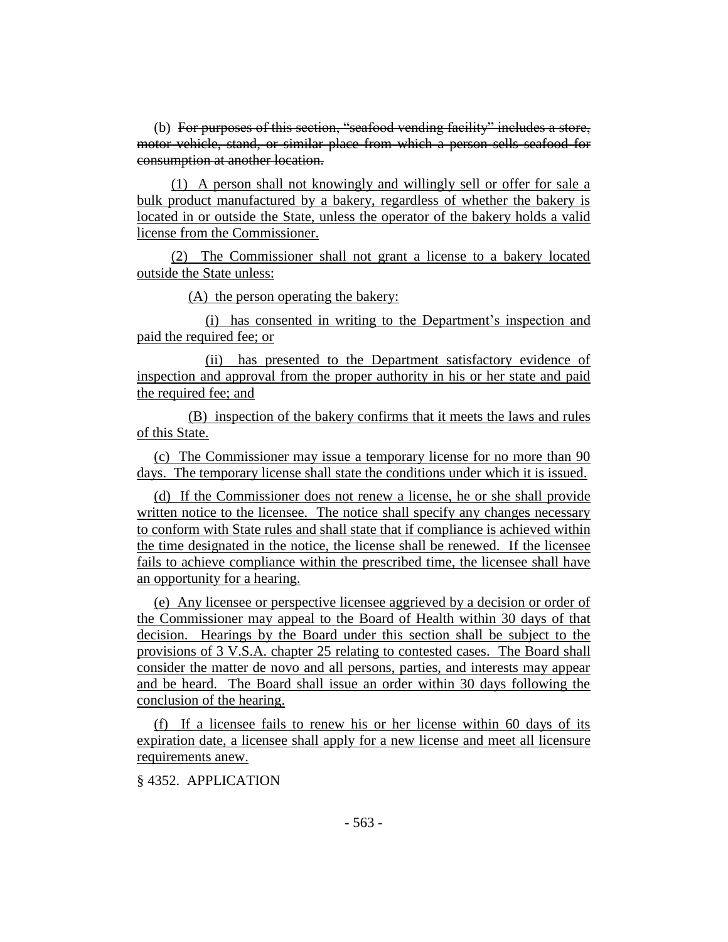(b) For purposes of this section, "seafood vending facility" includes a store, motor vehicle, stand, or similar place from which a person sells seafood for consumption at another location.

(1) A person shall not knowingly and willingly sell or offer for sale a bulk product manufactured by a bakery, regardless of whether the bakery is located in or outside the State, unless the operator of the bakery holds a valid license from the Commissioner.

(2) The Commissioner shall not grant a license to a bakery located outside the State unless:

(A) the person operating the bakery:

(i) has consented in writing to the Department's inspection and paid the required fee; or

(ii) has presented to the Department satisfactory evidence of inspection and approval from the proper authority in his or her state and paid the required fee; and

(B) inspection of the bakery confirms that it meets the laws and rules of this State.

(c) The Commissioner may issue a temporary license for no more than 90 days. The temporary license shall state the conditions under which it is issued.

(d) If the Commissioner does not renew a license, he or she shall provide written notice to the licensee. The notice shall specify any changes necessary to conform with State rules and shall state that if compliance is achieved within the time designated in the notice, the license shall be renewed. If the licensee fails to achieve compliance within the prescribed time, the licensee shall have an opportunity for a hearing.

(e) Any licensee or perspective licensee aggrieved by a decision or order of the Commissioner may appeal to the Board of Health within 30 days of that decision. Hearings by the Board under this section shall be subject to the provisions of 3 V.S.A. chapter 25 relating to contested cases. The Board shall consider the matter de novo and all persons, parties, and interests may appear and be heard. The Board shall issue an order within 30 days following the conclusion of the hearing.

(f) If a licensee fails to renew his or her license within 60 days of its expiration date, a licensee shall apply for a new license and meet all licensure requirements anew.

§ 4352. APPLICATION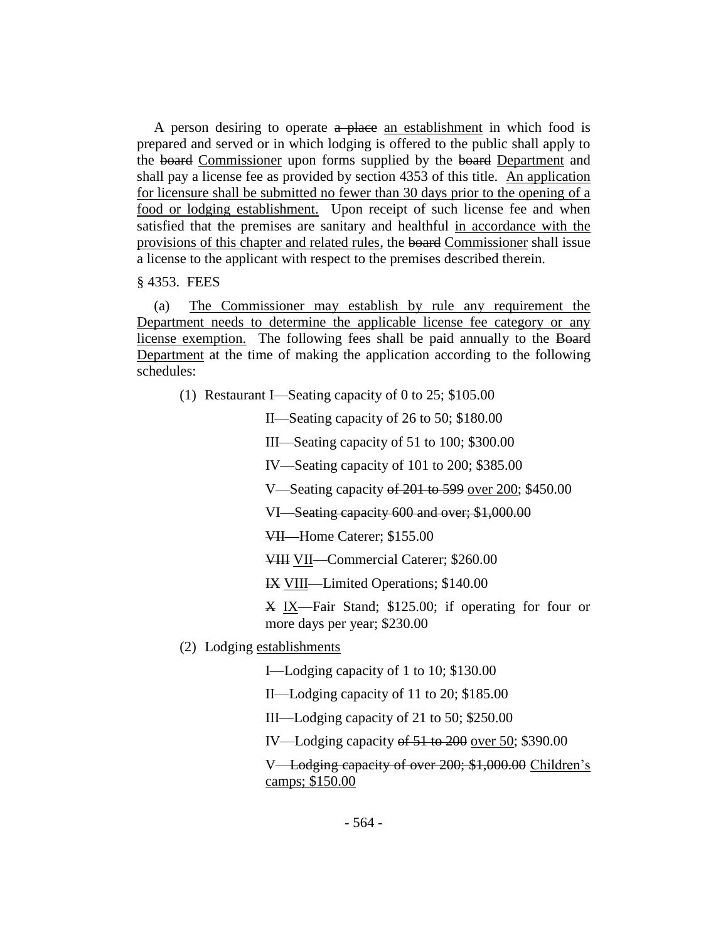A person desiring to operate a place an establishment in which food is prepared and served or in which lodging is offered to the public shall apply to the board Commissioner upon forms supplied by the board Department and shall pay a license fee as provided by section 4353 of this title. An application for licensure shall be submitted no fewer than 30 days prior to the opening of a food or lodging establishment. Upon receipt of such license fee and when satisfied that the premises are sanitary and healthful in accordance with the provisions of this chapter and related rules, the board Commissioner shall issue a license to the applicant with respect to the premises described therein.

§ 4353. FEES

(a) The Commissioner may establish by rule any requirement the Department needs to determine the applicable license fee category or any license exemption. The following fees shall be paid annually to the Board Department at the time of making the application according to the following schedules:

(1) Restaurant I—Seating capacity of 0 to 25; \$105.00

II—Seating capacity of 26 to 50; \$180.00

III—Seating capacity of 51 to 100; \$300.00

IV—Seating capacity of 101 to 200; \$385.00

V—Seating capacity of 201 to 599 over 200; \$450.00

VI—Seating capacity 600 and over; \$1,000.00

VII—Home Caterer; \$155.00

VIII VII—Commercial Caterer; \$260.00

IX VIII—Limited Operations; \$140.00

X IX—Fair Stand; \$125.00; if operating for four or more days per year; \$230.00

(2) Lodging establishments

I—Lodging capacity of 1 to 10; \$130.00

II—Lodging capacity of 11 to 20; \$185.00

III—Lodging capacity of 21 to 50; \$250.00

IV—Lodging capacity of 51 to 200 over 50; \$390.00

V—Lodging capacity of over 200; \$1,000.00 Children's camps; \$150.00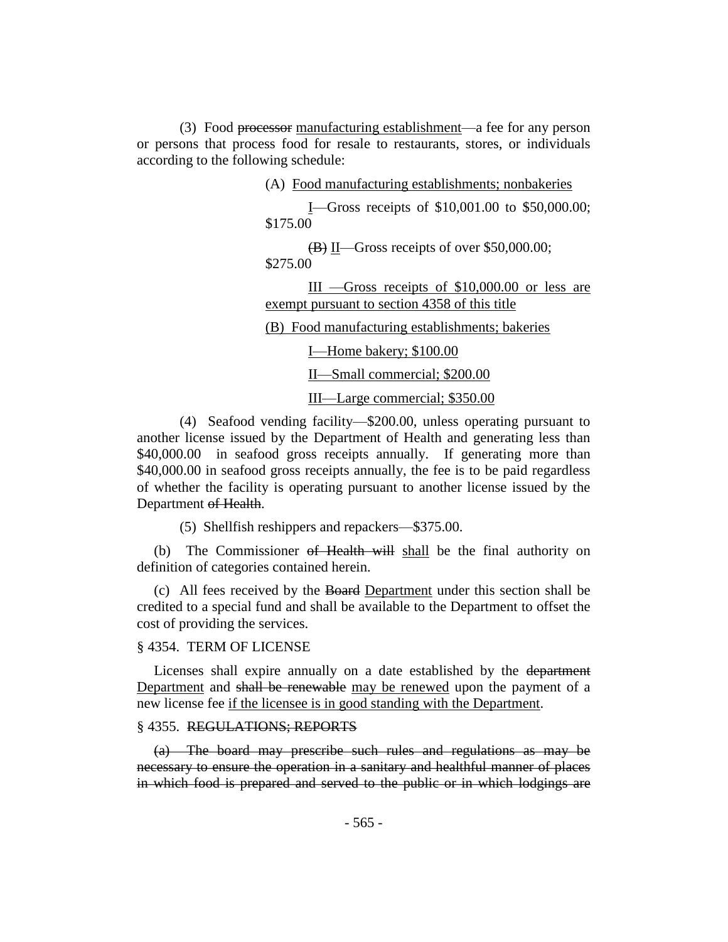(3) Food processor manufacturing establishment—a fee for any person or persons that process food for resale to restaurants, stores, or individuals according to the following schedule:

(A) Food manufacturing establishments; nonbakeries

I—Gross receipts of \$10,001.00 to \$50,000.00; \$175.00

(B) II—Gross receipts of over \$50,000.00; \$275.00

III —Gross receipts of \$10,000.00 or less are exempt pursuant to section 4358 of this title

(B) Food manufacturing establishments; bakeries

I—Home bakery; \$100.00

II—Small commercial; \$200.00

III—Large commercial; \$350.00

(4) Seafood vending facility—\$200.00, unless operating pursuant to another license issued by the Department of Health and generating less than \$40,000.00 in seafood gross receipts annually. If generating more than \$40,000.00 in seafood gross receipts annually, the fee is to be paid regardless of whether the facility is operating pursuant to another license issued by the Department of Health.

(5) Shellfish reshippers and repackers—\$375.00.

(b) The Commissioner of Health will shall be the final authority on definition of categories contained herein.

(c) All fees received by the Board Department under this section shall be credited to a special fund and shall be available to the Department to offset the cost of providing the services.

#### § 4354. TERM OF LICENSE

Licenses shall expire annually on a date established by the department Department and shall be renewable may be renewed upon the payment of a new license fee if the licensee is in good standing with the Department.

## § 4355. REGULATIONS; REPORTS

(a) The board may prescribe such rules and regulations as may be necessary to ensure the operation in a sanitary and healthful manner of places in which food is prepared and served to the public or in which lodgings are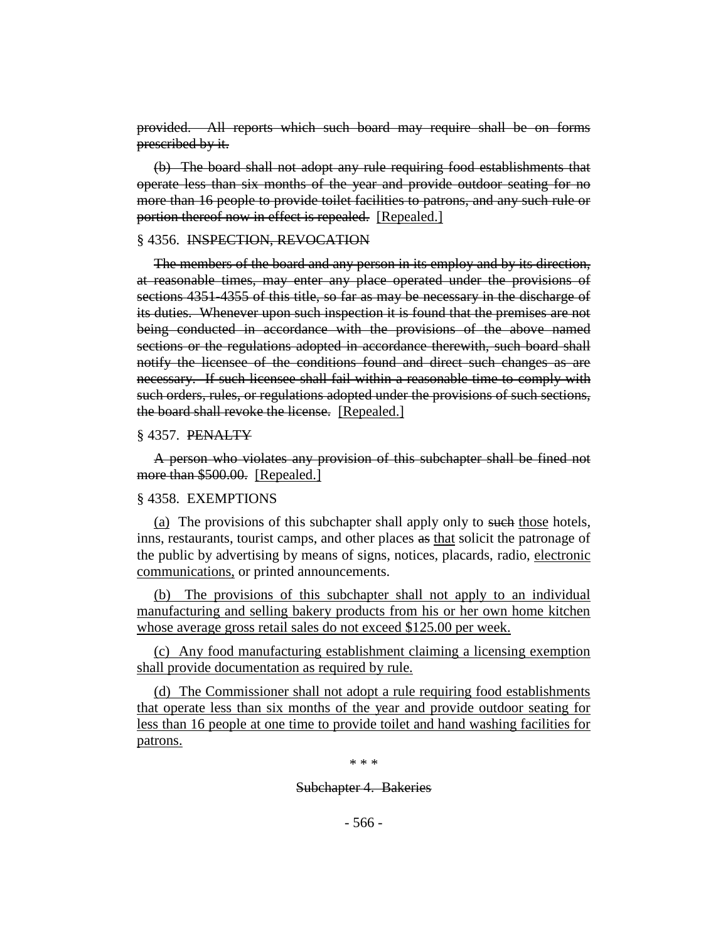provided. All reports which such board may require shall be on forms prescribed by it.

(b) The board shall not adopt any rule requiring food establishments that operate less than six months of the year and provide outdoor seating for no more than 16 people to provide toilet facilities to patrons, and any such rule or portion thereof now in effect is repealed. [Repealed.]

#### § 4356. INSPECTION, REVOCATION

The members of the board and any person in its employ and by its direction, at reasonable times, may enter any place operated under the provisions of sections 4351-4355 of this title, so far as may be necessary in the discharge of its duties. Whenever upon such inspection it is found that the premises are not being conducted in accordance with the provisions of the above named sections or the regulations adopted in accordance therewith, such board shall notify the licensee of the conditions found and direct such changes as are necessary. If such licensee shall fail within a reasonable time to comply with such orders, rules, or regulations adopted under the provisions of such sections, the board shall revoke the license. [Repealed.]

#### § 4357. PENALTY

A person who violates any provision of this subchapter shall be fined not more than \$500.00. [Repealed.]

#### § 4358. EXEMPTIONS

(a) The provisions of this subchapter shall apply only to such those hotels, inns, restaurants, tourist camps, and other places as that solicit the patronage of the public by advertising by means of signs, notices, placards, radio, electronic communications, or printed announcements.

(b) The provisions of this subchapter shall not apply to an individual manufacturing and selling bakery products from his or her own home kitchen whose average gross retail sales do not exceed \$125.00 per week.

(c) Any food manufacturing establishment claiming a licensing exemption shall provide documentation as required by rule.

(d) The Commissioner shall not adopt a rule requiring food establishments that operate less than six months of the year and provide outdoor seating for less than 16 people at one time to provide toilet and hand washing facilities for patrons.

\* \* \*

Subchapter 4. Bakeries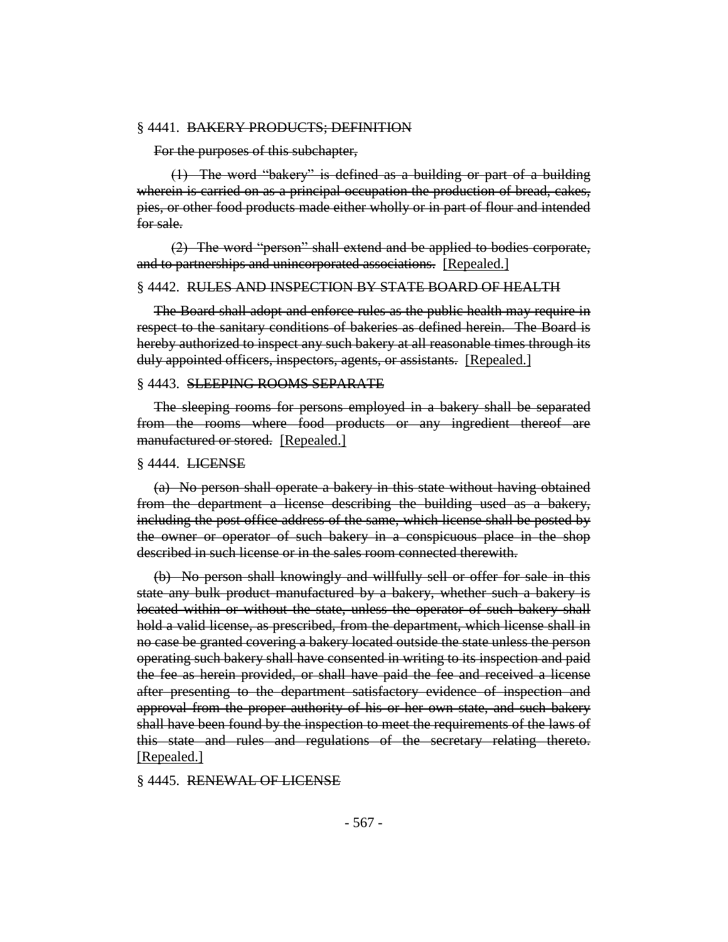#### § 4441. BAKERY PRODUCTS; DEFINITION

For the purposes of this subchapter,

(1) The word "bakery" is defined as a building or part of a building wherein is carried on as a principal occupation the production of bread, cakes, pies, or other food products made either wholly or in part of flour and intended for sale.

(2) The word "person" shall extend and be applied to bodies corporate, and to partnerships and unincorporated associations. [Repealed.]

#### § 4442. RULES AND INSPECTION BY STATE BOARD OF HEALTH

The Board shall adopt and enforce rules as the public health may require in respect to the sanitary conditions of bakeries as defined herein. The Board is hereby authorized to inspect any such bakery at all reasonable times through its duly appointed officers, inspectors, agents, or assistants. [Repealed.]

#### § 4443. SLEEPING ROOMS SEPARATE

The sleeping rooms for persons employed in a bakery shall be separated from the rooms where food products or any ingredient thereof are manufactured or stored. [Repealed.]

#### § 4444. LICENSE

(a) No person shall operate a bakery in this state without having obtained from the department a license describing the building used as a bakery, including the post office address of the same, which license shall be posted by the owner or operator of such bakery in a conspicuous place in the shop described in such license or in the sales room connected therewith.

(b) No person shall knowingly and willfully sell or offer for sale in this state any bulk product manufactured by a bakery, whether such a bakery is located within or without the state, unless the operator of such bakery shall hold a valid license, as prescribed, from the department, which license shall in no case be granted covering a bakery located outside the state unless the person operating such bakery shall have consented in writing to its inspection and paid the fee as herein provided, or shall have paid the fee and received a license after presenting to the department satisfactory evidence of inspection and approval from the proper authority of his or her own state, and such bakery shall have been found by the inspection to meet the requirements of the laws of this state and rules and regulations of the secretary relating thereto. [Repealed.]

§ 4445. RENEWAL OF LICENSE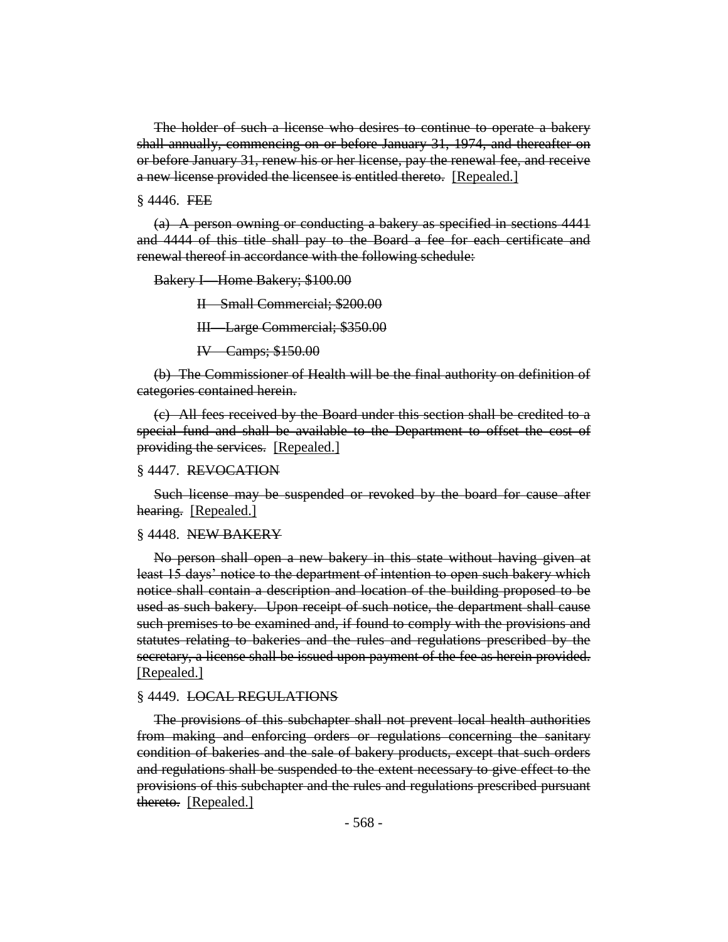The holder of such a license who desires to continue to operate a bakery shall annually, commencing on or before January 31, 1974, and thereafter on or before January 31, renew his or her license, pay the renewal fee, and receive a new license provided the licensee is entitled thereto. [Repealed.]

 $§$  4446. FEE

(a) A person owning or conducting a bakery as specified in sections 4441 and 4444 of this title shall pay to the Board a fee for each certificate and renewal thereof in accordance with the following schedule:

Bakery I—Home Bakery; \$100.00

II—Small Commercial; \$200.00

III—Large Commercial; \$350.00

IV—Camps; \$150.00

(b) The Commissioner of Health will be the final authority on definition of categories contained herein.

(c) All fees received by the Board under this section shall be credited to a special fund and shall be available to the Department to offset the cost of providing the services. [Repealed.]

## § 4447. REVOCATION

Such license may be suspended or revoked by the board for cause after hearing. [Repealed.]

#### § 4448. NEW BAKERY

No person shall open a new bakery in this state without having given at least 15 days' notice to the department of intention to open such bakery which notice shall contain a description and location of the building proposed to be used as such bakery. Upon receipt of such notice, the department shall cause such premises to be examined and, if found to comply with the provisions and statutes relating to bakeries and the rules and regulations prescribed by the secretary, a license shall be issued upon payment of the fee as herein provided. [Repealed.]

#### § 4449. LOCAL REGULATIONS

The provisions of this subchapter shall not prevent local health authorities from making and enforcing orders or regulations concerning the sanitary condition of bakeries and the sale of bakery products, except that such orders and regulations shall be suspended to the extent necessary to give effect to the provisions of this subchapter and the rules and regulations prescribed pursuant thereto. [Repealed.]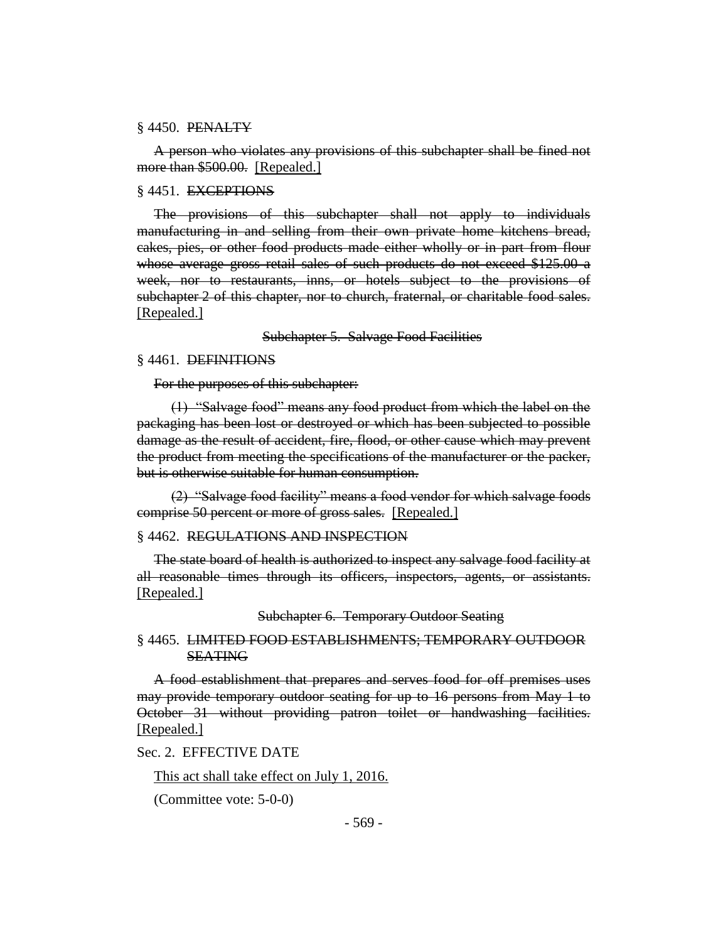#### § 4450. PENALTY

A person who violates any provisions of this subchapter shall be fined not more than \$500.00. [Repealed.]

#### § 4451. EXCEPTIONS

The provisions of this subchapter shall not apply to individuals manufacturing in and selling from their own private home kitchens bread, cakes, pies, or other food products made either wholly or in part from flour whose average gross retail sales of such products do not exceed \$125.00 a week, nor to restaurants, inns, or hotels subject to the provisions of subchapter 2 of this chapter, nor to church, fraternal, or charitable food sales. [Repealed.]

Subchapter 5. Salvage Food Facilities

#### § 4461. DEFINITIONS

For the purposes of this subchapter:

(1) "Salvage food" means any food product from which the label on the packaging has been lost or destroyed or which has been subjected to possible damage as the result of accident, fire, flood, or other cause which may prevent the product from meeting the specifications of the manufacturer or the packer, but is otherwise suitable for human consumption.

(2) "Salvage food facility" means a food vendor for which salvage foods comprise 50 percent or more of gross sales. [Repealed.]

#### § 4462. REGULATIONS AND INSPECTION

The state board of health is authorized to inspect any salvage food facility at all reasonable times through its officers, inspectors, agents, or assistants. [Repealed.]

Subchapter 6. Temporary Outdoor Seating

## § 4465. LIMITED FOOD ESTABLISHMENTS; TEMPORARY OUTDOOR SEATING

A food establishment that prepares and serves food for off premises uses may provide temporary outdoor seating for up to 16 persons from May 1 to October 31 without providing patron toilet or handwashing facilities. [Repealed.]

## Sec. 2. EFFECTIVE DATE

This act shall take effect on July 1, 2016.

(Committee vote: 5-0-0)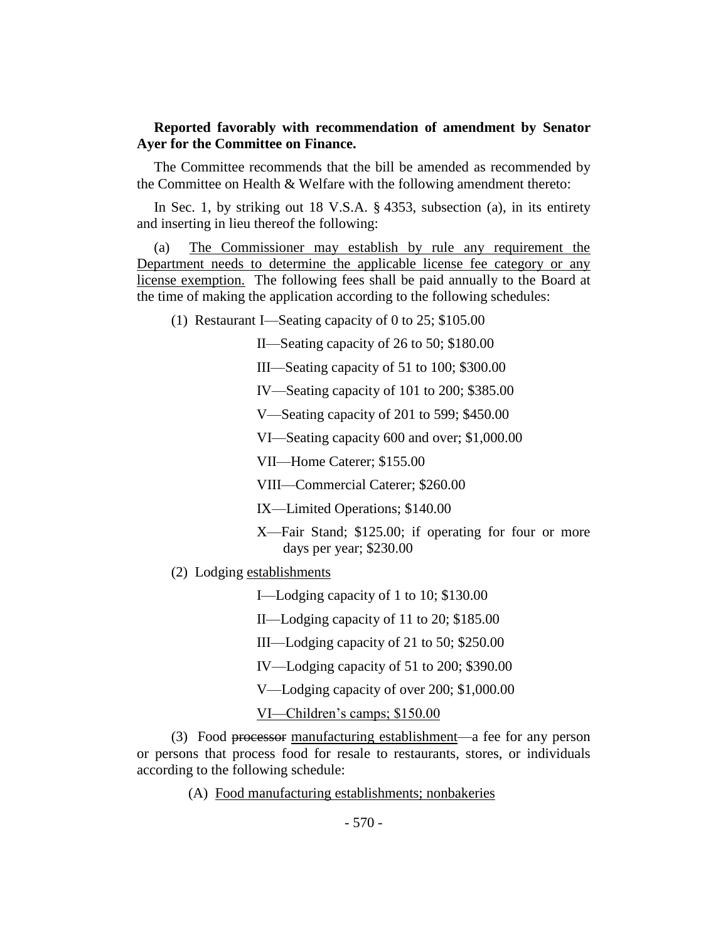# **Reported favorably with recommendation of amendment by Senator Ayer for the Committee on Finance.**

The Committee recommends that the bill be amended as recommended by the Committee on Health & Welfare with the following amendment thereto:

In Sec. 1, by striking out 18 V.S.A. § 4353, subsection (a), in its entirety and inserting in lieu thereof the following:

(a) The Commissioner may establish by rule any requirement the Department needs to determine the applicable license fee category or any license exemption. The following fees shall be paid annually to the Board at the time of making the application according to the following schedules:

(1) Restaurant I—Seating capacity of 0 to 25; \$105.00

II—Seating capacity of 26 to 50; \$180.00

III—Seating capacity of 51 to 100; \$300.00

IV—Seating capacity of 101 to 200; \$385.00

V—Seating capacity of 201 to 599; \$450.00

VI—Seating capacity 600 and over; \$1,000.00

VII—Home Caterer; \$155.00

VIII—Commercial Caterer; \$260.00

IX—Limited Operations; \$140.00

X—Fair Stand; \$125.00; if operating for four or more days per year; \$230.00

(2) Lodging establishments

I—Lodging capacity of 1 to 10; \$130.00

II—Lodging capacity of 11 to 20; \$185.00

III—Lodging capacity of 21 to 50; \$250.00

IV—Lodging capacity of 51 to 200; \$390.00

V—Lodging capacity of over 200; \$1,000.00

VI—Children's camps; \$150.00

(3) Food processor manufacturing establishment—a fee for any person or persons that process food for resale to restaurants, stores, or individuals according to the following schedule:

(A) Food manufacturing establishments; nonbakeries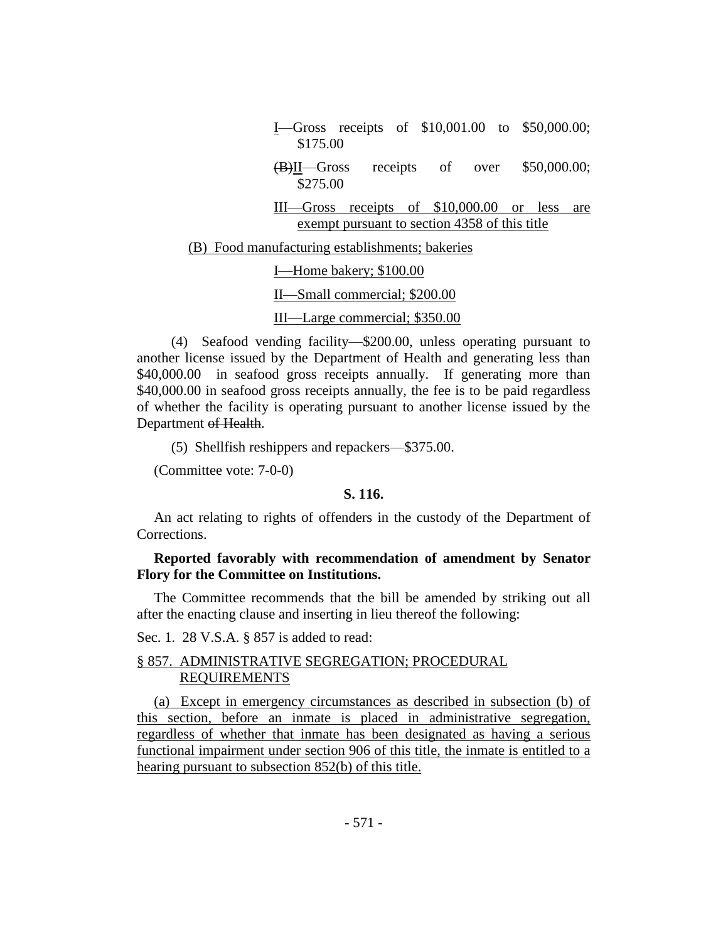| <b>I</b> —Gross receipts of $$10,001.00$ to $$50,000.00;$<br>\$175.00                             |
|---------------------------------------------------------------------------------------------------|
| receipts of over $$50,000.00;$<br>(B)II—Gross<br>\$275.00                                         |
| III—Gross receipts of \$10,000.00 or less<br>are<br>exempt pursuant to section 4358 of this title |
| (B) Food manufacturing establishments; bakeries                                                   |
| I—Home bakery; \$100.00                                                                           |
| II—Small commercial; \$200.00                                                                     |
| III—Large commercial; \$350.00                                                                    |

(4) Seafood vending facility—\$200.00, unless operating pursuant to another license issued by the Department of Health and generating less than \$40,000.00 in seafood gross receipts annually. If generating more than \$40,000.00 in seafood gross receipts annually, the fee is to be paid regardless of whether the facility is operating pursuant to another license issued by the Department of Health.

(5) Shellfish reshippers and repackers—\$375.00.

(Committee vote: 7-0-0)

#### **S. 116.**

An act relating to rights of offenders in the custody of the Department of Corrections.

## **Reported favorably with recommendation of amendment by Senator Flory for the Committee on Institutions.**

The Committee recommends that the bill be amended by striking out all after the enacting clause and inserting in lieu thereof the following:

Sec. 1. 28 V.S.A. § 857 is added to read:

# § 857. ADMINISTRATIVE SEGREGATION; PROCEDURAL REQUIREMENTS

(a) Except in emergency circumstances as described in subsection (b) of this section, before an inmate is placed in administrative segregation, regardless of whether that inmate has been designated as having a serious functional impairment under section 906 of this title, the inmate is entitled to a hearing pursuant to subsection 852(b) of this title.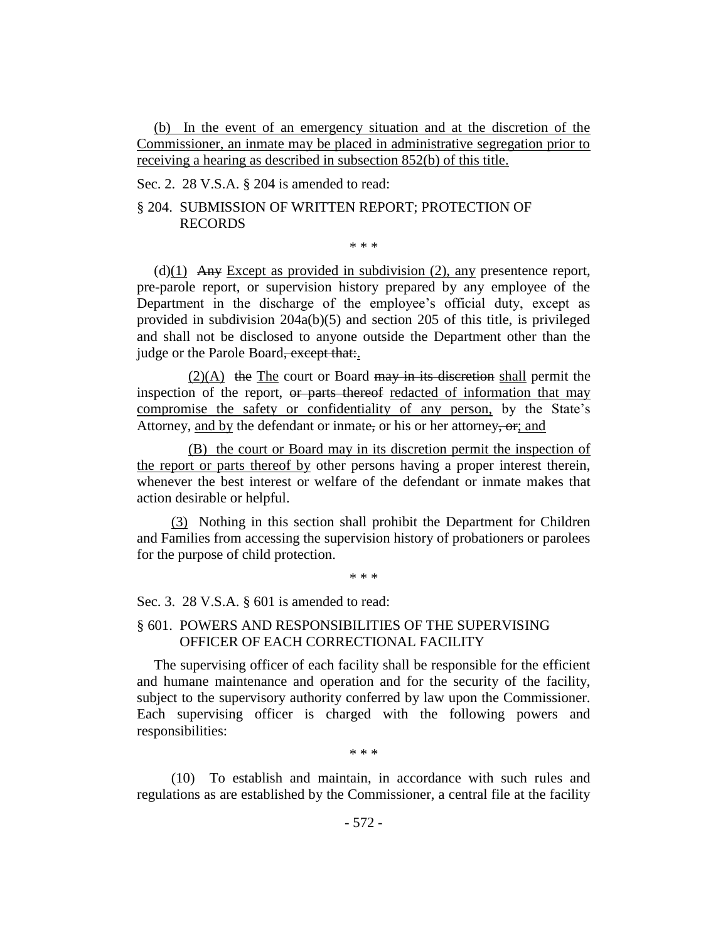(b) In the event of an emergency situation and at the discretion of the Commissioner, an inmate may be placed in administrative segregation prior to receiving a hearing as described in subsection 852(b) of this title.

Sec. 2. 28 V.S.A. § 204 is amended to read:

## § 204. SUBMISSION OF WRITTEN REPORT; PROTECTION OF RECORDS

\* \* \*

(d) $(1)$  Any Except as provided in subdivision (2), any presentence report, pre-parole report, or supervision history prepared by any employee of the Department in the discharge of the employee's official duty, except as provided in subdivision 204a(b)(5) and section 205 of this title, is privileged and shall not be disclosed to anyone outside the Department other than the judge or the Parole Board, except that:.

 $(2)(A)$  the The court or Board may in its discretion shall permit the inspection of the report, or parts thereof redacted of information that may compromise the safety or confidentiality of any person, by the State's Attorney, and by the defendant or inmate, or his or her attorney, or, and

(B) the court or Board may in its discretion permit the inspection of the report or parts thereof by other persons having a proper interest therein, whenever the best interest or welfare of the defendant or inmate makes that action desirable or helpful.

(3) Nothing in this section shall prohibit the Department for Children and Families from accessing the supervision history of probationers or parolees for the purpose of child protection.

\* \* \*

Sec. 3. 28 V.S.A. § 601 is amended to read:

## § 601. POWERS AND RESPONSIBILITIES OF THE SUPERVISING OFFICER OF EACH CORRECTIONAL FACILITY

The supervising officer of each facility shall be responsible for the efficient and humane maintenance and operation and for the security of the facility, subject to the supervisory authority conferred by law upon the Commissioner. Each supervising officer is charged with the following powers and responsibilities:

\* \* \*

(10) To establish and maintain, in accordance with such rules and regulations as are established by the Commissioner, a central file at the facility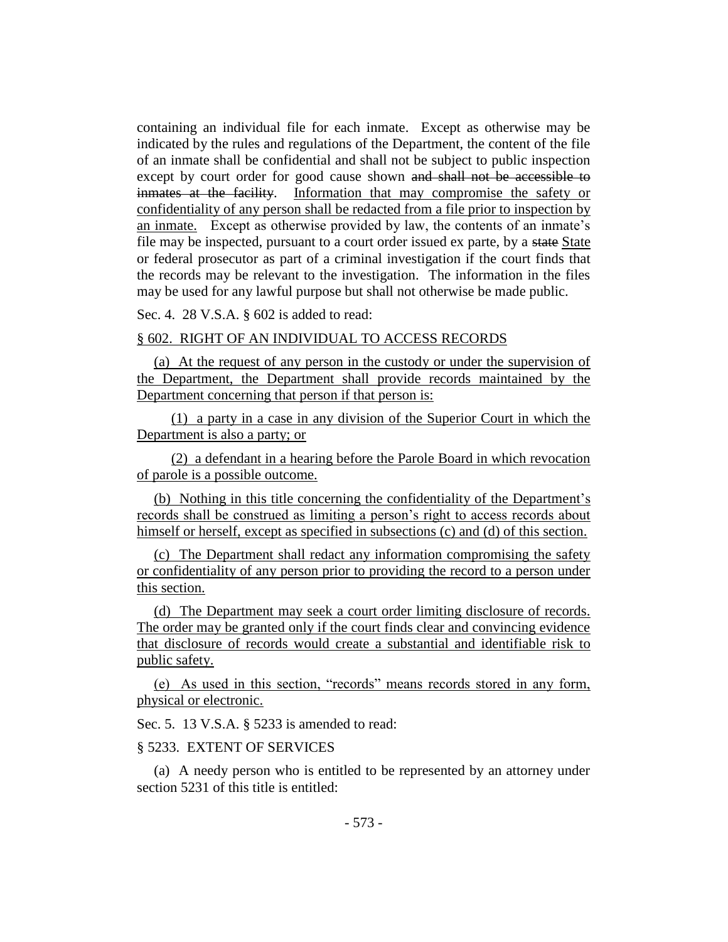containing an individual file for each inmate. Except as otherwise may be indicated by the rules and regulations of the Department, the content of the file of an inmate shall be confidential and shall not be subject to public inspection except by court order for good cause shown and shall not be accessible to inmates at the facility. Information that may compromise the safety or confidentiality of any person shall be redacted from a file prior to inspection by an inmate. Except as otherwise provided by law, the contents of an inmate's file may be inspected, pursuant to a court order issued ex parte, by a state State or federal prosecutor as part of a criminal investigation if the court finds that the records may be relevant to the investigation. The information in the files may be used for any lawful purpose but shall not otherwise be made public.

Sec. 4. 28 V.S.A. § 602 is added to read:

#### § 602. RIGHT OF AN INDIVIDUAL TO ACCESS RECORDS

(a) At the request of any person in the custody or under the supervision of the Department, the Department shall provide records maintained by the Department concerning that person if that person is:

(1) a party in a case in any division of the Superior Court in which the Department is also a party; or

(2) a defendant in a hearing before the Parole Board in which revocation of parole is a possible outcome.

(b) Nothing in this title concerning the confidentiality of the Department's records shall be construed as limiting a person's right to access records about himself or herself, except as specified in subsections (c) and (d) of this section.

(c) The Department shall redact any information compromising the safety or confidentiality of any person prior to providing the record to a person under this section.

(d) The Department may seek a court order limiting disclosure of records. The order may be granted only if the court finds clear and convincing evidence that disclosure of records would create a substantial and identifiable risk to public safety.

(e) As used in this section, "records" means records stored in any form, physical or electronic.

Sec. 5. 13 V.S.A. § 5233 is amended to read:

# § 5233. EXTENT OF SERVICES

(a) A needy person who is entitled to be represented by an attorney under section 5231 of this title is entitled: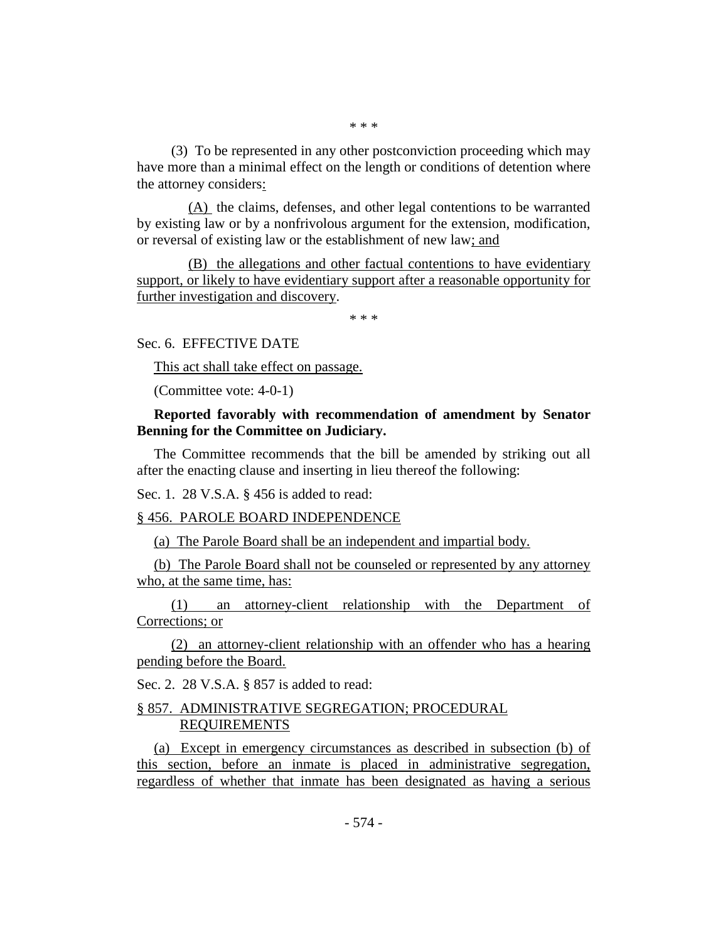\* \* \*

(3) To be represented in any other postconviction proceeding which may have more than a minimal effect on the length or conditions of detention where the attorney considers:

(A) the claims, defenses, and other legal contentions to be warranted by existing law or by a nonfrivolous argument for the extension, modification, or reversal of existing law or the establishment of new law; and

(B) the allegations and other factual contentions to have evidentiary support, or likely to have evidentiary support after a reasonable opportunity for further investigation and discovery.

\* \* \*

Sec. 6. EFFECTIVE DATE

This act shall take effect on passage.

(Committee vote: 4-0-1)

**Reported favorably with recommendation of amendment by Senator Benning for the Committee on Judiciary.**

The Committee recommends that the bill be amended by striking out all after the enacting clause and inserting in lieu thereof the following:

Sec. 1. 28 V.S.A. § 456 is added to read:

#### § 456. PAROLE BOARD INDEPENDENCE

(a) The Parole Board shall be an independent and impartial body.

(b) The Parole Board shall not be counseled or represented by any attorney who, at the same time, has:

(1) an attorney-client relationship with the Department of Corrections; or

(2) an attorney-client relationship with an offender who has a hearing pending before the Board.

Sec. 2. 28 V.S.A. § 857 is added to read:

# § 857. ADMINISTRATIVE SEGREGATION; PROCEDURAL REQUIREMENTS

(a) Except in emergency circumstances as described in subsection (b) of this section, before an inmate is placed in administrative segregation, regardless of whether that inmate has been designated as having a serious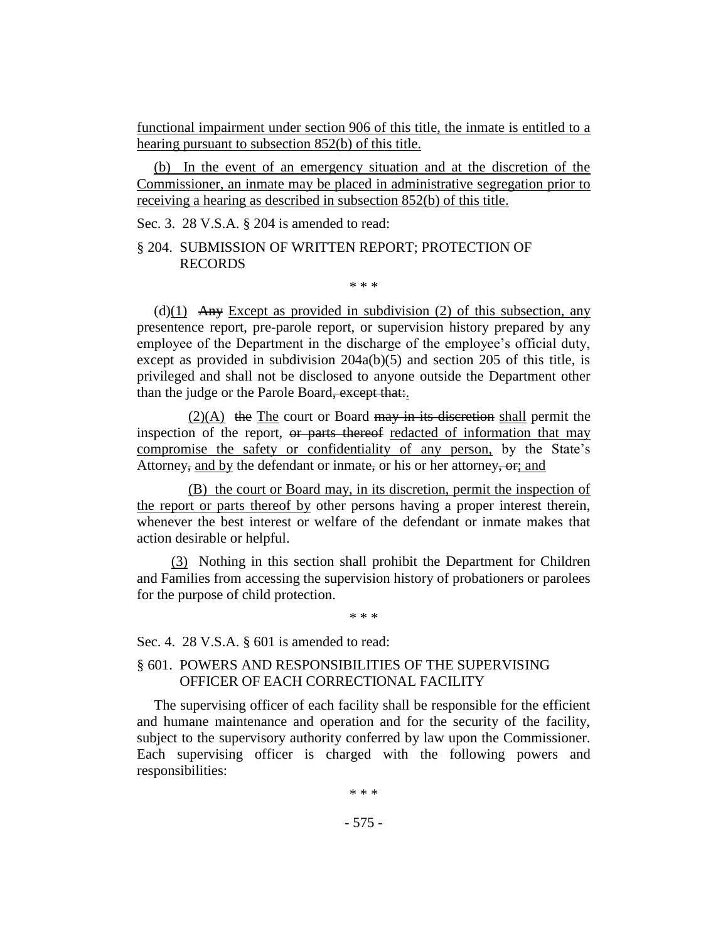functional impairment under section 906 of this title, the inmate is entitled to a hearing pursuant to subsection 852(b) of this title.

(b) In the event of an emergency situation and at the discretion of the Commissioner, an inmate may be placed in administrative segregation prior to receiving a hearing as described in subsection 852(b) of this title.

Sec. 3. 28 V.S.A. § 204 is amended to read:

## § 204. SUBMISSION OF WRITTEN REPORT; PROTECTION OF RECORDS

\* \* \*

(d) $(1)$  Any Except as provided in subdivision (2) of this subsection, any presentence report, pre-parole report, or supervision history prepared by any employee of the Department in the discharge of the employee's official duty, except as provided in subdivision 204a(b)(5) and section 205 of this title, is privileged and shall not be disclosed to anyone outside the Department other than the judge or the Parole Board, except that.

 $(2)(A)$  the The court or Board may in its discretion shall permit the inspection of the report, or parts thereof redacted of information that may compromise the safety or confidentiality of any person, by the State's Attorney, and by the defendant or inmate, or his or her attorney, or, and

(B) the court or Board may, in its discretion, permit the inspection of the report or parts thereof by other persons having a proper interest therein, whenever the best interest or welfare of the defendant or inmate makes that action desirable or helpful.

(3) Nothing in this section shall prohibit the Department for Children and Families from accessing the supervision history of probationers or parolees for the purpose of child protection.

\* \* \*

Sec. 4. 28 V.S.A. § 601 is amended to read:

# § 601. POWERS AND RESPONSIBILITIES OF THE SUPERVISING OFFICER OF EACH CORRECTIONAL FACILITY

The supervising officer of each facility shall be responsible for the efficient and humane maintenance and operation and for the security of the facility, subject to the supervisory authority conferred by law upon the Commissioner. Each supervising officer is charged with the following powers and responsibilities:

\* \* \*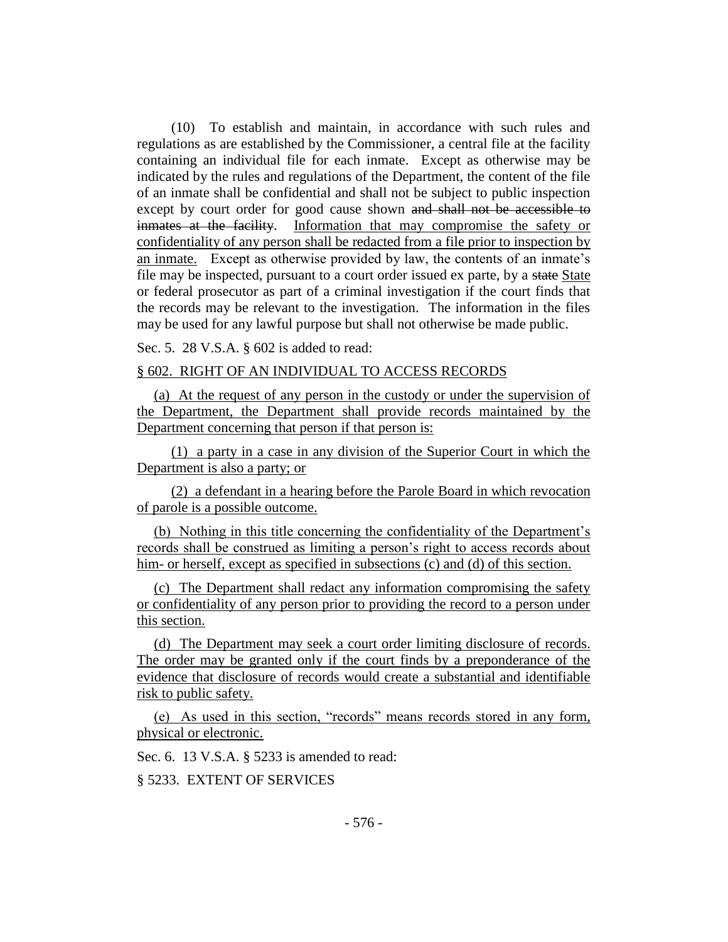(10) To establish and maintain, in accordance with such rules and regulations as are established by the Commissioner, a central file at the facility containing an individual file for each inmate. Except as otherwise may be indicated by the rules and regulations of the Department, the content of the file of an inmate shall be confidential and shall not be subject to public inspection except by court order for good cause shown and shall not be accessible to inmates at the facility. Information that may compromise the safety or confidentiality of any person shall be redacted from a file prior to inspection by an inmate. Except as otherwise provided by law, the contents of an inmate's file may be inspected, pursuant to a court order issued ex parte, by a state State or federal prosecutor as part of a criminal investigation if the court finds that the records may be relevant to the investigation. The information in the files may be used for any lawful purpose but shall not otherwise be made public.

Sec. 5. 28 V.S.A. § 602 is added to read:

## § 602. RIGHT OF AN INDIVIDUAL TO ACCESS RECORDS

(a) At the request of any person in the custody or under the supervision of the Department, the Department shall provide records maintained by the Department concerning that person if that person is:

(1) a party in a case in any division of the Superior Court in which the Department is also a party; or

(2) a defendant in a hearing before the Parole Board in which revocation of parole is a possible outcome.

(b) Nothing in this title concerning the confidentiality of the Department's records shall be construed as limiting a person's right to access records about him- or herself, except as specified in subsections (c) and (d) of this section.

(c) The Department shall redact any information compromising the safety or confidentiality of any person prior to providing the record to a person under this section.

(d) The Department may seek a court order limiting disclosure of records. The order may be granted only if the court finds by a preponderance of the evidence that disclosure of records would create a substantial and identifiable risk to public safety.

(e) As used in this section, "records" means records stored in any form, physical or electronic.

Sec. 6. 13 V.S.A. § 5233 is amended to read:

§ 5233. EXTENT OF SERVICES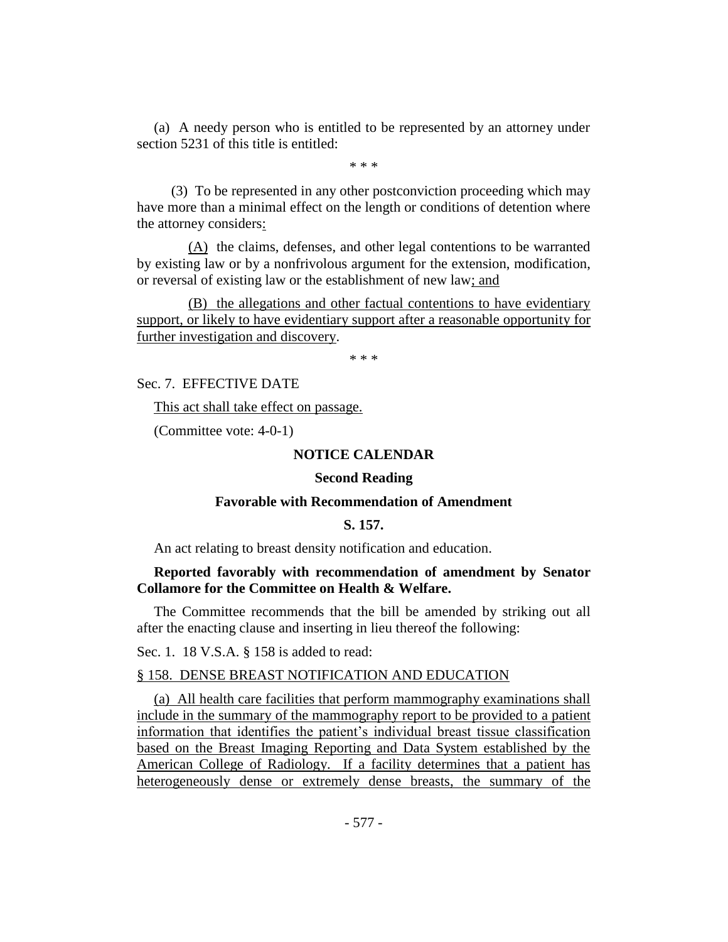(a) A needy person who is entitled to be represented by an attorney under section 5231 of this title is entitled:

\* \* \*

(3) To be represented in any other postconviction proceeding which may have more than a minimal effect on the length or conditions of detention where the attorney considers:

(A) the claims, defenses, and other legal contentions to be warranted by existing law or by a nonfrivolous argument for the extension, modification, or reversal of existing law or the establishment of new law; and

(B) the allegations and other factual contentions to have evidentiary support, or likely to have evidentiary support after a reasonable opportunity for further investigation and discovery.

\* \* \*

Sec. 7. EFFECTIVE DATE

This act shall take effect on passage.

(Committee vote: 4-0-1)

## **NOTICE CALENDAR**

## **Second Reading**

## **Favorable with Recommendation of Amendment**

## **S. 157.**

An act relating to breast density notification and education.

# **Reported favorably with recommendation of amendment by Senator Collamore for the Committee on Health & Welfare.**

The Committee recommends that the bill be amended by striking out all after the enacting clause and inserting in lieu thereof the following:

Sec. 1. 18 V.S.A. § 158 is added to read:

## § 158. DENSE BREAST NOTIFICATION AND EDUCATION

(a) All health care facilities that perform mammography examinations shall include in the summary of the mammography report to be provided to a patient information that identifies the patient's individual breast tissue classification based on the Breast Imaging Reporting and Data System established by the American College of Radiology. If a facility determines that a patient has heterogeneously dense or extremely dense breasts, the summary of the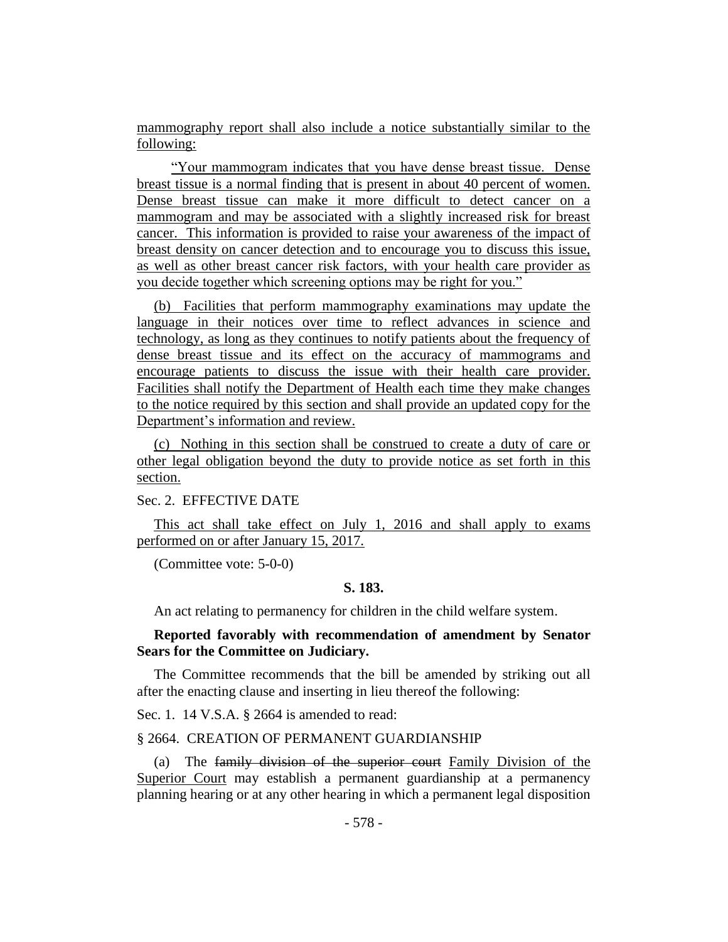mammography report shall also include a notice substantially similar to the following:

"Your mammogram indicates that you have dense breast tissue. Dense breast tissue is a normal finding that is present in about 40 percent of women. Dense breast tissue can make it more difficult to detect cancer on a mammogram and may be associated with a slightly increased risk for breast cancer. This information is provided to raise your awareness of the impact of breast density on cancer detection and to encourage you to discuss this issue, as well as other breast cancer risk factors, with your health care provider as you decide together which screening options may be right for you."

(b) Facilities that perform mammography examinations may update the language in their notices over time to reflect advances in science and technology, as long as they continues to notify patients about the frequency of dense breast tissue and its effect on the accuracy of mammograms and encourage patients to discuss the issue with their health care provider. Facilities shall notify the Department of Health each time they make changes to the notice required by this section and shall provide an updated copy for the Department's information and review.

(c) Nothing in this section shall be construed to create a duty of care or other legal obligation beyond the duty to provide notice as set forth in this section.

Sec. 2. EFFECTIVE DATE

This act shall take effect on July 1, 2016 and shall apply to exams performed on or after January 15, 2017.

(Committee vote: 5-0-0)

## **S. 183.**

An act relating to permanency for children in the child welfare system.

# **Reported favorably with recommendation of amendment by Senator Sears for the Committee on Judiciary.**

The Committee recommends that the bill be amended by striking out all after the enacting clause and inserting in lieu thereof the following:

Sec. 1. 14 V.S.A. § 2664 is amended to read:

#### § 2664. CREATION OF PERMANENT GUARDIANSHIP

(a) The family division of the superior court Family Division of the Superior Court may establish a permanent guardianship at a permanency planning hearing or at any other hearing in which a permanent legal disposition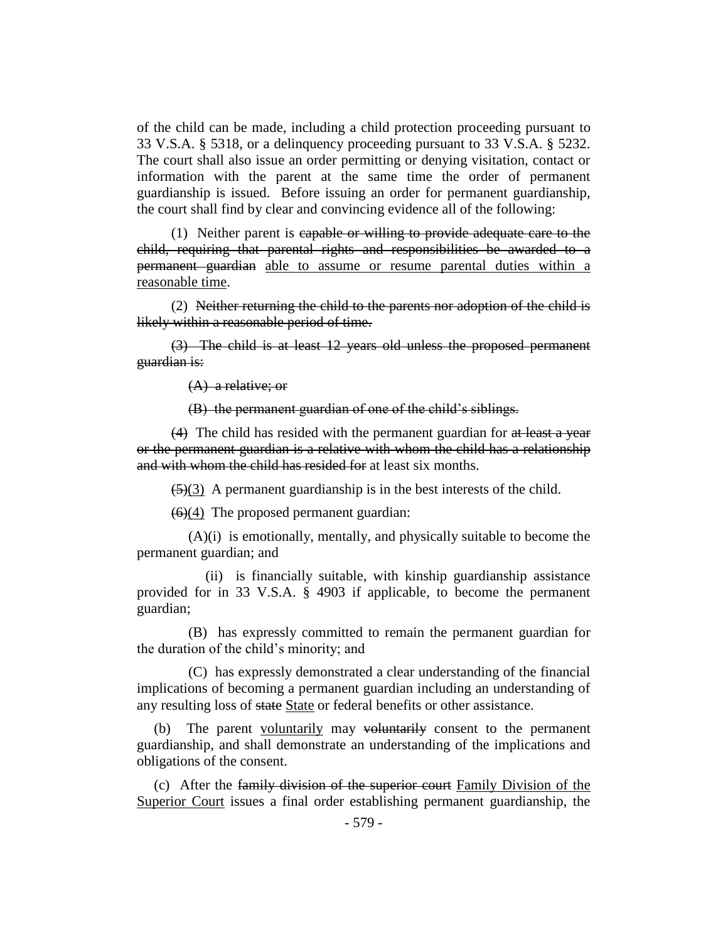of the child can be made, including a child protection proceeding pursuant to 33 V.S.A. § 5318, or a delinquency proceeding pursuant to 33 V.S.A. § 5232. The court shall also issue an order permitting or denying visitation, contact or information with the parent at the same time the order of permanent guardianship is issued. Before issuing an order for permanent guardianship, the court shall find by clear and convincing evidence all of the following:

(1) Neither parent is capable or willing to provide adequate care to the child, requiring that parental rights and responsibilities be awarded to a permanent guardian able to assume or resume parental duties within a reasonable time.

(2) Neither returning the child to the parents nor adoption of the child is likely within a reasonable period of time.

(3) The child is at least 12 years old unless the proposed permanent guardian is:

(A) a relative; or

(B) the permanent guardian of one of the child's siblings.

(4) The child has resided with the permanent guardian for at least a year or the permanent guardian is a relative with whom the child has a relationship and with whom the child has resided for at least six months.

 $\left(\frac{5}{3}\right)$  A permanent guardianship is in the best interests of the child.

 $(6)(4)$  The proposed permanent guardian:

(A)(i) is emotionally, mentally, and physically suitable to become the permanent guardian; and

(ii) is financially suitable, with kinship guardianship assistance provided for in 33 V.S.A. § 4903 if applicable, to become the permanent guardian;

(B) has expressly committed to remain the permanent guardian for the duration of the child's minority; and

(C) has expressly demonstrated a clear understanding of the financial implications of becoming a permanent guardian including an understanding of any resulting loss of state State or federal benefits or other assistance.

(b) The parent voluntarily may voluntarily consent to the permanent guardianship, and shall demonstrate an understanding of the implications and obligations of the consent.

(c) After the family division of the superior court Family Division of the Superior Court issues a final order establishing permanent guardianship, the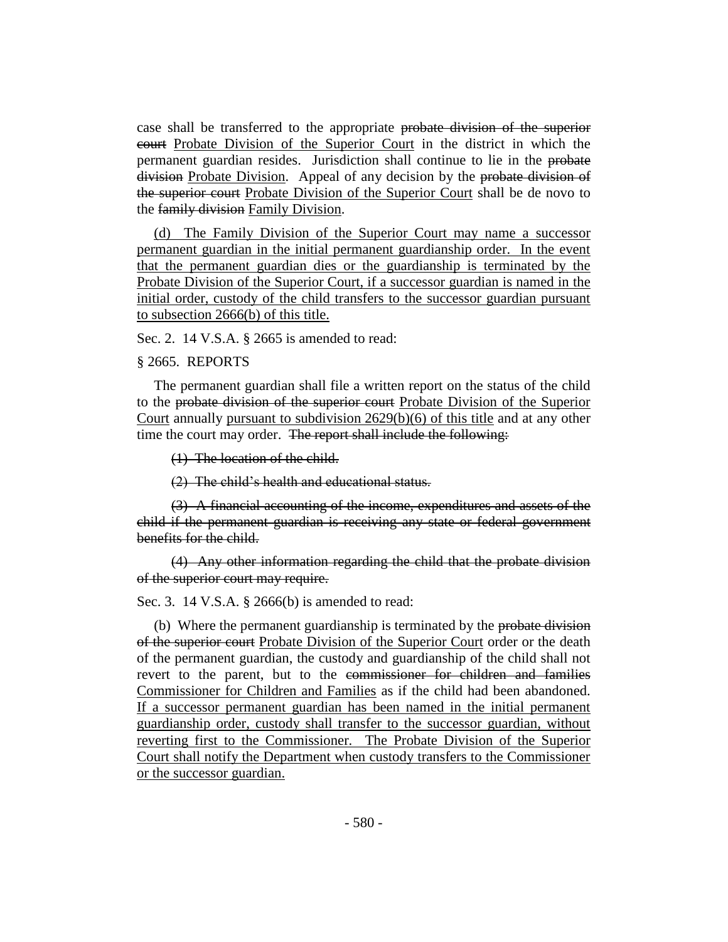case shall be transferred to the appropriate probate division of the superior court Probate Division of the Superior Court in the district in which the permanent guardian resides. Jurisdiction shall continue to lie in the probate division Probate Division. Appeal of any decision by the probate division of the superior court Probate Division of the Superior Court shall be de novo to the family division Family Division.

(d) The Family Division of the Superior Court may name a successor permanent guardian in the initial permanent guardianship order. In the event that the permanent guardian dies or the guardianship is terminated by the Probate Division of the Superior Court, if a successor guardian is named in the initial order, custody of the child transfers to the successor guardian pursuant to subsection 2666(b) of this title.

Sec. 2. 14 V.S.A. § 2665 is amended to read:

## § 2665. REPORTS

The permanent guardian shall file a written report on the status of the child to the probate division of the superior court Probate Division of the Superior Court annually pursuant to subdivision 2629(b)(6) of this title and at any other time the court may order. The report shall include the following:

(1) The location of the child.

(2) The child's health and educational status.

(3) A financial accounting of the income, expenditures and assets of the child if the permanent guardian is receiving any state or federal government benefits for the child.

(4) Any other information regarding the child that the probate division of the superior court may require.

Sec. 3. 14 V.S.A. § 2666(b) is amended to read:

(b) Where the permanent guardianship is terminated by the probate division of the superior court Probate Division of the Superior Court order or the death of the permanent guardian, the custody and guardianship of the child shall not revert to the parent, but to the commissioner for children and families Commissioner for Children and Families as if the child had been abandoned. If a successor permanent guardian has been named in the initial permanent guardianship order, custody shall transfer to the successor guardian, without reverting first to the Commissioner. The Probate Division of the Superior Court shall notify the Department when custody transfers to the Commissioner or the successor guardian.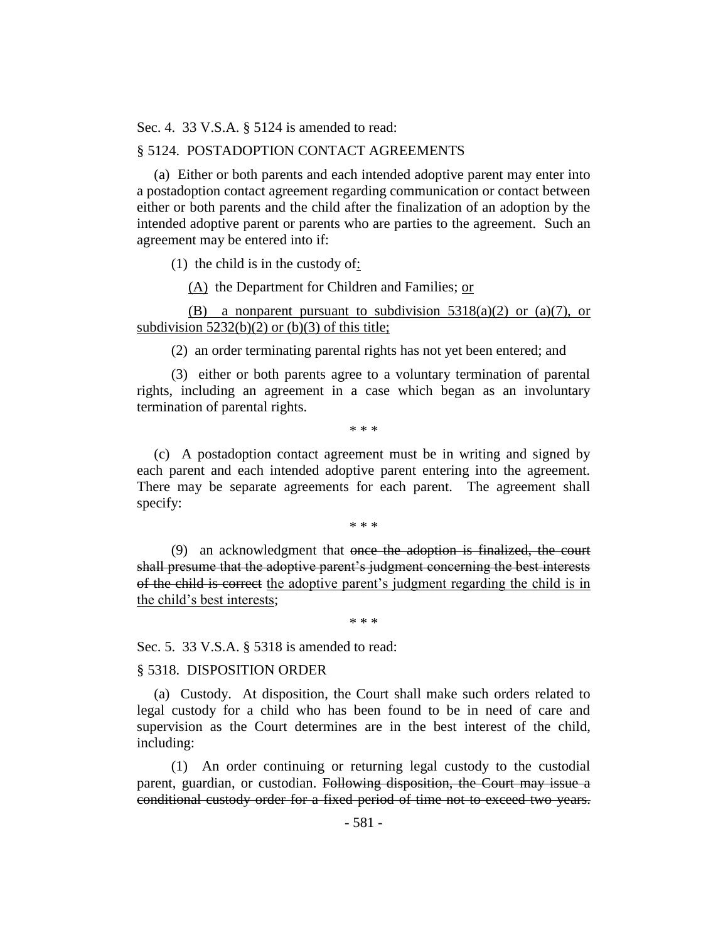Sec. 4. 33 V.S.A. § 5124 is amended to read:

#### § 5124. POSTADOPTION CONTACT AGREEMENTS

(a) Either or both parents and each intended adoptive parent may enter into a postadoption contact agreement regarding communication or contact between either or both parents and the child after the finalization of an adoption by the intended adoptive parent or parents who are parties to the agreement. Such an agreement may be entered into if:

(1) the child is in the custody of:

(A) the Department for Children and Families; or

(B) a nonparent pursuant to subdivision  $5318(a)(2)$  or  $(a)(7)$ , or subdivision  $5232(b)(2)$  or (b)(3) of this title;

(2) an order terminating parental rights has not yet been entered; and

(3) either or both parents agree to a voluntary termination of parental rights, including an agreement in a case which began as an involuntary termination of parental rights.

\* \* \*

(c) A postadoption contact agreement must be in writing and signed by each parent and each intended adoptive parent entering into the agreement. There may be separate agreements for each parent. The agreement shall specify:

\* \* \*

(9) an acknowledgment that once the adoption is finalized, the court shall presume that the adoptive parent's judgment concerning the best interests of the child is correct the adoptive parent's judgment regarding the child is in the child's best interests;

\* \* \*

Sec. 5. 33 V.S.A. § 5318 is amended to read:

## § 5318. DISPOSITION ORDER

(a) Custody. At disposition, the Court shall make such orders related to legal custody for a child who has been found to be in need of care and supervision as the Court determines are in the best interest of the child, including:

(1) An order continuing or returning legal custody to the custodial parent, guardian, or custodian. Following disposition, the Court may issue a conditional custody order for a fixed period of time not to exceed two years.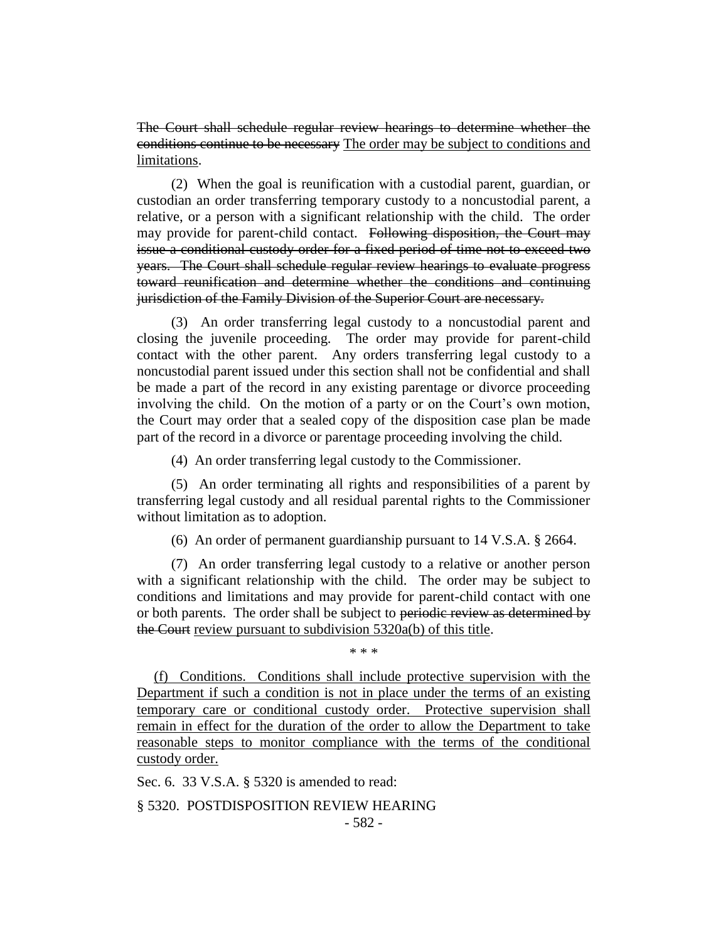The Court shall schedule regular review hearings to determine whether the conditions continue to be necessary The order may be subject to conditions and limitations.

(2) When the goal is reunification with a custodial parent, guardian, or custodian an order transferring temporary custody to a noncustodial parent, a relative, or a person with a significant relationship with the child. The order may provide for parent-child contact. Following disposition, the Court may issue a conditional custody order for a fixed period of time not to exceed two years. The Court shall schedule regular review hearings to evaluate progress toward reunification and determine whether the conditions and continuing jurisdiction of the Family Division of the Superior Court are necessary.

(3) An order transferring legal custody to a noncustodial parent and closing the juvenile proceeding. The order may provide for parent-child contact with the other parent. Any orders transferring legal custody to a noncustodial parent issued under this section shall not be confidential and shall be made a part of the record in any existing parentage or divorce proceeding involving the child. On the motion of a party or on the Court's own motion, the Court may order that a sealed copy of the disposition case plan be made part of the record in a divorce or parentage proceeding involving the child.

(4) An order transferring legal custody to the Commissioner.

(5) An order terminating all rights and responsibilities of a parent by transferring legal custody and all residual parental rights to the Commissioner without limitation as to adoption.

(6) An order of permanent guardianship pursuant to 14 V.S.A. § 2664.

(7) An order transferring legal custody to a relative or another person with a significant relationship with the child. The order may be subject to conditions and limitations and may provide for parent-child contact with one or both parents. The order shall be subject to periodic review as determined by the Court review pursuant to subdivision 5320a(b) of this title.

\* \* \*

(f) Conditions. Conditions shall include protective supervision with the Department if such a condition is not in place under the terms of an existing temporary care or conditional custody order. Protective supervision shall remain in effect for the duration of the order to allow the Department to take reasonable steps to monitor compliance with the terms of the conditional custody order.

Sec. 6. 33 V.S.A. § 5320 is amended to read:

§ 5320. POSTDISPOSITION REVIEW HEARING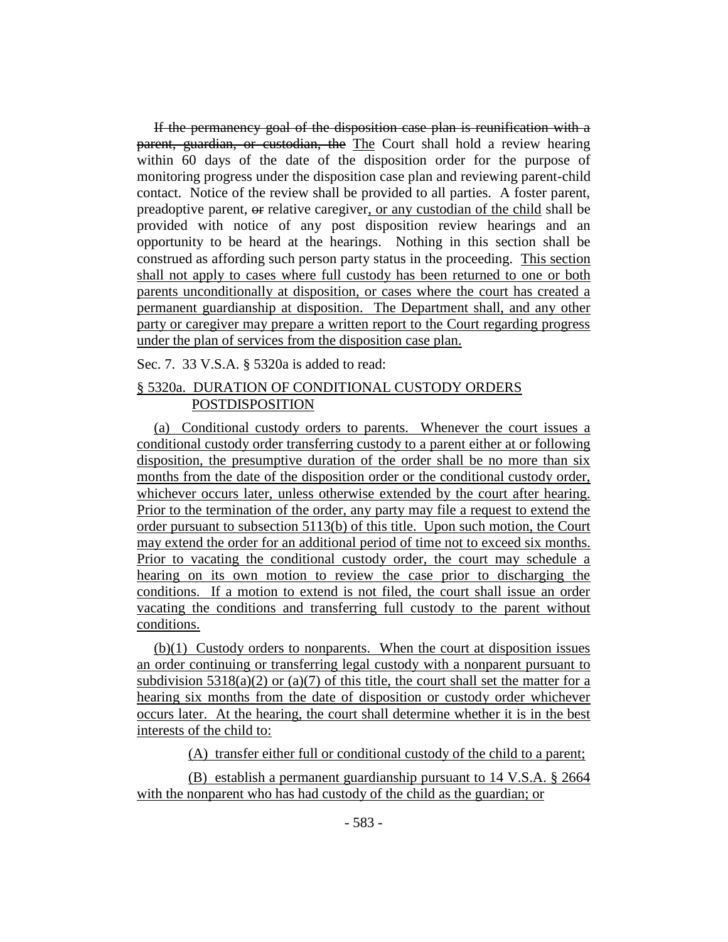If the permanency goal of the disposition case plan is reunification with a parent, guardian, or custodian, the The Court shall hold a review hearing within 60 days of the date of the disposition order for the purpose of monitoring progress under the disposition case plan and reviewing parent-child contact. Notice of the review shall be provided to all parties. A foster parent, preadoptive parent, or relative caregiver, or any custodian of the child shall be provided with notice of any post disposition review hearings and an opportunity to be heard at the hearings. Nothing in this section shall be construed as affording such person party status in the proceeding. This section shall not apply to cases where full custody has been returned to one or both parents unconditionally at disposition, or cases where the court has created a permanent guardianship at disposition. The Department shall, and any other party or caregiver may prepare a written report to the Court regarding progress under the plan of services from the disposition case plan.

Sec. 7. 33 V.S.A. § 5320a is added to read:

# § 5320a. DURATION OF CONDITIONAL CUSTODY ORDERS POSTDISPOSITION

(a) Conditional custody orders to parents. Whenever the court issues a conditional custody order transferring custody to a parent either at or following disposition, the presumptive duration of the order shall be no more than six months from the date of the disposition order or the conditional custody order, whichever occurs later, unless otherwise extended by the court after hearing. Prior to the termination of the order, any party may file a request to extend the order pursuant to subsection 5113(b) of this title. Upon such motion, the Court may extend the order for an additional period of time not to exceed six months. Prior to vacating the conditional custody order, the court may schedule a hearing on its own motion to review the case prior to discharging the conditions. If a motion to extend is not filed, the court shall issue an order vacating the conditions and transferring full custody to the parent without conditions.

(b)(1) Custody orders to nonparents. When the court at disposition issues an order continuing or transferring legal custody with a nonparent pursuant to subdivision  $5318(a)(2)$  or  $(a)(7)$  of this title, the court shall set the matter for a hearing six months from the date of disposition or custody order whichever occurs later. At the hearing, the court shall determine whether it is in the best interests of the child to:

(A) transfer either full or conditional custody of the child to a parent;

(B) establish a permanent guardianship pursuant to 14 V.S.A. § 2664 with the nonparent who has had custody of the child as the guardian; or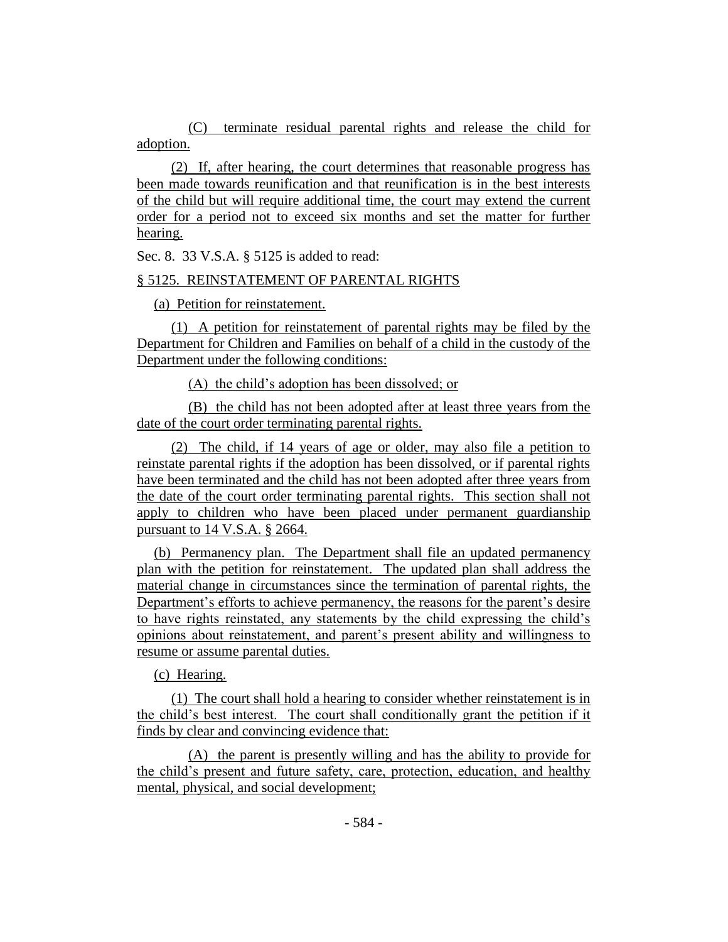(C) terminate residual parental rights and release the child for adoption.

(2) If, after hearing, the court determines that reasonable progress has been made towards reunification and that reunification is in the best interests of the child but will require additional time, the court may extend the current order for a period not to exceed six months and set the matter for further hearing.

Sec. 8. 33 V.S.A. § 5125 is added to read:

# § 5125. REINSTATEMENT OF PARENTAL RIGHTS

(a) Petition for reinstatement.

(1) A petition for reinstatement of parental rights may be filed by the Department for Children and Families on behalf of a child in the custody of the Department under the following conditions:

(A) the child's adoption has been dissolved; or

(B) the child has not been adopted after at least three years from the date of the court order terminating parental rights.

(2) The child, if 14 years of age or older, may also file a petition to reinstate parental rights if the adoption has been dissolved, or if parental rights have been terminated and the child has not been adopted after three years from the date of the court order terminating parental rights. This section shall not apply to children who have been placed under permanent guardianship pursuant to 14 V.S.A. § 2664.

(b) Permanency plan. The Department shall file an updated permanency plan with the petition for reinstatement. The updated plan shall address the material change in circumstances since the termination of parental rights, the Department's efforts to achieve permanency, the reasons for the parent's desire to have rights reinstated, any statements by the child expressing the child's opinions about reinstatement, and parent's present ability and willingness to resume or assume parental duties.

(c) Hearing.

(1) The court shall hold a hearing to consider whether reinstatement is in the child's best interest. The court shall conditionally grant the petition if it finds by clear and convincing evidence that:

(A) the parent is presently willing and has the ability to provide for the child's present and future safety, care, protection, education, and healthy mental, physical, and social development;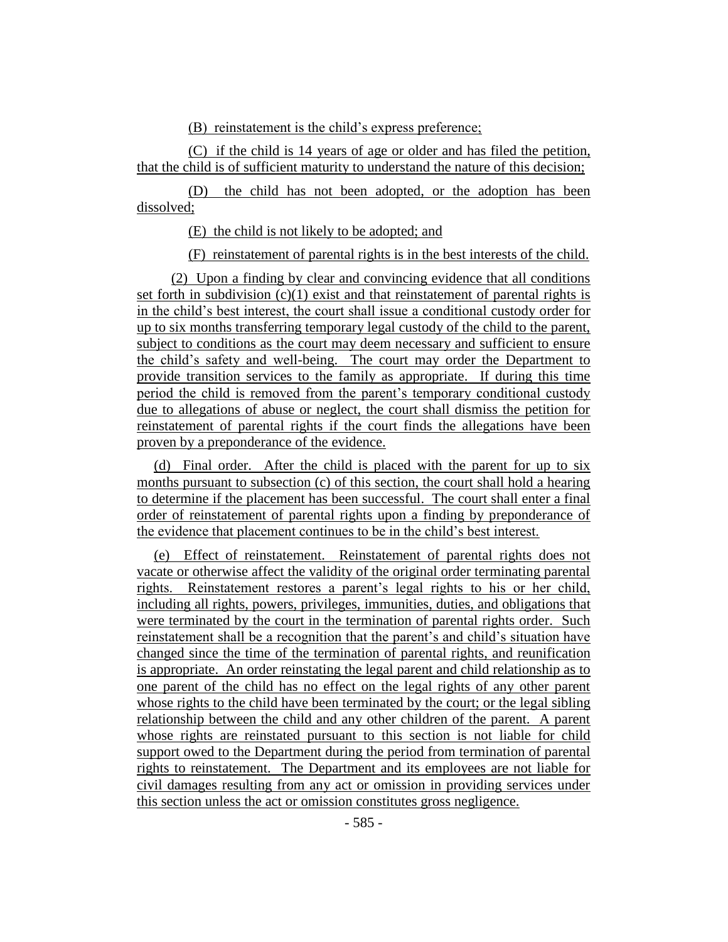(B) reinstatement is the child's express preference;

(C) if the child is 14 years of age or older and has filed the petition, that the child is of sufficient maturity to understand the nature of this decision;

(D) the child has not been adopted, or the adoption has been dissolved;

(E) the child is not likely to be adopted; and

(F) reinstatement of parental rights is in the best interests of the child.

(2) Upon a finding by clear and convincing evidence that all conditions set forth in subdivision  $(c)(1)$  exist and that reinstatement of parental rights is in the child's best interest, the court shall issue a conditional custody order for up to six months transferring temporary legal custody of the child to the parent, subject to conditions as the court may deem necessary and sufficient to ensure the child's safety and well-being. The court may order the Department to provide transition services to the family as appropriate. If during this time period the child is removed from the parent's temporary conditional custody due to allegations of abuse or neglect, the court shall dismiss the petition for reinstatement of parental rights if the court finds the allegations have been proven by a preponderance of the evidence.

(d) Final order. After the child is placed with the parent for up to six months pursuant to subsection (c) of this section, the court shall hold a hearing to determine if the placement has been successful. The court shall enter a final order of reinstatement of parental rights upon a finding by preponderance of the evidence that placement continues to be in the child's best interest.

(e) Effect of reinstatement. Reinstatement of parental rights does not vacate or otherwise affect the validity of the original order terminating parental rights. Reinstatement restores a parent's legal rights to his or her child, including all rights, powers, privileges, immunities, duties, and obligations that were terminated by the court in the termination of parental rights order. Such reinstatement shall be a recognition that the parent's and child's situation have changed since the time of the termination of parental rights, and reunification is appropriate. An order reinstating the legal parent and child relationship as to one parent of the child has no effect on the legal rights of any other parent whose rights to the child have been terminated by the court; or the legal sibling relationship between the child and any other children of the parent. A parent whose rights are reinstated pursuant to this section is not liable for child support owed to the Department during the period from termination of parental rights to reinstatement. The Department and its employees are not liable for civil damages resulting from any act or omission in providing services under this section unless the act or omission constitutes gross negligence.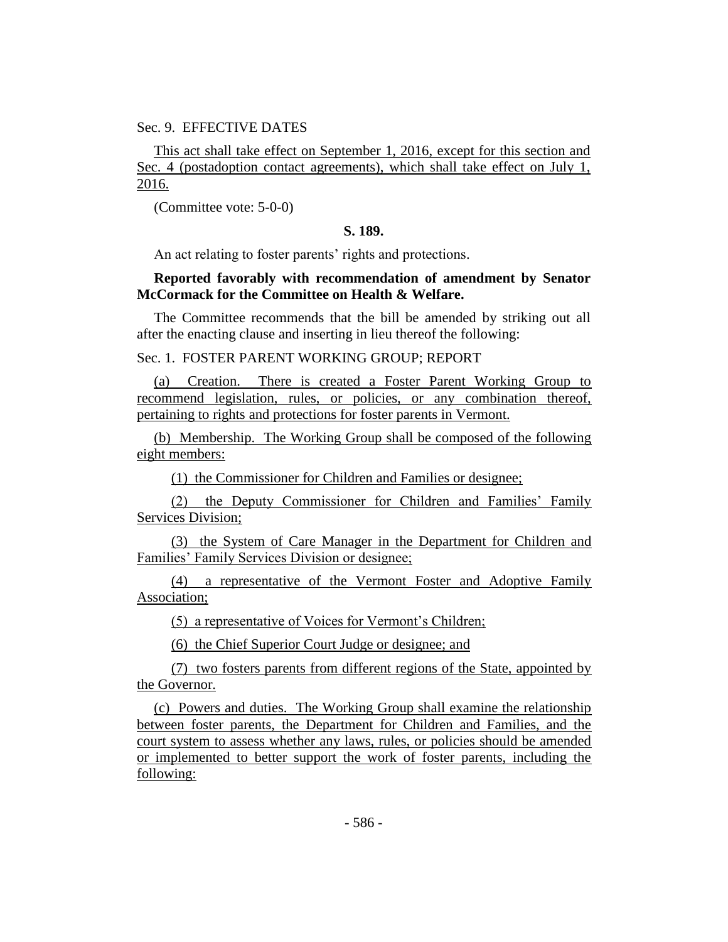## Sec. 9. EFFECTIVE DATES

This act shall take effect on September 1, 2016, except for this section and Sec. 4 (postadoption contact agreements), which shall take effect on July 1, 2016.

(Committee vote: 5-0-0)

# **S. 189.**

An act relating to foster parents' rights and protections.

# **Reported favorably with recommendation of amendment by Senator McCormack for the Committee on Health & Welfare.**

The Committee recommends that the bill be amended by striking out all after the enacting clause and inserting in lieu thereof the following:

## Sec. 1. FOSTER PARENT WORKING GROUP; REPORT

(a) Creation. There is created a Foster Parent Working Group to recommend legislation, rules, or policies, or any combination thereof, pertaining to rights and protections for foster parents in Vermont.

(b) Membership. The Working Group shall be composed of the following eight members:

(1) the Commissioner for Children and Families or designee;

(2) the Deputy Commissioner for Children and Families' Family Services Division;

(3) the System of Care Manager in the Department for Children and Families' Family Services Division or designee;

(4) a representative of the Vermont Foster and Adoptive Family Association;

(5) a representative of Voices for Vermont's Children;

(6) the Chief Superior Court Judge or designee; and

(7) two fosters parents from different regions of the State, appointed by the Governor.

(c) Powers and duties. The Working Group shall examine the relationship between foster parents, the Department for Children and Families, and the court system to assess whether any laws, rules, or policies should be amended or implemented to better support the work of foster parents, including the following: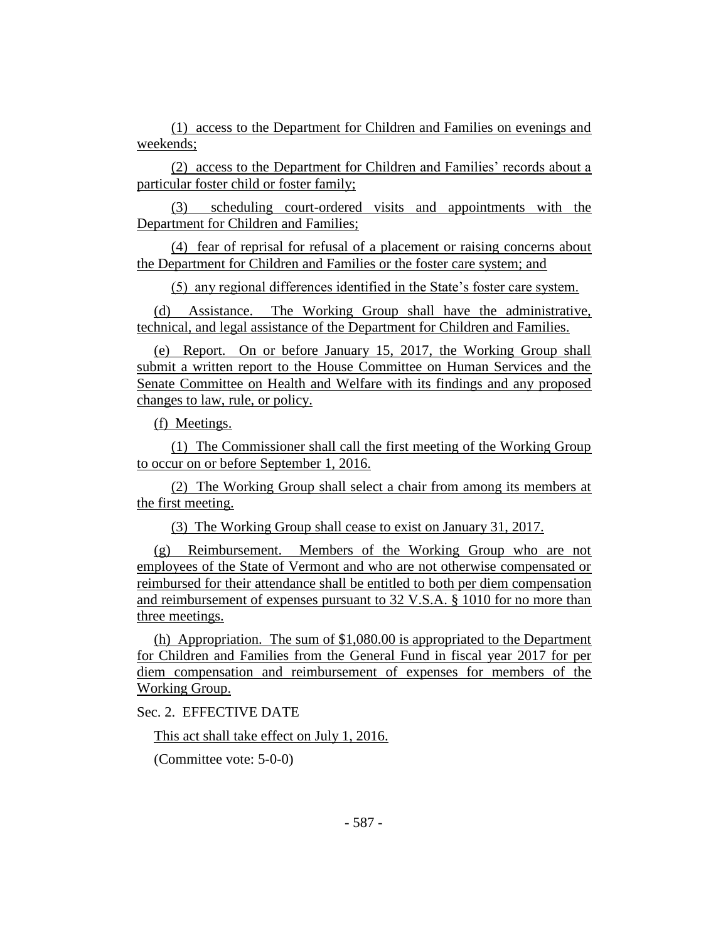(1) access to the Department for Children and Families on evenings and weekends;

(2) access to the Department for Children and Families' records about a particular foster child or foster family;

(3) scheduling court-ordered visits and appointments with the Department for Children and Families;

(4) fear of reprisal for refusal of a placement or raising concerns about the Department for Children and Families or the foster care system; and

(5) any regional differences identified in the State's foster care system.

(d) Assistance. The Working Group shall have the administrative, technical, and legal assistance of the Department for Children and Families.

(e) Report. On or before January 15, 2017, the Working Group shall submit a written report to the House Committee on Human Services and the Senate Committee on Health and Welfare with its findings and any proposed changes to law, rule, or policy.

(f) Meetings.

(1) The Commissioner shall call the first meeting of the Working Group to occur on or before September 1, 2016.

(2) The Working Group shall select a chair from among its members at the first meeting.

(3) The Working Group shall cease to exist on January 31, 2017.

(g) Reimbursement. Members of the Working Group who are not employees of the State of Vermont and who are not otherwise compensated or reimbursed for their attendance shall be entitled to both per diem compensation and reimbursement of expenses pursuant to 32 V.S.A. § 1010 for no more than three meetings.

(h) Appropriation. The sum of \$1,080.00 is appropriated to the Department for Children and Families from the General Fund in fiscal year 2017 for per diem compensation and reimbursement of expenses for members of the Working Group.

Sec. 2. EFFECTIVE DATE

This act shall take effect on July 1, 2016.

(Committee vote: 5-0-0)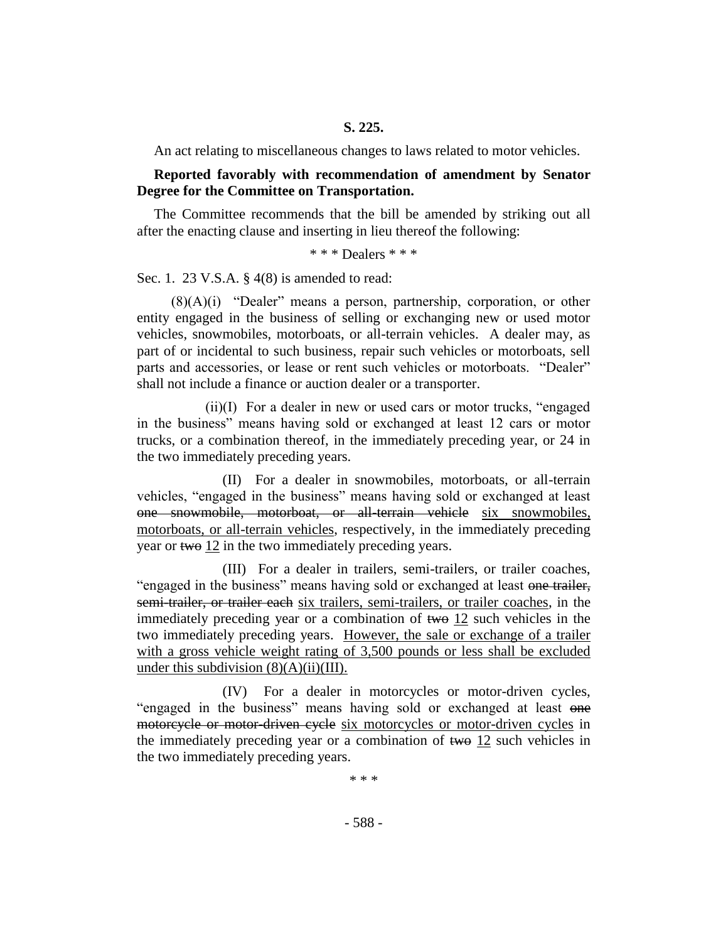An act relating to miscellaneous changes to laws related to motor vehicles.

## **Reported favorably with recommendation of amendment by Senator Degree for the Committee on Transportation.**

The Committee recommends that the bill be amended by striking out all after the enacting clause and inserting in lieu thereof the following:

\* \* \* Dealers \* \* \*

Sec. 1. 23 V.S.A. § 4(8) is amended to read:

(8)(A)(i) "Dealer" means a person, partnership, corporation, or other entity engaged in the business of selling or exchanging new or used motor vehicles, snowmobiles, motorboats, or all-terrain vehicles. A dealer may, as part of or incidental to such business, repair such vehicles or motorboats, sell parts and accessories, or lease or rent such vehicles or motorboats. "Dealer" shall not include a finance or auction dealer or a transporter.

(ii)(I) For a dealer in new or used cars or motor trucks, "engaged in the business" means having sold or exchanged at least 12 cars or motor trucks, or a combination thereof, in the immediately preceding year, or 24 in the two immediately preceding years.

(II) For a dealer in snowmobiles, motorboats, or all-terrain vehicles, "engaged in the business" means having sold or exchanged at least one snowmobile, motorboat, or all-terrain vehicle six snowmobiles, motorboats, or all-terrain vehicles, respectively, in the immediately preceding year or two 12 in the two immediately preceding years.

(III) For a dealer in trailers, semi-trailers, or trailer coaches, "engaged in the business" means having sold or exchanged at least one trailer, semi-trailer, or trailer each six trailers, semi-trailers, or trailer coaches, in the immediately preceding year or a combination of two 12 such vehicles in the two immediately preceding years. However, the sale or exchange of a trailer with a gross vehicle weight rating of 3,500 pounds or less shall be excluded under this subdivision  $(8)(A)(ii)(III)$ .

(IV) For a dealer in motorcycles or motor-driven cycles, "engaged in the business" means having sold or exchanged at least one motorcycle or motor-driven cycle six motorcycles or motor-driven cycles in the immediately preceding year or a combination of two 12 such vehicles in the two immediately preceding years.

\* \* \*

- 588 -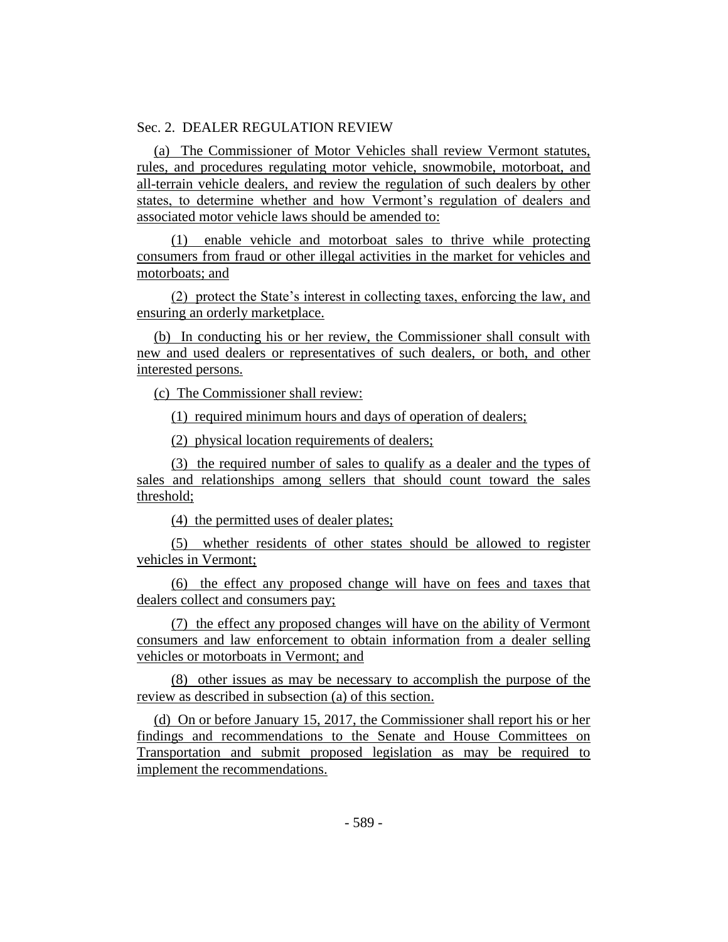## Sec. 2. DEALER REGULATION REVIEW

(a) The Commissioner of Motor Vehicles shall review Vermont statutes, rules, and procedures regulating motor vehicle, snowmobile, motorboat, and all-terrain vehicle dealers, and review the regulation of such dealers by other states, to determine whether and how Vermont's regulation of dealers and associated motor vehicle laws should be amended to:

(1) enable vehicle and motorboat sales to thrive while protecting consumers from fraud or other illegal activities in the market for vehicles and motorboats; and

(2) protect the State's interest in collecting taxes, enforcing the law, and ensuring an orderly marketplace.

(b) In conducting his or her review, the Commissioner shall consult with new and used dealers or representatives of such dealers, or both, and other interested persons.

(c) The Commissioner shall review:

(1) required minimum hours and days of operation of dealers;

(2) physical location requirements of dealers;

(3) the required number of sales to qualify as a dealer and the types of sales and relationships among sellers that should count toward the sales threshold;

(4) the permitted uses of dealer plates;

(5) whether residents of other states should be allowed to register vehicles in Vermont;

(6) the effect any proposed change will have on fees and taxes that dealers collect and consumers pay;

(7) the effect any proposed changes will have on the ability of Vermont consumers and law enforcement to obtain information from a dealer selling vehicles or motorboats in Vermont; and

(8) other issues as may be necessary to accomplish the purpose of the review as described in subsection (a) of this section.

(d) On or before January 15, 2017, the Commissioner shall report his or her findings and recommendations to the Senate and House Committees on Transportation and submit proposed legislation as may be required to implement the recommendations.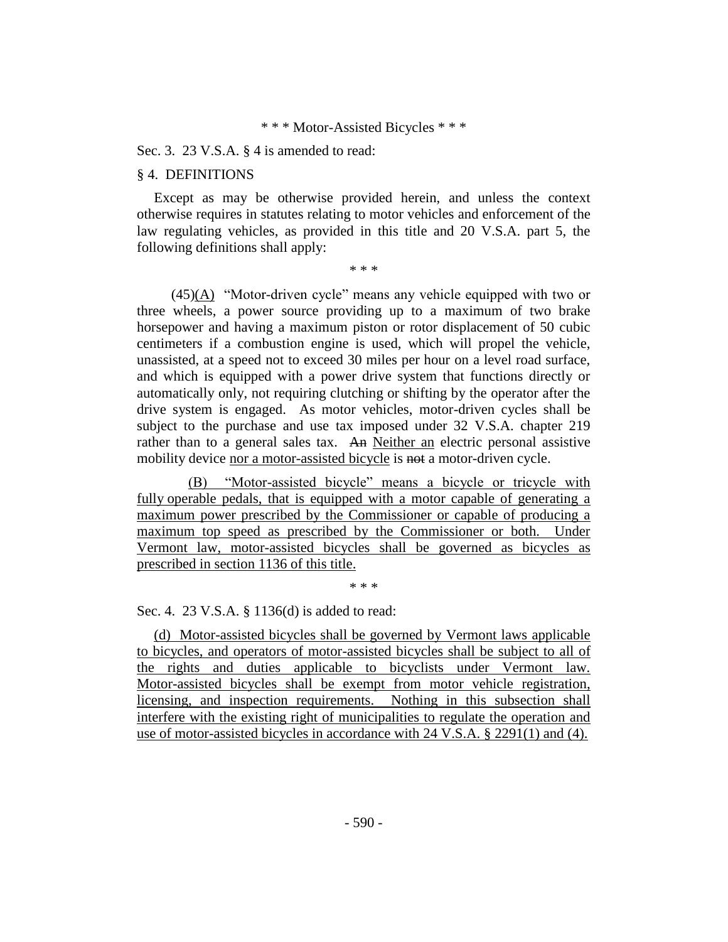#### \* \* \* Motor-Assisted Bicycles \* \* \*

#### Sec. 3. 23 V.S.A. § 4 is amended to read:

#### § 4. DEFINITIONS

Except as may be otherwise provided herein, and unless the context otherwise requires in statutes relating to motor vehicles and enforcement of the law regulating vehicles, as provided in this title and 20 V.S.A. part 5, the following definitions shall apply:

\* \* \*

(45)(A) "Motor-driven cycle" means any vehicle equipped with two or three wheels, a power source providing up to a maximum of two brake horsepower and having a maximum piston or rotor displacement of 50 cubic centimeters if a combustion engine is used, which will propel the vehicle, unassisted, at a speed not to exceed 30 miles per hour on a level road surface, and which is equipped with a power drive system that functions directly or automatically only, not requiring clutching or shifting by the operator after the drive system is engaged. As motor vehicles, motor-driven cycles shall be subject to the purchase and use tax imposed under 32 V.S.A. chapter 219 rather than to a general sales tax. An Neither an electric personal assistive mobility device nor a motor-assisted bicycle is not a motor-driven cycle.

(B) "Motor-assisted bicycle" means a bicycle or tricycle with fully operable pedals, that is equipped with a motor capable of generating a maximum power prescribed by the Commissioner or capable of producing a maximum top speed as prescribed by the Commissioner or both. Under Vermont law, motor-assisted bicycles shall be governed as bicycles as prescribed in section 1136 of this title.

\* \* \*

Sec. 4. 23 V.S.A. § 1136(d) is added to read:

(d) Motor-assisted bicycles shall be governed by Vermont laws applicable to bicycles, and operators of motor-assisted bicycles shall be subject to all of the rights and duties applicable to bicyclists under Vermont law. Motor-assisted bicycles shall be exempt from motor vehicle registration, licensing, and inspection requirements. Nothing in this subsection shall interfere with the existing right of municipalities to regulate the operation and use of motor-assisted bicycles in accordance with 24 V.S.A. § 2291(1) and (4).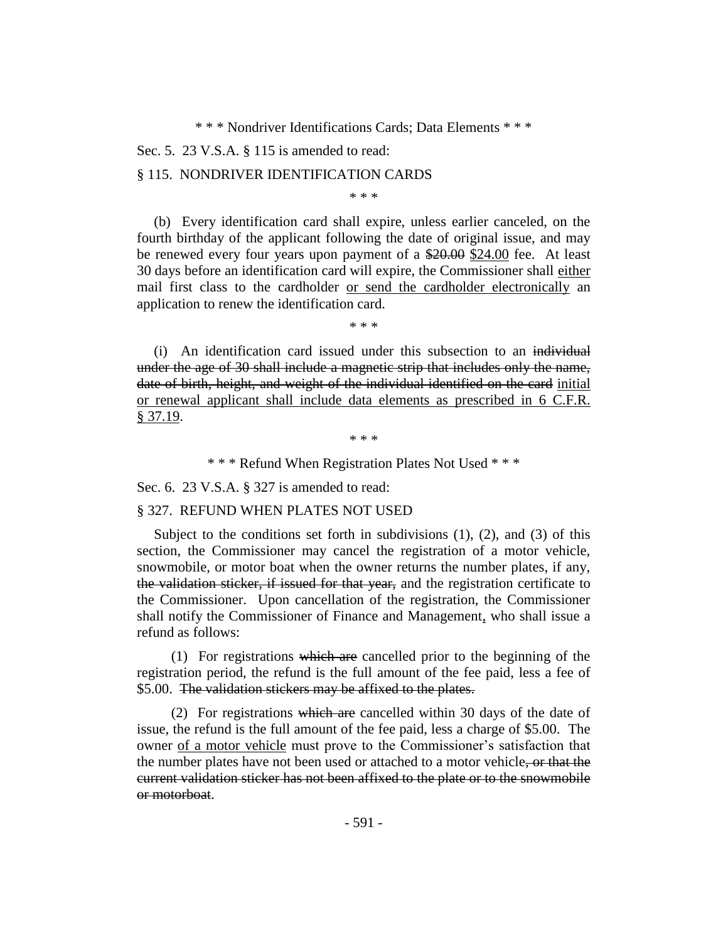\* \* \* Nondriver Identifications Cards; Data Elements \* \* \*

Sec. 5. 23 V.S.A. § 115 is amended to read:

#### § 115. NONDRIVER IDENTIFICATION CARDS

\* \* \*

(b) Every identification card shall expire, unless earlier canceled, on the fourth birthday of the applicant following the date of original issue, and may be renewed every four years upon payment of a \$20.00 \$24.00 fee. At least 30 days before an identification card will expire, the Commissioner shall either mail first class to the cardholder or send the cardholder electronically an application to renew the identification card.

\* \* \*

(i) An identification card issued under this subsection to an individual under the age of 30 shall include a magnetic strip that includes only the name, date of birth, height, and weight of the individual identified on the card initial or renewal applicant shall include data elements as prescribed in 6 C.F.R. § 37.19.

\* \* \*

\* \* \* Refund When Registration Plates Not Used \* \* \*

Sec. 6. 23 V.S.A. § 327 is amended to read:

## § 327. REFUND WHEN PLATES NOT USED

Subject to the conditions set forth in subdivisions  $(1)$ ,  $(2)$ , and  $(3)$  of this section, the Commissioner may cancel the registration of a motor vehicle, snowmobile, or motor boat when the owner returns the number plates, if any, the validation sticker, if issued for that year, and the registration certificate to the Commissioner. Upon cancellation of the registration, the Commissioner shall notify the Commissioner of Finance and Management, who shall issue a refund as follows:

 $(1)$  For registrations which are cancelled prior to the beginning of the registration period, the refund is the full amount of the fee paid, less a fee of \$5.00. The validation stickers may be affixed to the plates.

(2) For registrations which are cancelled within 30 days of the date of issue, the refund is the full amount of the fee paid, less a charge of \$5.00. The owner of a motor vehicle must prove to the Commissioner's satisfaction that the number plates have not been used or attached to a motor vehicle, or that the current validation sticker has not been affixed to the plate or to the snowmobile or motorboat.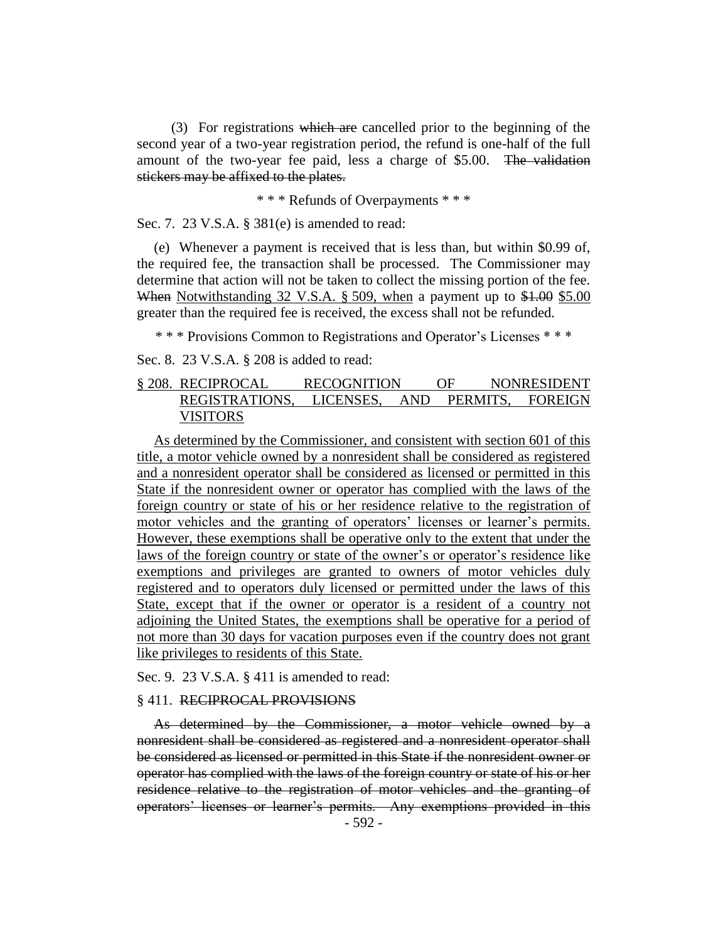(3) For registrations which are cancelled prior to the beginning of the second year of a two-year registration period, the refund is one-half of the full amount of the two-year fee paid, less a charge of \$5.00. The validation stickers may be affixed to the plates.

\* \* \* Refunds of Overpayments \* \* \*

Sec. 7. 23 V.S.A. § 381(e) is amended to read:

(e) Whenever a payment is received that is less than, but within \$0.99 of, the required fee, the transaction shall be processed. The Commissioner may determine that action will not be taken to collect the missing portion of the fee. When Notwithstanding 32 V.S.A. § 509, when a payment up to \$1.00 \$5.00 greater than the required fee is received, the excess shall not be refunded.

\* \* \* Provisions Common to Registrations and Operator's Licenses \* \* \*

Sec. 8. 23 V.S.A. § 208 is added to read:

# § 208. RECIPROCAL RECOGNITION OF NONRESIDENT REGISTRATIONS, LICENSES, AND PERMITS, FOREIGN VISITORS

As determined by the Commissioner, and consistent with section 601 of this title, a motor vehicle owned by a nonresident shall be considered as registered and a nonresident operator shall be considered as licensed or permitted in this State if the nonresident owner or operator has complied with the laws of the foreign country or state of his or her residence relative to the registration of motor vehicles and the granting of operators' licenses or learner's permits. However, these exemptions shall be operative only to the extent that under the laws of the foreign country or state of the owner's or operator's residence like exemptions and privileges are granted to owners of motor vehicles duly registered and to operators duly licensed or permitted under the laws of this State, except that if the owner or operator is a resident of a country not adjoining the United States, the exemptions shall be operative for a period of not more than 30 days for vacation purposes even if the country does not grant like privileges to residents of this State.

Sec. 9. 23 V.S.A. § 411 is amended to read:

#### § 411. RECIPROCAL PROVISIONS

As determined by the Commissioner, a motor vehicle owned by a nonresident shall be considered as registered and a nonresident operator shall be considered as licensed or permitted in this State if the nonresident owner or operator has complied with the laws of the foreign country or state of his or her residence relative to the registration of motor vehicles and the granting of operators' licenses or learner's permits. Any exemptions provided in this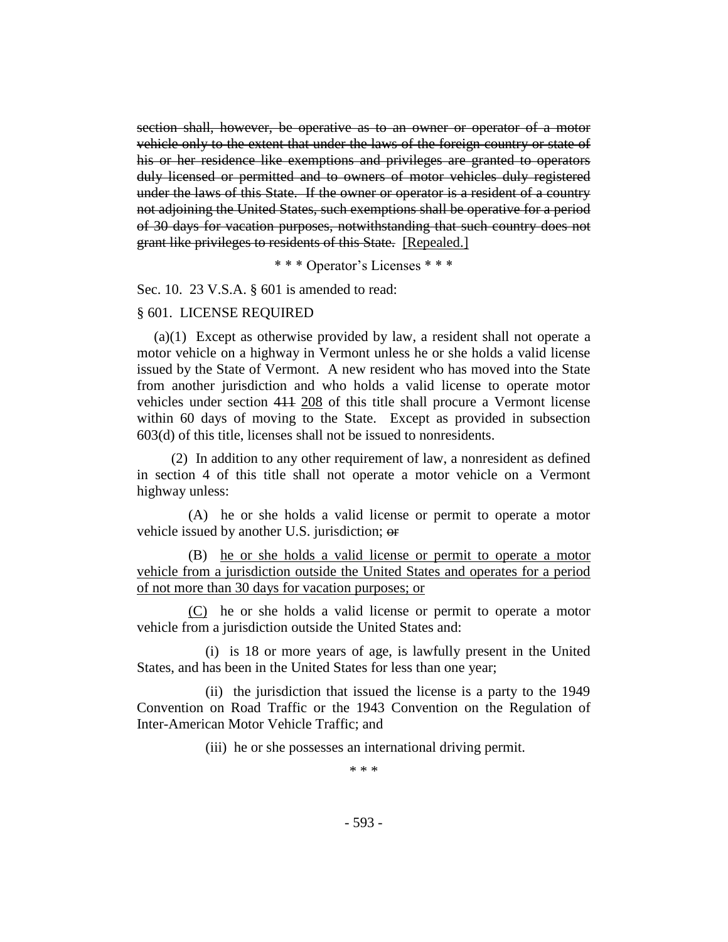section shall, however, be operative as to an owner or operator of a motor vehicle only to the extent that under the laws of the foreign country or state of his or her residence like exemptions and privileges are granted to operators duly licensed or permitted and to owners of motor vehicles duly registered under the laws of this State. If the owner or operator is a resident of a country not adjoining the United States, such exemptions shall be operative for a period of 30 days for vacation purposes, notwithstanding that such country does not grant like privileges to residents of this State. [Repealed.]

\* \* \* Operator's Licenses \* \* \*

Sec. 10. 23 V.S.A. § 601 is amended to read:

#### § 601. LICENSE REQUIRED

(a)(1) Except as otherwise provided by law, a resident shall not operate a motor vehicle on a highway in Vermont unless he or she holds a valid license issued by the State of Vermont. A new resident who has moved into the State from another jurisdiction and who holds a valid license to operate motor vehicles under section 411 208 of this title shall procure a Vermont license within 60 days of moving to the State. Except as provided in subsection 603(d) of this title, licenses shall not be issued to nonresidents.

(2) In addition to any other requirement of law, a nonresident as defined in section 4 of this title shall not operate a motor vehicle on a Vermont highway unless:

(A) he or she holds a valid license or permit to operate a motor vehicle issued by another U.S. jurisdiction; or

(B) he or she holds a valid license or permit to operate a motor vehicle from a jurisdiction outside the United States and operates for a period of not more than 30 days for vacation purposes; or

(C) he or she holds a valid license or permit to operate a motor vehicle from a jurisdiction outside the United States and:

(i) is 18 or more years of age, is lawfully present in the United States, and has been in the United States for less than one year;

(ii) the jurisdiction that issued the license is a party to the 1949 Convention on Road Traffic or the 1943 Convention on the Regulation of Inter-American Motor Vehicle Traffic; and

(iii) he or she possesses an international driving permit.

\* \* \*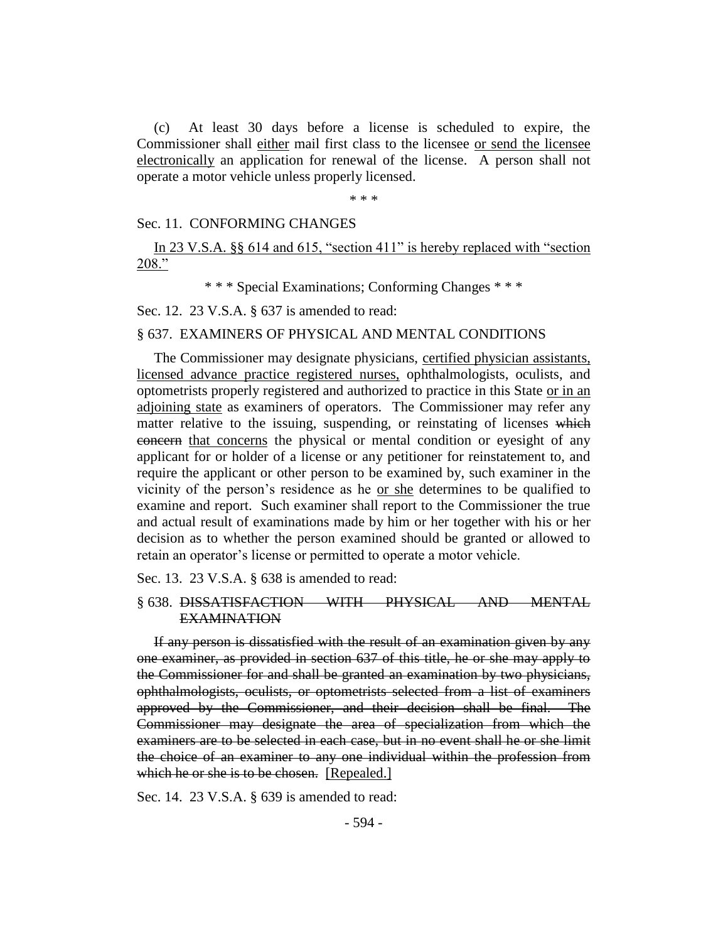(c) At least 30 days before a license is scheduled to expire, the Commissioner shall either mail first class to the licensee or send the licensee electronically an application for renewal of the license. A person shall not operate a motor vehicle unless properly licensed.

\* \* \*

#### Sec. 11. CONFORMING CHANGES

In 23 V.S.A. §§ 614 and 615, "section 411" is hereby replaced with "section 208."

\* \* \* Special Examinations; Conforming Changes \* \* \*

Sec. 12. 23 V.S.A. § 637 is amended to read:

## § 637. EXAMINERS OF PHYSICAL AND MENTAL CONDITIONS

The Commissioner may designate physicians, certified physician assistants, licensed advance practice registered nurses, ophthalmologists, oculists, and optometrists properly registered and authorized to practice in this State or in an adjoining state as examiners of operators. The Commissioner may refer any matter relative to the issuing, suspending, or reinstating of licenses which concern that concerns the physical or mental condition or eyesight of any applicant for or holder of a license or any petitioner for reinstatement to, and require the applicant or other person to be examined by, such examiner in the vicinity of the person's residence as he or she determines to be qualified to examine and report. Such examiner shall report to the Commissioner the true and actual result of examinations made by him or her together with his or her decision as to whether the person examined should be granted or allowed to retain an operator's license or permitted to operate a motor vehicle.

Sec. 13. 23 V.S.A. § 638 is amended to read:

§ 638. DISSATISFACTION WITH PHYSICAL AND MENTAL EXAMINATION

If any person is dissatisfied with the result of an examination given by any one examiner, as provided in section 637 of this title, he or she may apply to the Commissioner for and shall be granted an examination by two physicians, ophthalmologists, oculists, or optometrists selected from a list of examiners approved by the Commissioner, and their decision shall be final. The Commissioner may designate the area of specialization from which the examiners are to be selected in each case, but in no event shall he or she limit the choice of an examiner to any one individual within the profession from which he or she is to be chosen. [Repealed.]

Sec. 14. 23 V.S.A. § 639 is amended to read: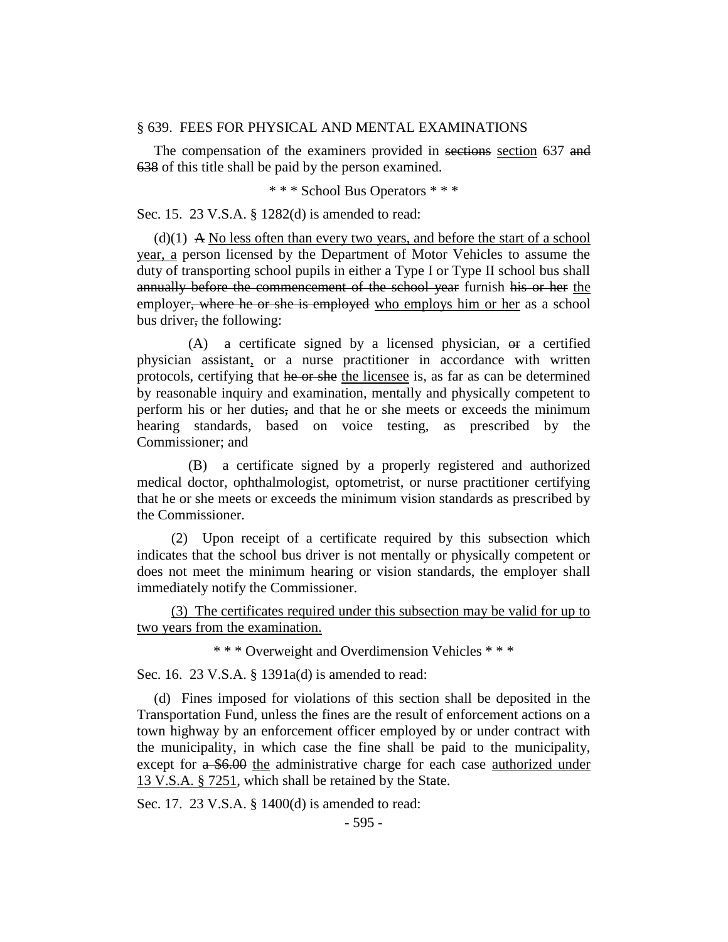#### § 639. FEES FOR PHYSICAL AND MENTAL EXAMINATIONS

The compensation of the examiners provided in sections section 637 and 638 of this title shall be paid by the person examined.

\* \* \* School Bus Operators \* \* \*

Sec. 15. 23 V.S.A. § 1282(d) is amended to read:

 $(d)(1)$  A No less often than every two years, and before the start of a school year, a person licensed by the Department of Motor Vehicles to assume the duty of transporting school pupils in either a Type I or Type II school bus shall annually before the commencement of the school year furnish his or her the employer, where he or she is employed who employs him or her as a school bus driver, the following:

 $(A)$  a certificate signed by a licensed physician,  $\theta$  a certified physician assistant, or a nurse practitioner in accordance with written protocols, certifying that he or she the licensee is, as far as can be determined by reasonable inquiry and examination, mentally and physically competent to perform his or her duties, and that he or she meets or exceeds the minimum hearing standards, based on voice testing, as prescribed by the Commissioner; and

(B) a certificate signed by a properly registered and authorized medical doctor, ophthalmologist, optometrist, or nurse practitioner certifying that he or she meets or exceeds the minimum vision standards as prescribed by the Commissioner.

(2) Upon receipt of a certificate required by this subsection which indicates that the school bus driver is not mentally or physically competent or does not meet the minimum hearing or vision standards, the employer shall immediately notify the Commissioner.

(3) The certificates required under this subsection may be valid for up to two years from the examination.

\* \* \* Overweight and Overdimension Vehicles \* \* \*

Sec. 16. 23 V.S.A. § 1391a(d) is amended to read:

(d) Fines imposed for violations of this section shall be deposited in the Transportation Fund, unless the fines are the result of enforcement actions on a town highway by an enforcement officer employed by or under contract with the municipality, in which case the fine shall be paid to the municipality, except for a \$6.00 the administrative charge for each case authorized under 13 V.S.A. § 7251, which shall be retained by the State.

Sec. 17. 23 V.S.A. § 1400(d) is amended to read: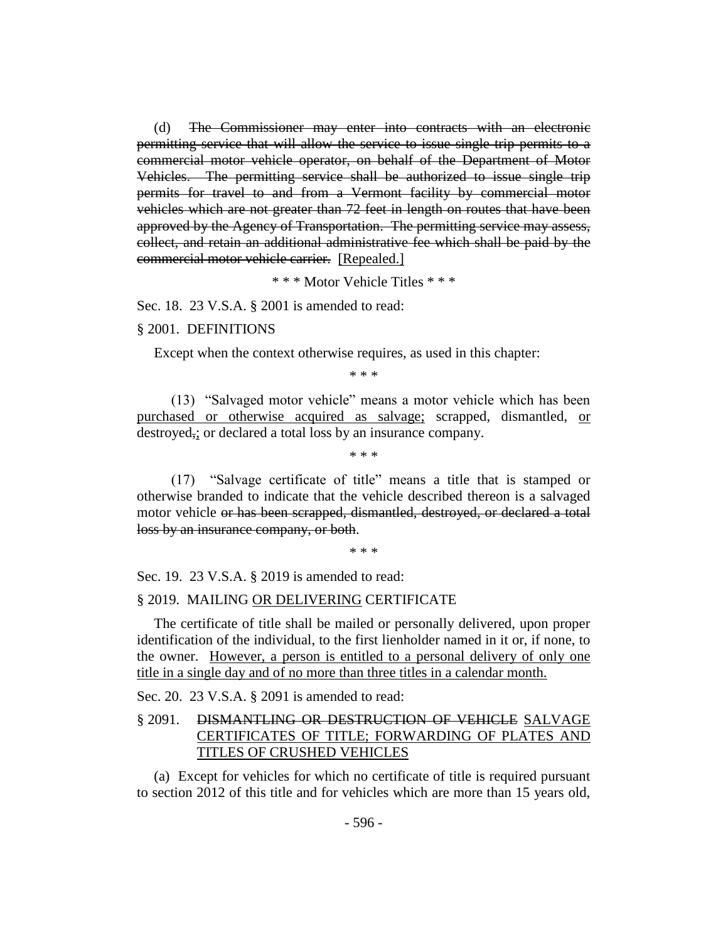(d) The Commissioner may enter into contracts with an electronic permitting service that will allow the service to issue single trip permits to a commercial motor vehicle operator, on behalf of the Department of Motor Vehicles. The permitting service shall be authorized to issue single trip permits for travel to and from a Vermont facility by commercial motor vehicles which are not greater than 72 feet in length on routes that have been approved by the Agency of Transportation. The permitting service may assess, collect, and retain an additional administrative fee which shall be paid by the commercial motor vehicle carrier. [Repealed.]

\* \* \* Motor Vehicle Titles \* \* \*

Sec. 18. 23 V.S.A. § 2001 is amended to read:

#### § 2001. DEFINITIONS

Except when the context otherwise requires, as used in this chapter:

\* \* \*

(13) "Salvaged motor vehicle" means a motor vehicle which has been purchased or otherwise acquired as salvage; scrapped, dismantled, or destroyed,; or declared a total loss by an insurance company.

\* \* \*

(17) "Salvage certificate of title" means a title that is stamped or otherwise branded to indicate that the vehicle described thereon is a salvaged motor vehicle or has been scrapped, dismantled, destroyed, or declared a total loss by an insurance company, or both.

\* \* \*

Sec. 19. 23 V.S.A. § 2019 is amended to read:

#### § 2019. MAILING OR DELIVERING CERTIFICATE

The certificate of title shall be mailed or personally delivered, upon proper identification of the individual, to the first lienholder named in it or, if none, to the owner. However, a person is entitled to a personal delivery of only one title in a single day and of no more than three titles in a calendar month.

Sec. 20. 23 V.S.A. § 2091 is amended to read:

# § 2091. DISMANTLING OR DESTRUCTION OF VEHICLE SALVAGE CERTIFICATES OF TITLE; FORWARDING OF PLATES AND TITLES OF CRUSHED VEHICLES

(a) Except for vehicles for which no certificate of title is required pursuant to section 2012 of this title and for vehicles which are more than 15 years old,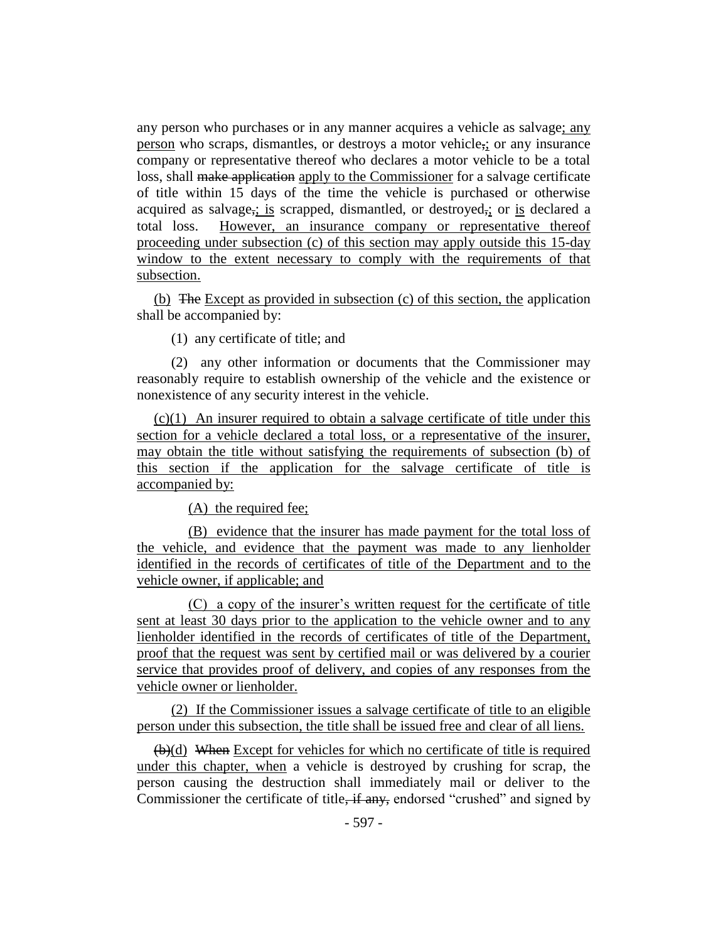any person who purchases or in any manner acquires a vehicle as salvage; any person who scraps, dismantles, or destroys a motor vehicle,; or any insurance company or representative thereof who declares a motor vehicle to be a total loss, shall make application apply to the Commissioner for a salvage certificate of title within 15 days of the time the vehicle is purchased or otherwise acquired as salvage<sub>5</sub>; is scrapped, dismantled, or destroyed<sub>5</sub>; or is declared a total loss. However, an insurance company or representative thereof proceeding under subsection (c) of this section may apply outside this 15-day window to the extent necessary to comply with the requirements of that subsection.

(b) The Except as provided in subsection (c) of this section, the application shall be accompanied by:

(1) any certificate of title; and

(2) any other information or documents that the Commissioner may reasonably require to establish ownership of the vehicle and the existence or nonexistence of any security interest in the vehicle.

(c)(1) An insurer required to obtain a salvage certificate of title under this section for a vehicle declared a total loss, or a representative of the insurer, may obtain the title without satisfying the requirements of subsection (b) of this section if the application for the salvage certificate of title is accompanied by:

(A) the required fee;

(B) evidence that the insurer has made payment for the total loss of the vehicle, and evidence that the payment was made to any lienholder identified in the records of certificates of title of the Department and to the vehicle owner, if applicable; and

(C) a copy of the insurer's written request for the certificate of title sent at least 30 days prior to the application to the vehicle owner and to any lienholder identified in the records of certificates of title of the Department, proof that the request was sent by certified mail or was delivered by a courier service that provides proof of delivery, and copies of any responses from the vehicle owner or lienholder.

(2) If the Commissioner issues a salvage certificate of title to an eligible person under this subsection, the title shall be issued free and clear of all liens.

(b)(d) When Except for vehicles for which no certificate of title is required under this chapter, when a vehicle is destroyed by crushing for scrap, the person causing the destruction shall immediately mail or deliver to the Commissioner the certificate of title, if any, endorsed "crushed" and signed by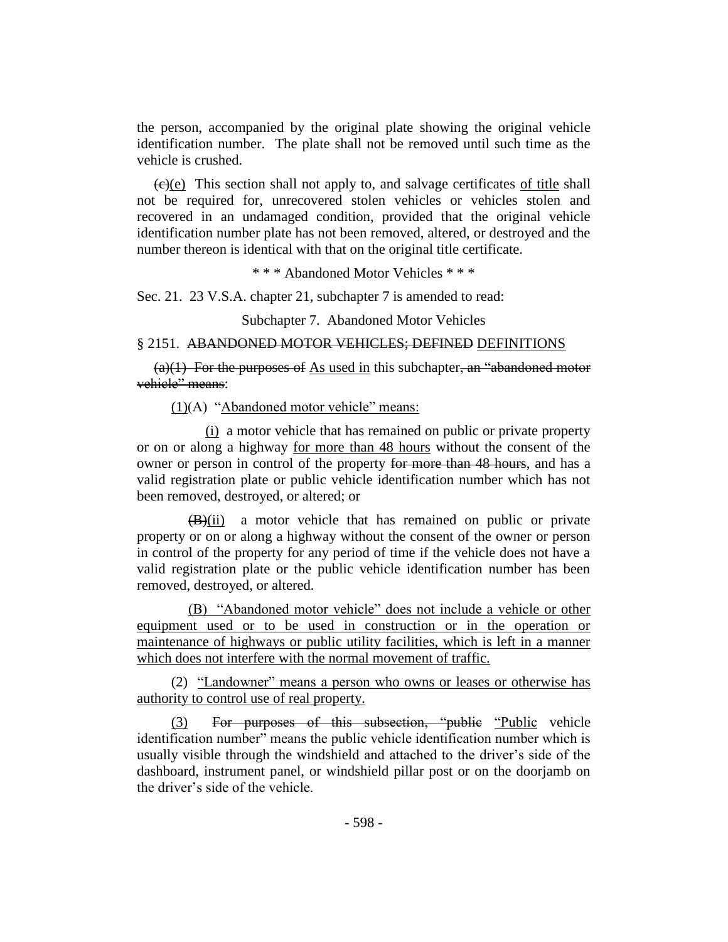the person, accompanied by the original plate showing the original vehicle identification number. The plate shall not be removed until such time as the vehicle is crushed.

 $\left(\frac{e}{e}\right)$  This section shall not apply to, and salvage certificates of title shall not be required for, unrecovered stolen vehicles or vehicles stolen and recovered in an undamaged condition, provided that the original vehicle identification number plate has not been removed, altered, or destroyed and the number thereon is identical with that on the original title certificate.

\* \* \* Abandoned Motor Vehicles \* \* \*

Sec. 21. 23 V.S.A. chapter 21, subchapter 7 is amended to read:

Subchapter 7. Abandoned Motor Vehicles

# § 2151. ABANDONED MOTOR VEHICLES; DEFINED DEFINITIONS

 $(a)(1)$  For the purposes of As used in this subchapter, an "abandoned motor" vehicle" means:

(1)(A) "Abandoned motor vehicle" means:

(i) a motor vehicle that has remained on public or private property or on or along a highway for more than 48 hours without the consent of the owner or person in control of the property for more than 48 hours, and has a valid registration plate or public vehicle identification number which has not been removed, destroyed, or altered; or

(B)(ii) a motor vehicle that has remained on public or private property or on or along a highway without the consent of the owner or person in control of the property for any period of time if the vehicle does not have a valid registration plate or the public vehicle identification number has been removed, destroyed, or altered.

(B) "Abandoned motor vehicle" does not include a vehicle or other equipment used or to be used in construction or in the operation or maintenance of highways or public utility facilities, which is left in a manner which does not interfere with the normal movement of traffic.

(2) "Landowner" means a person who owns or leases or otherwise has authority to control use of real property.

(3) For purposes of this subsection, "public "Public vehicle identification number" means the public vehicle identification number which is usually visible through the windshield and attached to the driver's side of the dashboard, instrument panel, or windshield pillar post or on the doorjamb on the driver's side of the vehicle.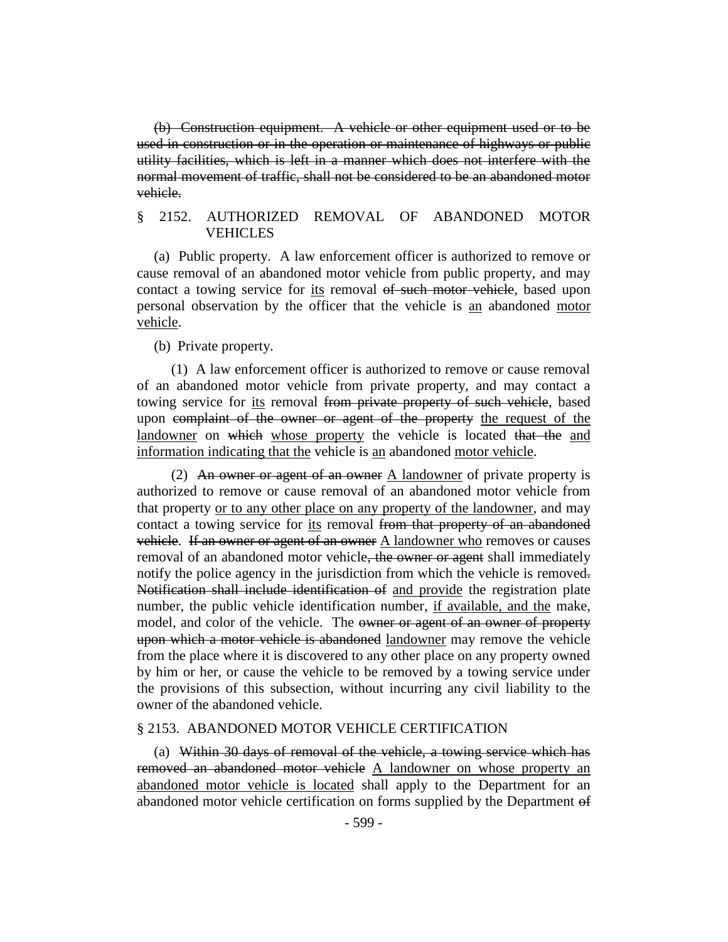(b) Construction equipment. A vehicle or other equipment used or to be used in construction or in the operation or maintenance of highways or public utility facilities, which is left in a manner which does not interfere with the normal movement of traffic, shall not be considered to be an abandoned motor vehicle.

## § 2152. AUTHORIZED REMOVAL OF ABANDONED MOTOR **VEHICLES**

(a) Public property. A law enforcement officer is authorized to remove or cause removal of an abandoned motor vehicle from public property, and may contact a towing service for its removal of such motor vehicle, based upon personal observation by the officer that the vehicle is an abandoned motor vehicle.

(b) Private property.

(1) A law enforcement officer is authorized to remove or cause removal of an abandoned motor vehicle from private property, and may contact a towing service for its removal from private property of such vehicle, based upon complaint of the owner or agent of the property the request of the landowner on which whose property the vehicle is located that the and information indicating that the vehicle is an abandoned motor vehicle.

(2) An owner or agent of an owner A landowner of private property is authorized to remove or cause removal of an abandoned motor vehicle from that property or to any other place on any property of the landowner, and may contact a towing service for its removal from that property of an abandoned vehicle. If an owner or agent of an owner A landowner who removes or causes removal of an abandoned motor vehicle<del>, the owner or agent</del> shall immediately notify the police agency in the jurisdiction from which the vehicle is removed. Notification shall include identification of and provide the registration plate number, the public vehicle identification number, if available, and the make, model, and color of the vehicle. The owner or agent of an owner of property upon which a motor vehicle is abandoned landowner may remove the vehicle from the place where it is discovered to any other place on any property owned by him or her, or cause the vehicle to be removed by a towing service under the provisions of this subsection, without incurring any civil liability to the owner of the abandoned vehicle.

#### § 2153. ABANDONED MOTOR VEHICLE CERTIFICATION

(a) Within 30 days of removal of the vehicle, a towing service which has removed an abandoned motor vehicle A landowner on whose property an abandoned motor vehicle is located shall apply to the Department for an abandoned motor vehicle certification on forms supplied by the Department of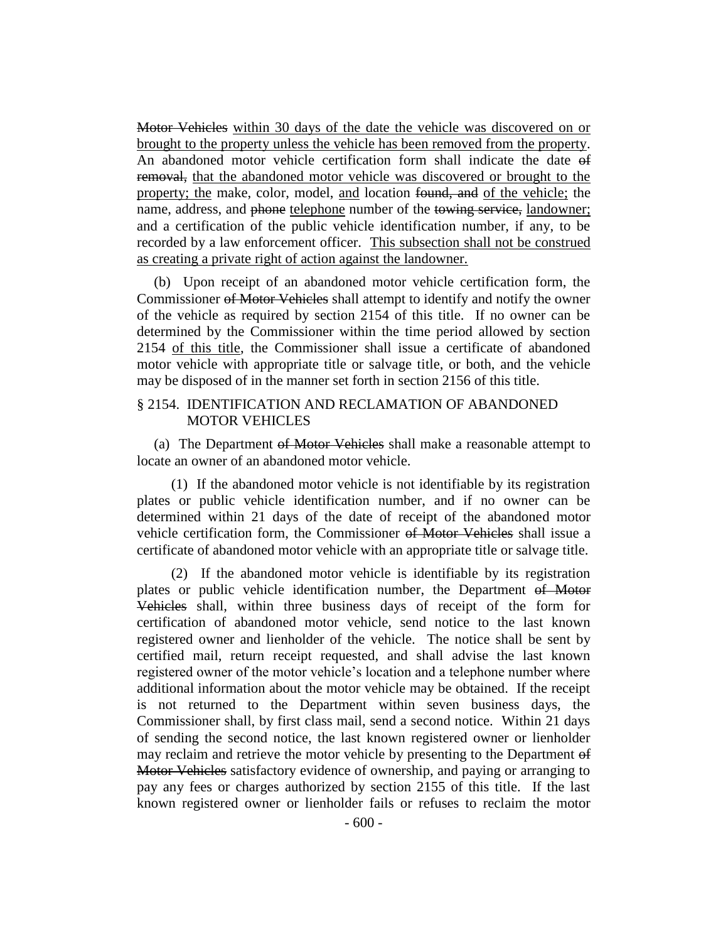Motor Vehicles within 30 days of the date the vehicle was discovered on or brought to the property unless the vehicle has been removed from the property. An abandoned motor vehicle certification form shall indicate the date of removal, that the abandoned motor vehicle was discovered or brought to the property; the make, color, model, and location found, and of the vehicle; the name, address, and phone telephone number of the towing service, landowner; and a certification of the public vehicle identification number, if any, to be recorded by a law enforcement officer. This subsection shall not be construed as creating a private right of action against the landowner.

(b) Upon receipt of an abandoned motor vehicle certification form, the Commissioner of Motor Vehicles shall attempt to identify and notify the owner of the vehicle as required by section 2154 of this title. If no owner can be determined by the Commissioner within the time period allowed by section 2154 of this title, the Commissioner shall issue a certificate of abandoned motor vehicle with appropriate title or salvage title, or both, and the vehicle may be disposed of in the manner set forth in section 2156 of this title.

## § 2154. IDENTIFICATION AND RECLAMATION OF ABANDONED MOTOR VEHICLES

(a) The Department of Motor Vehicles shall make a reasonable attempt to locate an owner of an abandoned motor vehicle.

(1) If the abandoned motor vehicle is not identifiable by its registration plates or public vehicle identification number, and if no owner can be determined within 21 days of the date of receipt of the abandoned motor vehicle certification form, the Commissioner of Motor Vehicles shall issue a certificate of abandoned motor vehicle with an appropriate title or salvage title.

(2) If the abandoned motor vehicle is identifiable by its registration plates or public vehicle identification number, the Department of Motor Vehicles shall, within three business days of receipt of the form for certification of abandoned motor vehicle, send notice to the last known registered owner and lienholder of the vehicle. The notice shall be sent by certified mail, return receipt requested, and shall advise the last known registered owner of the motor vehicle's location and a telephone number where additional information about the motor vehicle may be obtained. If the receipt is not returned to the Department within seven business days, the Commissioner shall, by first class mail, send a second notice. Within 21 days of sending the second notice, the last known registered owner or lienholder may reclaim and retrieve the motor vehicle by presenting to the Department of Motor Vehicles satisfactory evidence of ownership, and paying or arranging to pay any fees or charges authorized by section 2155 of this title. If the last known registered owner or lienholder fails or refuses to reclaim the motor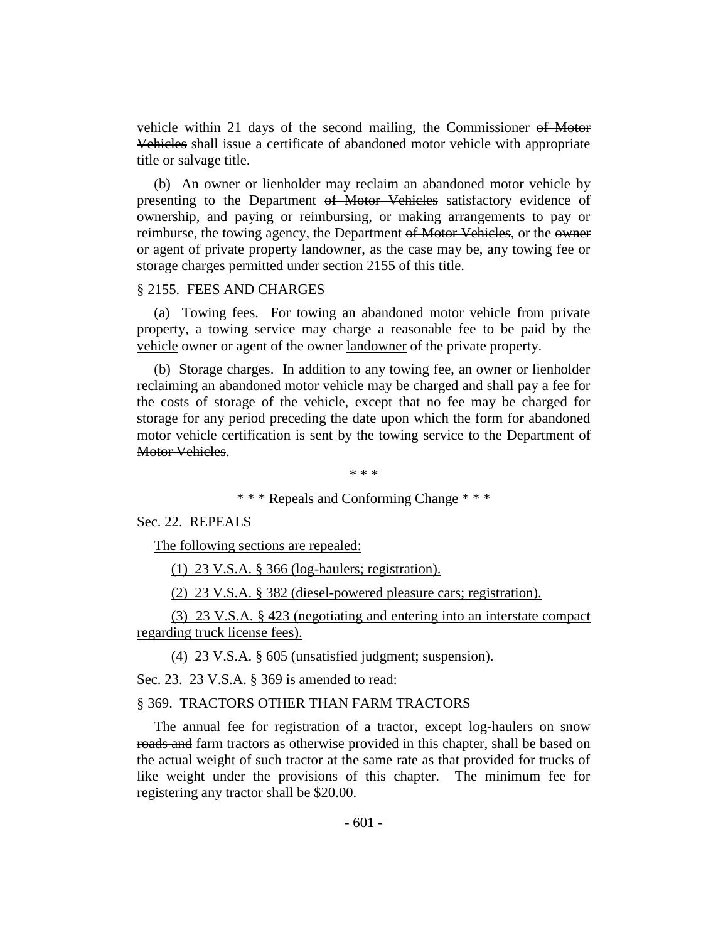vehicle within 21 days of the second mailing, the Commissioner of Motor Vehicles shall issue a certificate of abandoned motor vehicle with appropriate title or salvage title.

(b) An owner or lienholder may reclaim an abandoned motor vehicle by presenting to the Department of Motor Vehicles satisfactory evidence of ownership, and paying or reimbursing, or making arrangements to pay or reimburse, the towing agency, the Department of Motor Vehicles, or the owner or agent of private property landowner, as the case may be, any towing fee or storage charges permitted under section 2155 of this title.

#### § 2155. FEES AND CHARGES

(a) Towing fees. For towing an abandoned motor vehicle from private property, a towing service may charge a reasonable fee to be paid by the vehicle owner or agent of the owner landowner of the private property.

(b) Storage charges. In addition to any towing fee, an owner or lienholder reclaiming an abandoned motor vehicle may be charged and shall pay a fee for the costs of storage of the vehicle, except that no fee may be charged for storage for any period preceding the date upon which the form for abandoned motor vehicle certification is sent by the towing service to the Department of Motor Vehicles.

\* \* \*

\* \* \* Repeals and Conforming Change \* \* \*

#### Sec. 22. REPEALS

The following sections are repealed:

(1) 23 V.S.A. § 366 (log-haulers; registration).

(2) 23 V.S.A. § 382 (diesel-powered pleasure cars; registration).

(3) 23 V.S.A. § 423 (negotiating and entering into an interstate compact regarding truck license fees).

(4) 23 V.S.A. § 605 (unsatisfied judgment; suspension).

Sec. 23. 23 V.S.A. § 369 is amended to read:

#### § 369. TRACTORS OTHER THAN FARM TRACTORS

The annual fee for registration of a tractor, except log-haulers on snow roads and farm tractors as otherwise provided in this chapter, shall be based on the actual weight of such tractor at the same rate as that provided for trucks of like weight under the provisions of this chapter. The minimum fee for registering any tractor shall be \$20.00.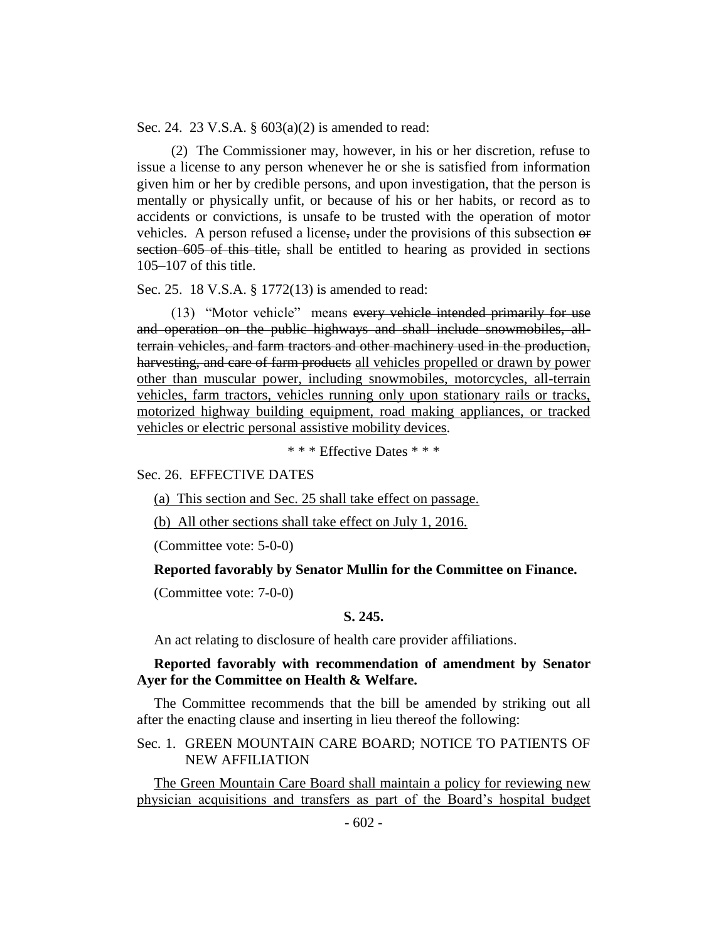Sec. 24. 23 V.S.A. § 603(a)(2) is amended to read:

(2) The Commissioner may, however, in his or her discretion, refuse to issue a license to any person whenever he or she is satisfied from information given him or her by credible persons, and upon investigation, that the person is mentally or physically unfit, or because of his or her habits, or record as to accidents or convictions, is unsafe to be trusted with the operation of motor vehicles. A person refused a license, under the provisions of this subsection or section 605 of this title, shall be entitled to hearing as provided in sections 105–107 of this title.

Sec. 25. 18 V.S.A. § 1772(13) is amended to read:

(13) "Motor vehicle" means every vehicle intended primarily for use and operation on the public highways and shall include snowmobiles, allterrain vehicles, and farm tractors and other machinery used in the production, harvesting, and care of farm products all vehicles propelled or drawn by power other than muscular power, including snowmobiles, motorcycles, all-terrain vehicles, farm tractors, vehicles running only upon stationary rails or tracks, motorized highway building equipment, road making appliances, or tracked vehicles or electric personal assistive mobility devices.

\* \* \* Effective Dates \* \* \*

Sec. 26. EFFECTIVE DATES

(a) This section and Sec. 25 shall take effect on passage.

(b) All other sections shall take effect on July 1, 2016.

(Committee vote: 5-0-0)

#### **Reported favorably by Senator Mullin for the Committee on Finance.**

(Committee vote: 7-0-0)

## **S. 245.**

An act relating to disclosure of health care provider affiliations.

# **Reported favorably with recommendation of amendment by Senator Ayer for the Committee on Health & Welfare.**

The Committee recommends that the bill be amended by striking out all after the enacting clause and inserting in lieu thereof the following:

## Sec. 1. GREEN MOUNTAIN CARE BOARD; NOTICE TO PATIENTS OF NEW AFFILIATION

The Green Mountain Care Board shall maintain a policy for reviewing new physician acquisitions and transfers as part of the Board's hospital budget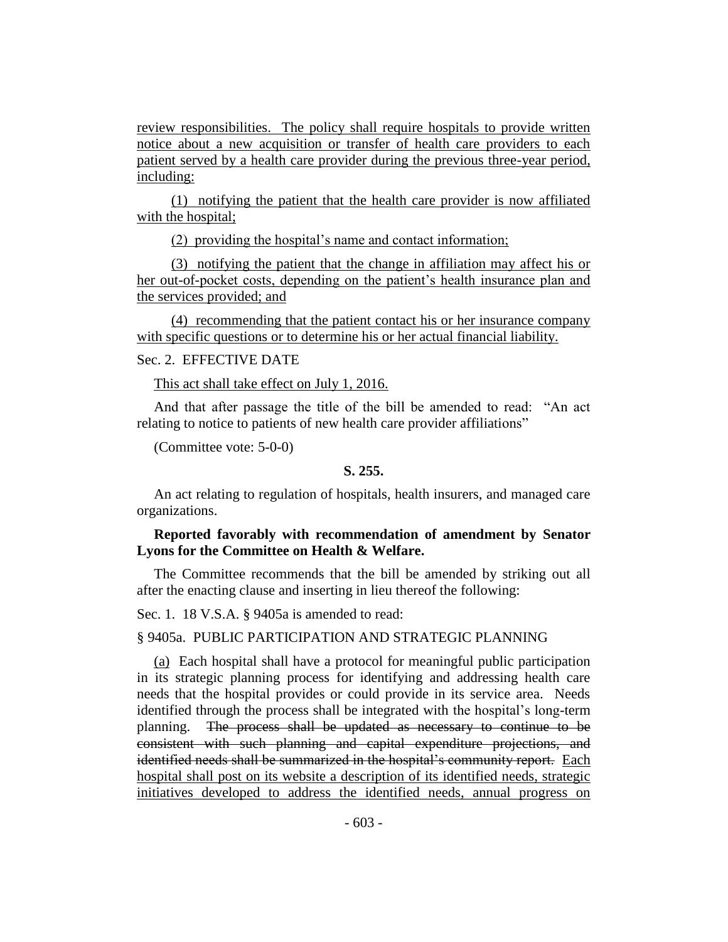review responsibilities. The policy shall require hospitals to provide written notice about a new acquisition or transfer of health care providers to each patient served by a health care provider during the previous three-year period, including:

(1) notifying the patient that the health care provider is now affiliated with the hospital;

(2) providing the hospital's name and contact information;

(3) notifying the patient that the change in affiliation may affect his or her out-of-pocket costs, depending on the patient's health insurance plan and the services provided; and

(4) recommending that the patient contact his or her insurance company with specific questions or to determine his or her actual financial liability.

# Sec. 2. EFFECTIVE DATE

This act shall take effect on July 1, 2016.

And that after passage the title of the bill be amended to read: "An act relating to notice to patients of new health care provider affiliations"

(Committee vote: 5-0-0)

## **S. 255.**

An act relating to regulation of hospitals, health insurers, and managed care organizations.

## **Reported favorably with recommendation of amendment by Senator Lyons for the Committee on Health & Welfare.**

The Committee recommends that the bill be amended by striking out all after the enacting clause and inserting in lieu thereof the following:

Sec. 1. 18 V.S.A. § 9405a is amended to read:

## § 9405a. PUBLIC PARTICIPATION AND STRATEGIC PLANNING

(a) Each hospital shall have a protocol for meaningful public participation in its strategic planning process for identifying and addressing health care needs that the hospital provides or could provide in its service area. Needs identified through the process shall be integrated with the hospital's long-term planning. The process shall be updated as necessary to continue to be consistent with such planning and capital expenditure projections, and identified needs shall be summarized in the hospital's community report. Each hospital shall post on its website a description of its identified needs, strategic initiatives developed to address the identified needs, annual progress on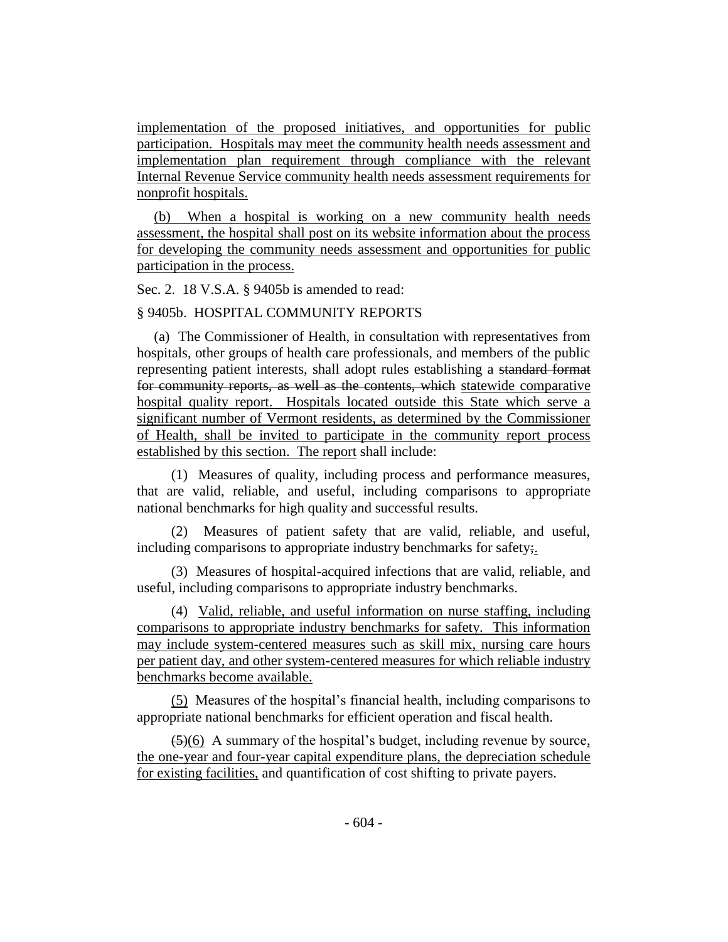implementation of the proposed initiatives, and opportunities for public participation. Hospitals may meet the community health needs assessment and implementation plan requirement through compliance with the relevant Internal Revenue Service community health needs assessment requirements for nonprofit hospitals.

(b) When a hospital is working on a new community health needs assessment, the hospital shall post on its website information about the process for developing the community needs assessment and opportunities for public participation in the process.

Sec. 2. 18 V.S.A. § 9405b is amended to read:

## § 9405b. HOSPITAL COMMUNITY REPORTS

(a) The Commissioner of Health, in consultation with representatives from hospitals, other groups of health care professionals, and members of the public representing patient interests, shall adopt rules establishing a standard format for community reports, as well as the contents, which statewide comparative hospital quality report. Hospitals located outside this State which serve a significant number of Vermont residents, as determined by the Commissioner of Health, shall be invited to participate in the community report process established by this section. The report shall include:

(1) Measures of quality, including process and performance measures, that are valid, reliable, and useful, including comparisons to appropriate national benchmarks for high quality and successful results.

(2) Measures of patient safety that are valid, reliable, and useful, including comparisons to appropriate industry benchmarks for safety;

(3) Measures of hospital-acquired infections that are valid, reliable, and useful, including comparisons to appropriate industry benchmarks.

(4) Valid, reliable, and useful information on nurse staffing, including comparisons to appropriate industry benchmarks for safety. This information may include system-centered measures such as skill mix, nursing care hours per patient day, and other system-centered measures for which reliable industry benchmarks become available.

(5) Measures of the hospital's financial health, including comparisons to appropriate national benchmarks for efficient operation and fiscal health.

 $(5)(6)$  A summary of the hospital's budget, including revenue by source, the one-year and four-year capital expenditure plans, the depreciation schedule for existing facilities, and quantification of cost shifting to private payers.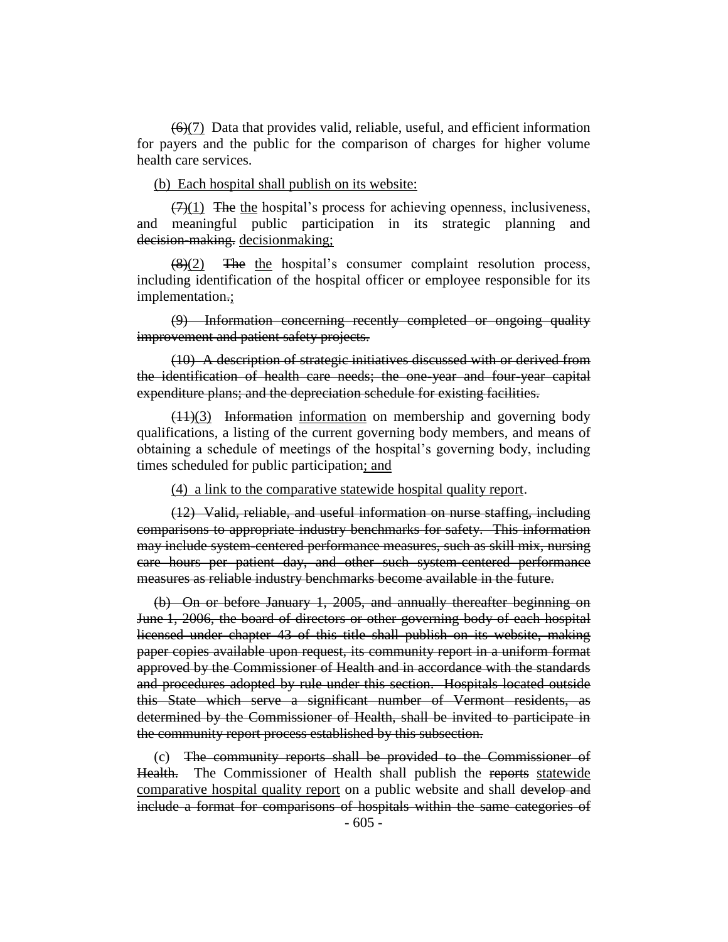$(6)(7)$  Data that provides valid, reliable, useful, and efficient information for payers and the public for the comparison of charges for higher volume health care services.

## (b) Each hospital shall publish on its website:

 $(7)(1)$  The the hospital's process for achieving openness, inclusiveness, and meaningful public participation in its strategic planning and decision-making. decisionmaking;

 $\frac{1}{8}(2)$  The the hospital's consumer complaint resolution process, including identification of the hospital officer or employee responsible for its implementation.;

(9) Information concerning recently completed or ongoing quality improvement and patient safety projects.

(10) A description of strategic initiatives discussed with or derived from the identification of health care needs; the one-year and four-year capital expenditure plans; and the depreciation schedule for existing facilities.

 $(11)(3)$  Information information on membership and governing body qualifications, a listing of the current governing body members, and means of obtaining a schedule of meetings of the hospital's governing body, including times scheduled for public participation; and

(4) a link to the comparative statewide hospital quality report.

(12) Valid, reliable, and useful information on nurse staffing, including comparisons to appropriate industry benchmarks for safety. This information may include system-centered performance measures, such as skill mix, nursing care hours per patient day, and other such system-centered performance measures as reliable industry benchmarks become available in the future.

(b) On or before January 1, 2005, and annually thereafter beginning on June 1, 2006, the board of directors or other governing body of each hospital licensed under chapter 43 of this title shall publish on its website, making paper copies available upon request, its community report in a uniform format approved by the Commissioner of Health and in accordance with the standards and procedures adopted by rule under this section. Hospitals located outside this State which serve a significant number of Vermont residents, as determined by the Commissioner of Health, shall be invited to participate in the community report process established by this subsection.

(c) The community reports shall be provided to the Commissioner of Health. The Commissioner of Health shall publish the reports statewide comparative hospital quality report on a public website and shall develop and include a format for comparisons of hospitals within the same categories of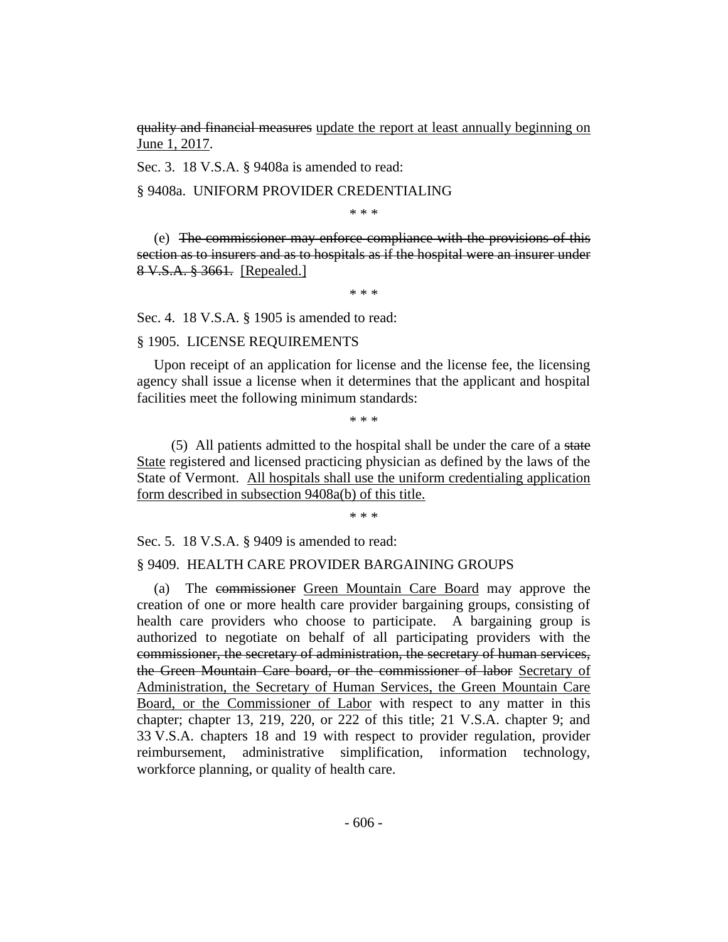quality and financial measures update the report at least annually beginning on June 1, 2017.

Sec. 3. 18 V.S.A. § 9408a is amended to read:

## § 9408a. UNIFORM PROVIDER CREDENTIALING

\* \* \*

(e) The commissioner may enforce compliance with the provisions of this section as to insurers and as to hospitals as if the hospital were an insurer under 8 V.S.A. § 3661. [Repealed.]

\* \* \*

Sec. 4. 18 V.S.A. § 1905 is amended to read:

#### § 1905. LICENSE REQUIREMENTS

Upon receipt of an application for license and the license fee, the licensing agency shall issue a license when it determines that the applicant and hospital facilities meet the following minimum standards:

\* \* \*

(5) All patients admitted to the hospital shall be under the care of a state State registered and licensed practicing physician as defined by the laws of the State of Vermont. All hospitals shall use the uniform credentialing application form described in subsection 9408a(b) of this title.

\* \* \*

Sec. 5. 18 V.S.A. § 9409 is amended to read:

#### § 9409. HEALTH CARE PROVIDER BARGAINING GROUPS

(a) The commissioner Green Mountain Care Board may approve the creation of one or more health care provider bargaining groups, consisting of health care providers who choose to participate. A bargaining group is authorized to negotiate on behalf of all participating providers with the commissioner, the secretary of administration, the secretary of human services, the Green Mountain Care board, or the commissioner of labor Secretary of Administration, the Secretary of Human Services, the Green Mountain Care Board, or the Commissioner of Labor with respect to any matter in this chapter; chapter 13, 219, 220, or 222 of this title; 21 V.S.A. chapter 9; and 33 V.S.A. chapters 18 and 19 with respect to provider regulation, provider reimbursement, administrative simplification, information technology, workforce planning, or quality of health care.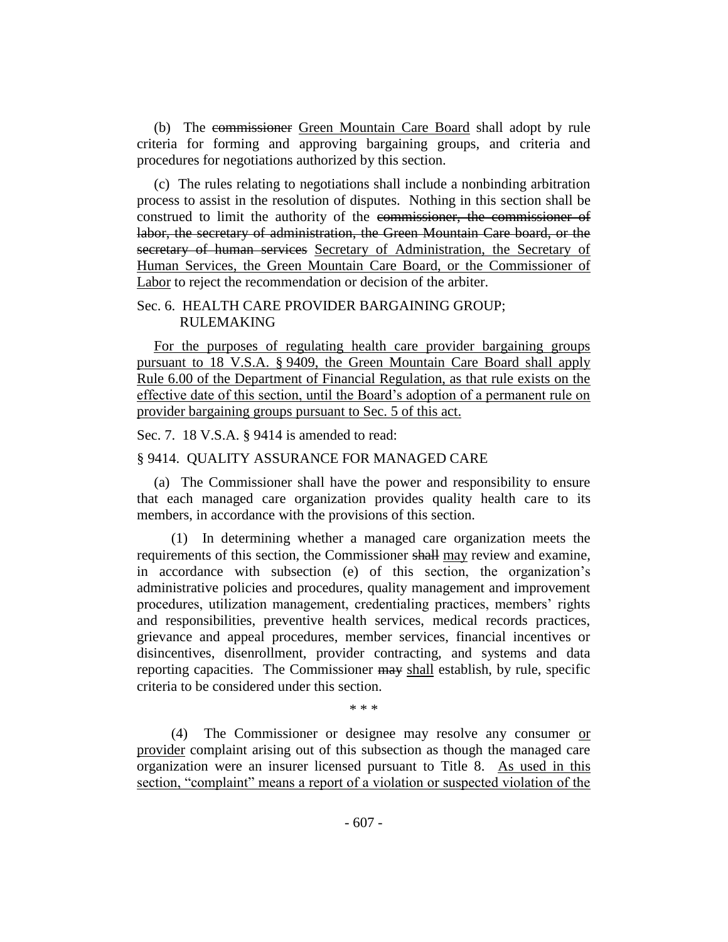(b) The commissioner Green Mountain Care Board shall adopt by rule criteria for forming and approving bargaining groups, and criteria and procedures for negotiations authorized by this section.

(c) The rules relating to negotiations shall include a nonbinding arbitration process to assist in the resolution of disputes. Nothing in this section shall be construed to limit the authority of the commissioner, the commissioner of labor, the secretary of administration, the Green Mountain Care board, or the secretary of human services Secretary of Administration, the Secretary of Human Services, the Green Mountain Care Board, or the Commissioner of Labor to reject the recommendation or decision of the arbiter.

## Sec. 6. HEALTH CARE PROVIDER BARGAINING GROUP; RULEMAKING

For the purposes of regulating health care provider bargaining groups pursuant to 18 V.S.A. § 9409, the Green Mountain Care Board shall apply Rule 6.00 of the Department of Financial Regulation, as that rule exists on the effective date of this section, until the Board's adoption of a permanent rule on provider bargaining groups pursuant to Sec. 5 of this act.

Sec. 7. 18 V.S.A. § 9414 is amended to read:

# § 9414. QUALITY ASSURANCE FOR MANAGED CARE

(a) The Commissioner shall have the power and responsibility to ensure that each managed care organization provides quality health care to its members, in accordance with the provisions of this section.

(1) In determining whether a managed care organization meets the requirements of this section, the Commissioner shall may review and examine, in accordance with subsection (e) of this section, the organization's administrative policies and procedures, quality management and improvement procedures, utilization management, credentialing practices, members' rights and responsibilities, preventive health services, medical records practices, grievance and appeal procedures, member services, financial incentives or disincentives, disenrollment, provider contracting, and systems and data reporting capacities. The Commissioner may shall establish, by rule, specific criteria to be considered under this section.

\* \* \*

(4) The Commissioner or designee may resolve any consumer or provider complaint arising out of this subsection as though the managed care organization were an insurer licensed pursuant to Title 8. As used in this section, "complaint" means a report of a violation or suspected violation of the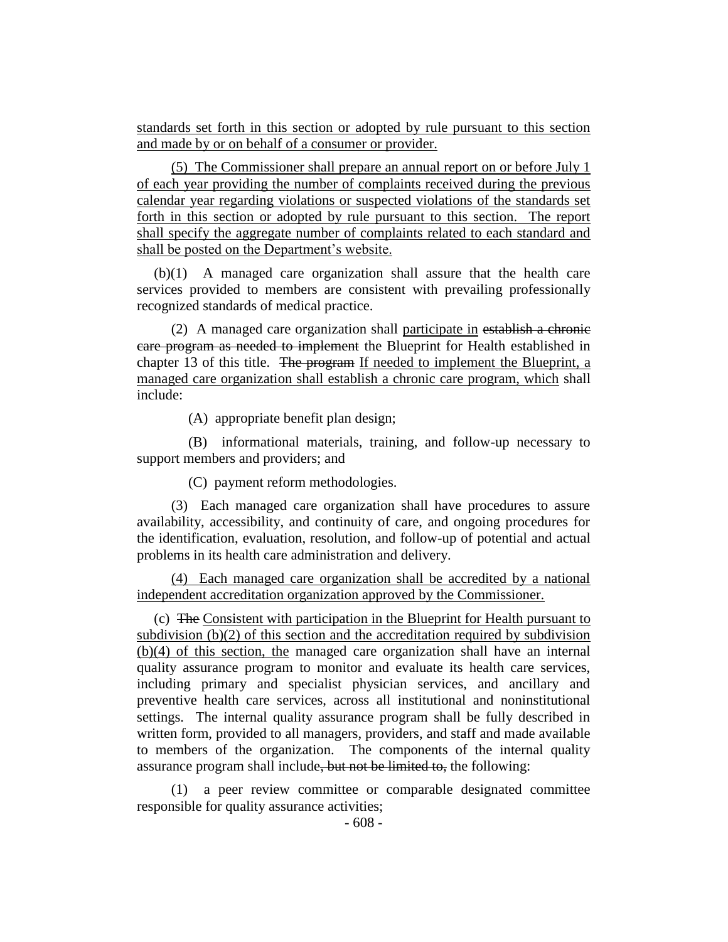standards set forth in this section or adopted by rule pursuant to this section and made by or on behalf of a consumer or provider.

(5) The Commissioner shall prepare an annual report on or before July 1 of each year providing the number of complaints received during the previous calendar year regarding violations or suspected violations of the standards set forth in this section or adopted by rule pursuant to this section. The report shall specify the aggregate number of complaints related to each standard and shall be posted on the Department's website.

(b)(1) A managed care organization shall assure that the health care services provided to members are consistent with prevailing professionally recognized standards of medical practice.

(2) A managed care organization shall participate in establish a chronic care program as needed to implement the Blueprint for Health established in chapter 13 of this title. The program If needed to implement the Blueprint, a managed care organization shall establish a chronic care program, which shall include:

(A) appropriate benefit plan design;

(B) informational materials, training, and follow-up necessary to support members and providers; and

(C) payment reform methodologies.

(3) Each managed care organization shall have procedures to assure availability, accessibility, and continuity of care, and ongoing procedures for the identification, evaluation, resolution, and follow-up of potential and actual problems in its health care administration and delivery.

(4) Each managed care organization shall be accredited by a national independent accreditation organization approved by the Commissioner.

(c) The Consistent with participation in the Blueprint for Health pursuant to subdivision (b)(2) of this section and the accreditation required by subdivision (b)(4) of this section, the managed care organization shall have an internal quality assurance program to monitor and evaluate its health care services, including primary and specialist physician services, and ancillary and preventive health care services, across all institutional and noninstitutional settings. The internal quality assurance program shall be fully described in written form, provided to all managers, providers, and staff and made available to members of the organization. The components of the internal quality assurance program shall include, but not be limited to, the following:

(1) a peer review committee or comparable designated committee responsible for quality assurance activities;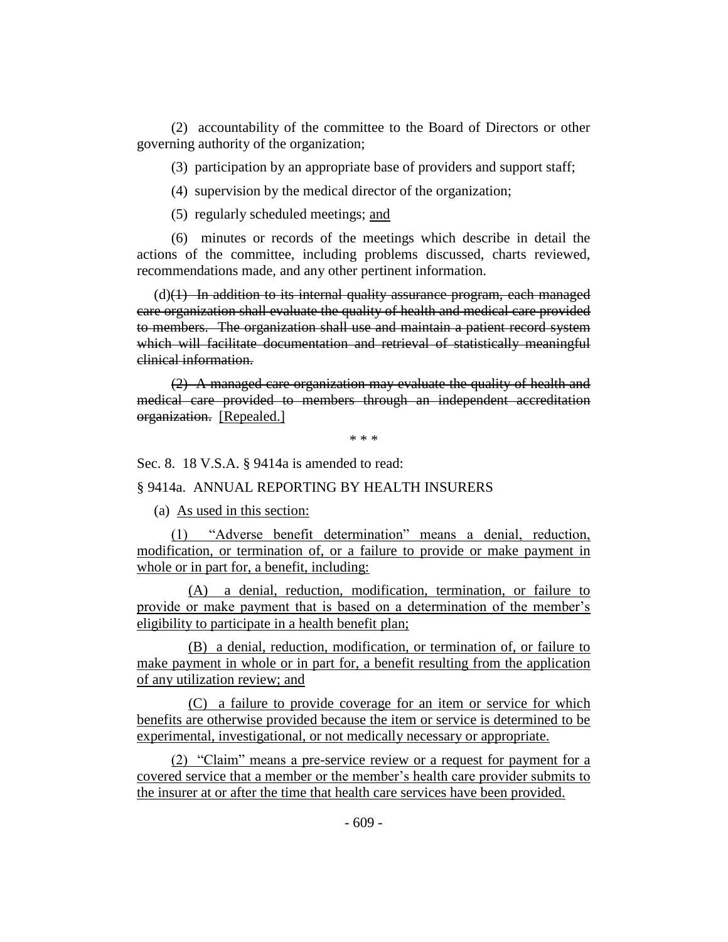(2) accountability of the committee to the Board of Directors or other governing authority of the organization;

(3) participation by an appropriate base of providers and support staff;

(4) supervision by the medical director of the organization;

(5) regularly scheduled meetings; and

(6) minutes or records of the meetings which describe in detail the actions of the committee, including problems discussed, charts reviewed, recommendations made, and any other pertinent information.

 $(d)(1)$  In addition to its internal quality assurance program, each managed care organization shall evaluate the quality of health and medical care provided to members. The organization shall use and maintain a patient record system which will facilitate documentation and retrieval of statistically meaningful clinical information.

(2) A managed care organization may evaluate the quality of health and medical care provided to members through an independent accreditation organization. [Repealed.]

\* \* \*

Sec. 8. 18 V.S.A. § 9414a is amended to read:

## § 9414a. ANNUAL REPORTING BY HEALTH INSURERS

(a) As used in this section:

(1) "Adverse benefit determination" means a denial, reduction, modification, or termination of, or a failure to provide or make payment in whole or in part for, a benefit, including:

(A) a denial, reduction, modification, termination, or failure to provide or make payment that is based on a determination of the member's eligibility to participate in a health benefit plan;

(B) a denial, reduction, modification, or termination of, or failure to make payment in whole or in part for, a benefit resulting from the application of any utilization review; and

(C) a failure to provide coverage for an item or service for which benefits are otherwise provided because the item or service is determined to be experimental, investigational, or not medically necessary or appropriate.

(2) "Claim" means a pre-service review or a request for payment for a covered service that a member or the member's health care provider submits to the insurer at or after the time that health care services have been provided.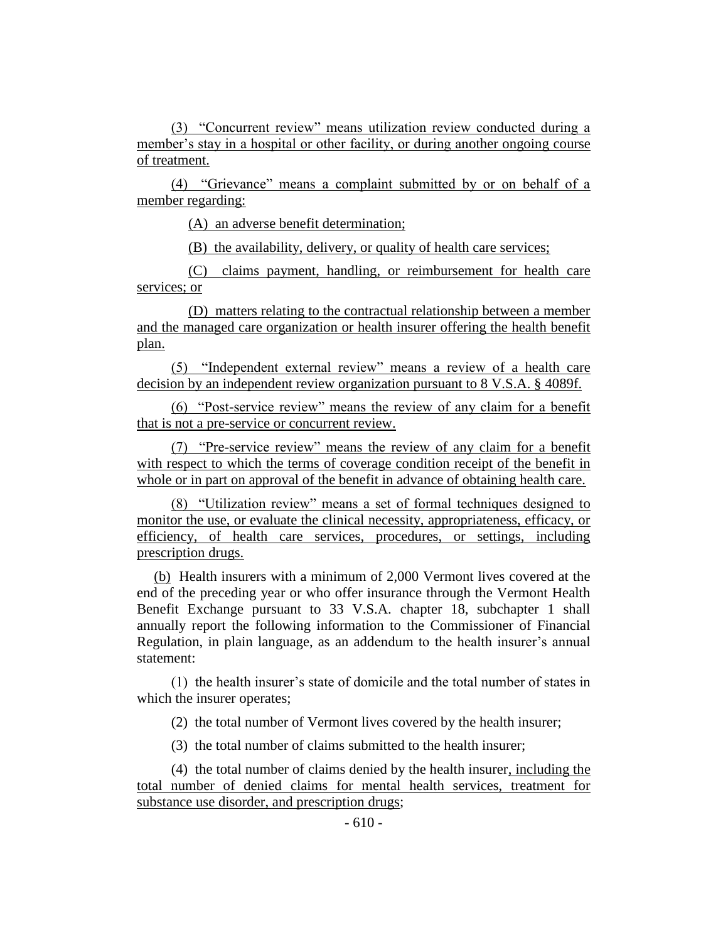(3) "Concurrent review" means utilization review conducted during a member's stay in a hospital or other facility, or during another ongoing course of treatment.

(4) "Grievance" means a complaint submitted by or on behalf of a member regarding:

(A) an adverse benefit determination;

(B) the availability, delivery, or quality of health care services;

(C) claims payment, handling, or reimbursement for health care services; or

(D) matters relating to the contractual relationship between a member and the managed care organization or health insurer offering the health benefit plan.

(5) "Independent external review" means a review of a health care decision by an independent review organization pursuant to 8 V.S.A. § 4089f.

(6) "Post-service review" means the review of any claim for a benefit that is not a pre-service or concurrent review.

(7) "Pre-service review" means the review of any claim for a benefit with respect to which the terms of coverage condition receipt of the benefit in whole or in part on approval of the benefit in advance of obtaining health care.

(8) "Utilization review" means a set of formal techniques designed to monitor the use, or evaluate the clinical necessity, appropriateness, efficacy, or efficiency, of health care services, procedures, or settings, including prescription drugs.

(b) Health insurers with a minimum of 2,000 Vermont lives covered at the end of the preceding year or who offer insurance through the Vermont Health Benefit Exchange pursuant to 33 V.S.A. chapter 18, subchapter 1 shall annually report the following information to the Commissioner of Financial Regulation, in plain language, as an addendum to the health insurer's annual statement:

(1) the health insurer's state of domicile and the total number of states in which the insurer operates;

(2) the total number of Vermont lives covered by the health insurer;

(3) the total number of claims submitted to the health insurer;

(4) the total number of claims denied by the health insurer, including the total number of denied claims for mental health services, treatment for substance use disorder, and prescription drugs;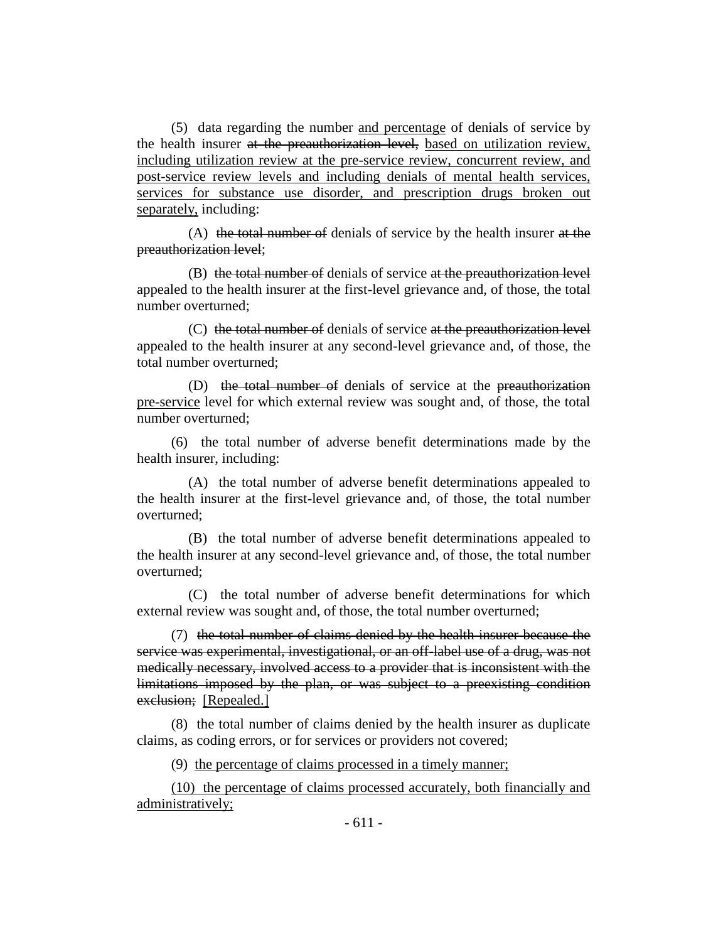(5) data regarding the number and percentage of denials of service by the health insurer at the preauthorization level, based on utilization review, including utilization review at the pre-service review, concurrent review, and post-service review levels and including denials of mental health services, services for substance use disorder, and prescription drugs broken out separately, including:

(A) the total number of denials of service by the health insurer at the preauthorization level;

(B) the total number of denials of service at the preauthorization level appealed to the health insurer at the first-level grievance and, of those, the total number overturned;

(C) the total number of denials of service at the preauthorization level appealed to the health insurer at any second-level grievance and, of those, the total number overturned;

(D) the total number of denials of service at the preauthorization pre-service level for which external review was sought and, of those, the total number overturned;

(6) the total number of adverse benefit determinations made by the health insurer, including:

(A) the total number of adverse benefit determinations appealed to the health insurer at the first-level grievance and, of those, the total number overturned;

(B) the total number of adverse benefit determinations appealed to the health insurer at any second-level grievance and, of those, the total number overturned;

(C) the total number of adverse benefit determinations for which external review was sought and, of those, the total number overturned;

(7) the total number of claims denied by the health insurer because the service was experimental, investigational, or an off-label use of a drug, was not medically necessary, involved access to a provider that is inconsistent with the limitations imposed by the plan, or was subject to a preexisting condition exclusion; [Repealed.]

(8) the total number of claims denied by the health insurer as duplicate claims, as coding errors, or for services or providers not covered;

(9) the percentage of claims processed in a timely manner;

(10) the percentage of claims processed accurately, both financially and administratively;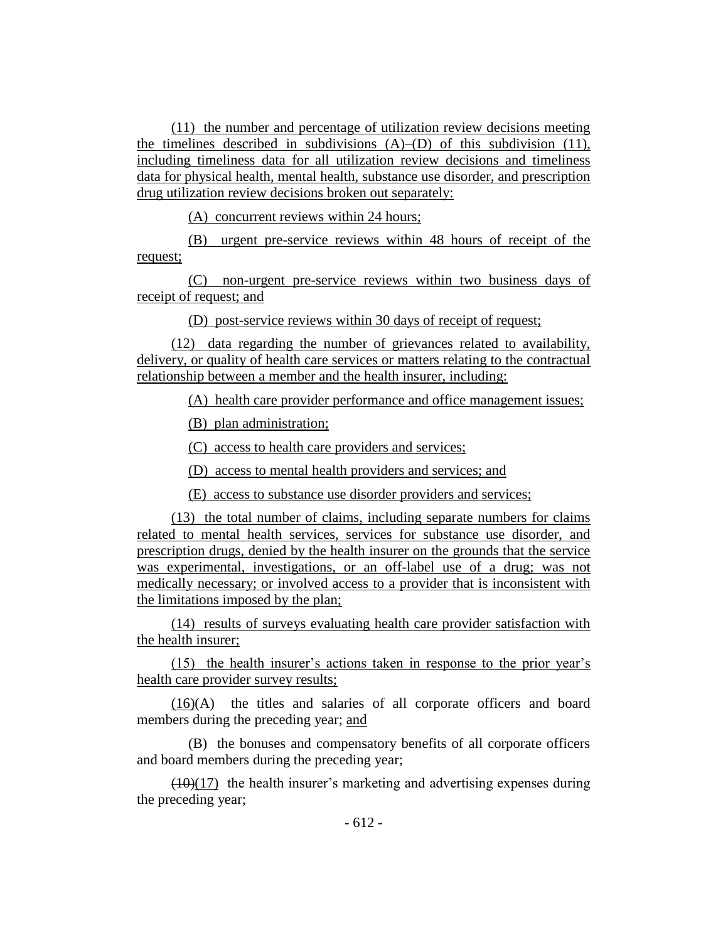(11) the number and percentage of utilization review decisions meeting the timelines described in subdivisions (A)–(D) of this subdivision (11), including timeliness data for all utilization review decisions and timeliness data for physical health, mental health, substance use disorder, and prescription drug utilization review decisions broken out separately:

(A) concurrent reviews within 24 hours;

(B) urgent pre-service reviews within 48 hours of receipt of the request;

(C) non-urgent pre-service reviews within two business days of receipt of request; and

(D) post-service reviews within 30 days of receipt of request;

(12) data regarding the number of grievances related to availability, delivery, or quality of health care services or matters relating to the contractual relationship between a member and the health insurer, including:

(A) health care provider performance and office management issues;

(B) plan administration;

(C) access to health care providers and services;

(D) access to mental health providers and services; and

(E) access to substance use disorder providers and services;

(13) the total number of claims, including separate numbers for claims related to mental health services, services for substance use disorder, and prescription drugs, denied by the health insurer on the grounds that the service was experimental, investigations, or an off-label use of a drug; was not medically necessary; or involved access to a provider that is inconsistent with the limitations imposed by the plan;

(14) results of surveys evaluating health care provider satisfaction with the health insurer;

(15) the health insurer's actions taken in response to the prior year's health care provider survey results;

(16)(A) the titles and salaries of all corporate officers and board members during the preceding year; and

(B) the bonuses and compensatory benefits of all corporate officers and board members during the preceding year;

 $(10)(17)$  the health insurer's marketing and advertising expenses during the preceding year;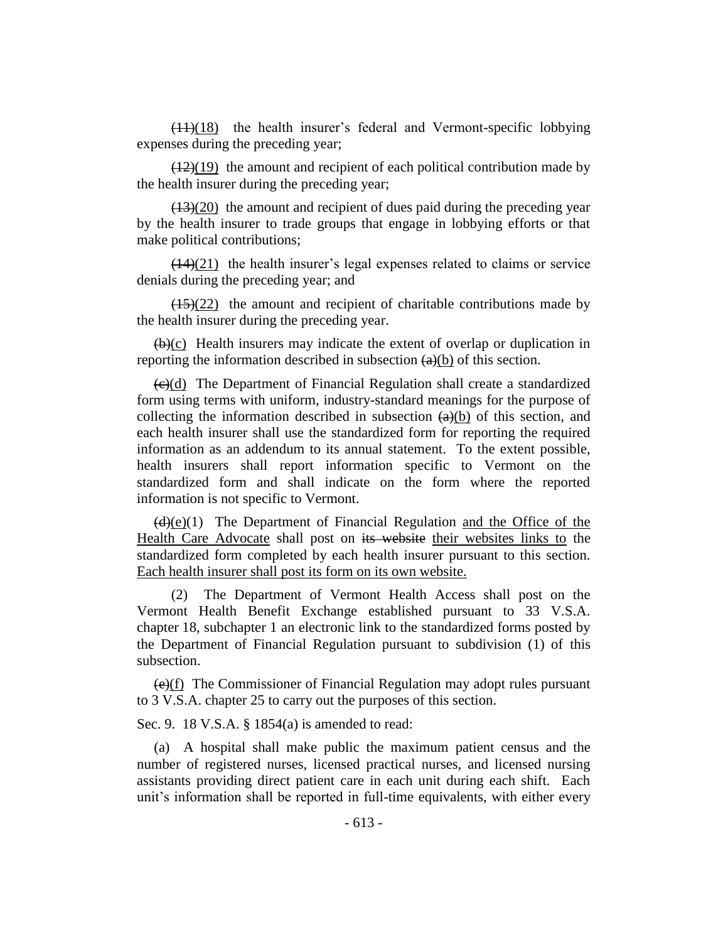$(11)(18)$  the health insurer's federal and Vermont-specific lobbying expenses during the preceding year;

 $\left(\frac{12}{19}\right)$  the amount and recipient of each political contribution made by the health insurer during the preceding year;

 $(13)(20)$  the amount and recipient of dues paid during the preceding year by the health insurer to trade groups that engage in lobbying efforts or that make political contributions;

 $(14)(21)$  the health insurer's legal expenses related to claims or service denials during the preceding year; and

 $(15)(22)$  the amount and recipient of charitable contributions made by the health insurer during the preceding year.

 $(b)(c)$  Health insurers may indicate the extent of overlap or duplication in reporting the information described in subsection  $\left(\frac{a}{b}\right)$  of this section.

 $\left(\frac{e}{c}\right)$  The Department of Financial Regulation shall create a standardized form using terms with uniform, industry-standard meanings for the purpose of collecting the information described in subsection  $(a)(b)$  of this section, and each health insurer shall use the standardized form for reporting the required information as an addendum to its annual statement. To the extent possible, health insurers shall report information specific to Vermont on the standardized form and shall indicate on the form where the reported information is not specific to Vermont.

 $(d)(e)(1)$  The Department of Financial Regulation and the Office of the Health Care Advocate shall post on its website their websites links to the standardized form completed by each health insurer pursuant to this section. Each health insurer shall post its form on its own website.

(2) The Department of Vermont Health Access shall post on the Vermont Health Benefit Exchange established pursuant to 33 V.S.A. chapter 18, subchapter 1 an electronic link to the standardized forms posted by the Department of Financial Regulation pursuant to subdivision (1) of this subsection.

 $\left(\frac{e}{f}\right)$  The Commissioner of Financial Regulation may adopt rules pursuant to 3 V.S.A. chapter 25 to carry out the purposes of this section.

Sec. 9. 18 V.S.A. § 1854(a) is amended to read:

(a) A hospital shall make public the maximum patient census and the number of registered nurses, licensed practical nurses, and licensed nursing assistants providing direct patient care in each unit during each shift. Each unit's information shall be reported in full-time equivalents, with either every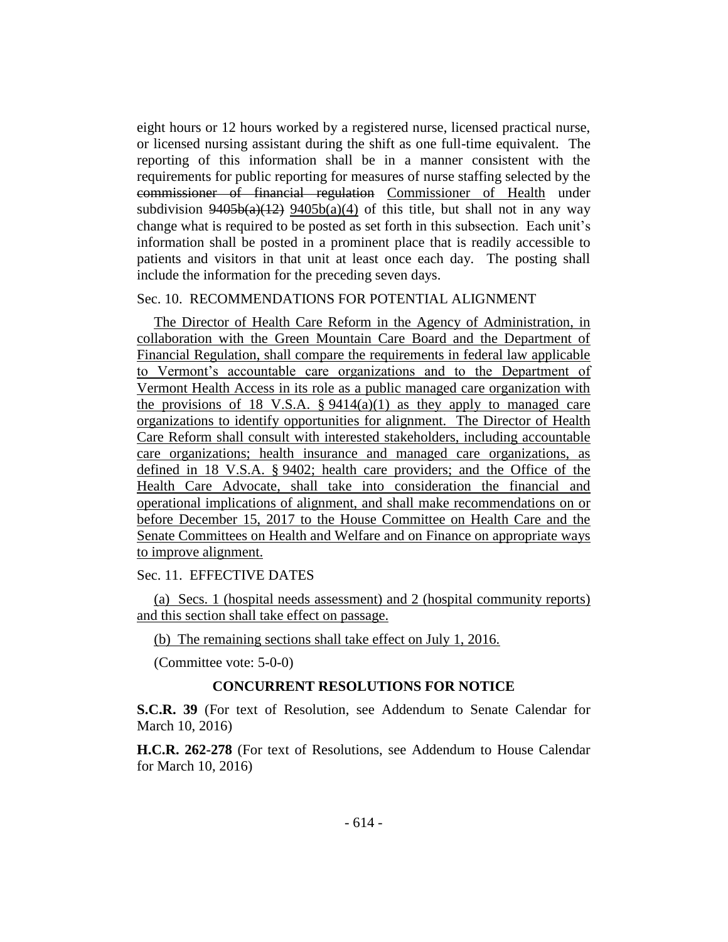eight hours or 12 hours worked by a registered nurse, licensed practical nurse, or licensed nursing assistant during the shift as one full-time equivalent. The reporting of this information shall be in a manner consistent with the requirements for public reporting for measures of nurse staffing selected by the commissioner of financial regulation Commissioner of Health under subdivision  $9405b(a)(12)$   $9405b(a)(4)$  of this title, but shall not in any way change what is required to be posted as set forth in this subsection. Each unit's information shall be posted in a prominent place that is readily accessible to patients and visitors in that unit at least once each day. The posting shall include the information for the preceding seven days.

### Sec. 10. RECOMMENDATIONS FOR POTENTIAL ALIGNMENT

The Director of Health Care Reform in the Agency of Administration, in collaboration with the Green Mountain Care Board and the Department of Financial Regulation, shall compare the requirements in federal law applicable to Vermont's accountable care organizations and to the Department of Vermont Health Access in its role as a public managed care organization with the provisions of 18 V.S.A.  $\S 9414(a)(1)$  as they apply to managed care organizations to identify opportunities for alignment. The Director of Health Care Reform shall consult with interested stakeholders, including accountable care organizations; health insurance and managed care organizations, as defined in 18 V.S.A. § 9402; health care providers; and the Office of the Health Care Advocate, shall take into consideration the financial and operational implications of alignment, and shall make recommendations on or before December 15, 2017 to the House Committee on Health Care and the Senate Committees on Health and Welfare and on Finance on appropriate ways to improve alignment.

## Sec. 11. EFFECTIVE DATES

(a) Secs. 1 (hospital needs assessment) and 2 (hospital community reports) and this section shall take effect on passage.

(b) The remaining sections shall take effect on July 1, 2016.

(Committee vote: 5-0-0)

# **CONCURRENT RESOLUTIONS FOR NOTICE**

**S.C.R. 39** (For text of Resolution, see Addendum to Senate Calendar for March 10, 2016)

**H.C.R. 262-278** (For text of Resolutions, see Addendum to House Calendar for March 10, 2016)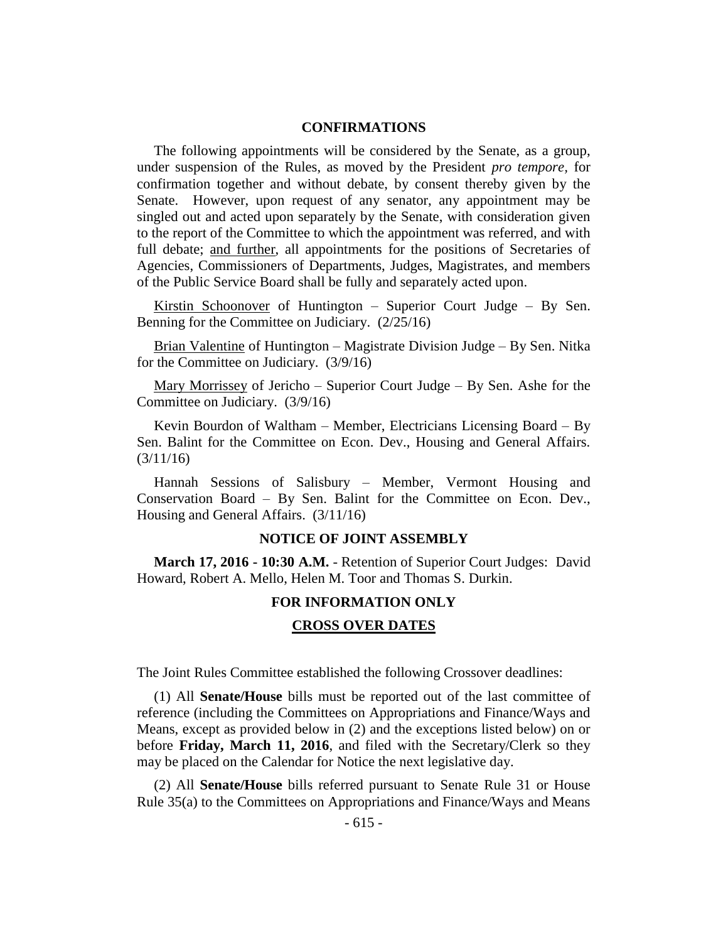## **CONFIRMATIONS**

The following appointments will be considered by the Senate, as a group, under suspension of the Rules, as moved by the President *pro tempore,* for confirmation together and without debate, by consent thereby given by the Senate. However, upon request of any senator, any appointment may be singled out and acted upon separately by the Senate, with consideration given to the report of the Committee to which the appointment was referred, and with full debate; and further, all appointments for the positions of Secretaries of Agencies, Commissioners of Departments, Judges, Magistrates, and members of the Public Service Board shall be fully and separately acted upon.

Kirstin Schoonover of Huntington – Superior Court Judge – By Sen. Benning for the Committee on Judiciary. (2/25/16)

Brian Valentine of Huntington – Magistrate Division Judge – By Sen. Nitka for the Committee on Judiciary. (3/9/16)

Mary Morrissey of Jericho – Superior Court Judge – By Sen. Ashe for the Committee on Judiciary. (3/9/16)

Kevin Bourdon of Waltham – Member, Electricians Licensing Board – By Sen. Balint for the Committee on Econ. Dev., Housing and General Affairs. (3/11/16)

Hannah Sessions of Salisbury – Member, Vermont Housing and Conservation Board – By Sen. Balint for the Committee on Econ. Dev., Housing and General Affairs. (3/11/16)

#### **NOTICE OF JOINT ASSEMBLY**

**March 17, 2016 - 10:30 A.M.** - Retention of Superior Court Judges: David Howard, Robert A. Mello, Helen M. Toor and Thomas S. Durkin.

## **FOR INFORMATION ONLY**

#### **CROSS OVER DATES**

The Joint Rules Committee established the following Crossover deadlines:

(1) All **Senate/House** bills must be reported out of the last committee of reference (including the Committees on Appropriations and Finance/Ways and Means, except as provided below in (2) and the exceptions listed below) on or before **Friday, March 11, 2016**, and filed with the Secretary/Clerk so they may be placed on the Calendar for Notice the next legislative day.

(2) All **Senate/House** bills referred pursuant to Senate Rule 31 or House Rule 35(a) to the Committees on Appropriations and Finance/Ways and Means